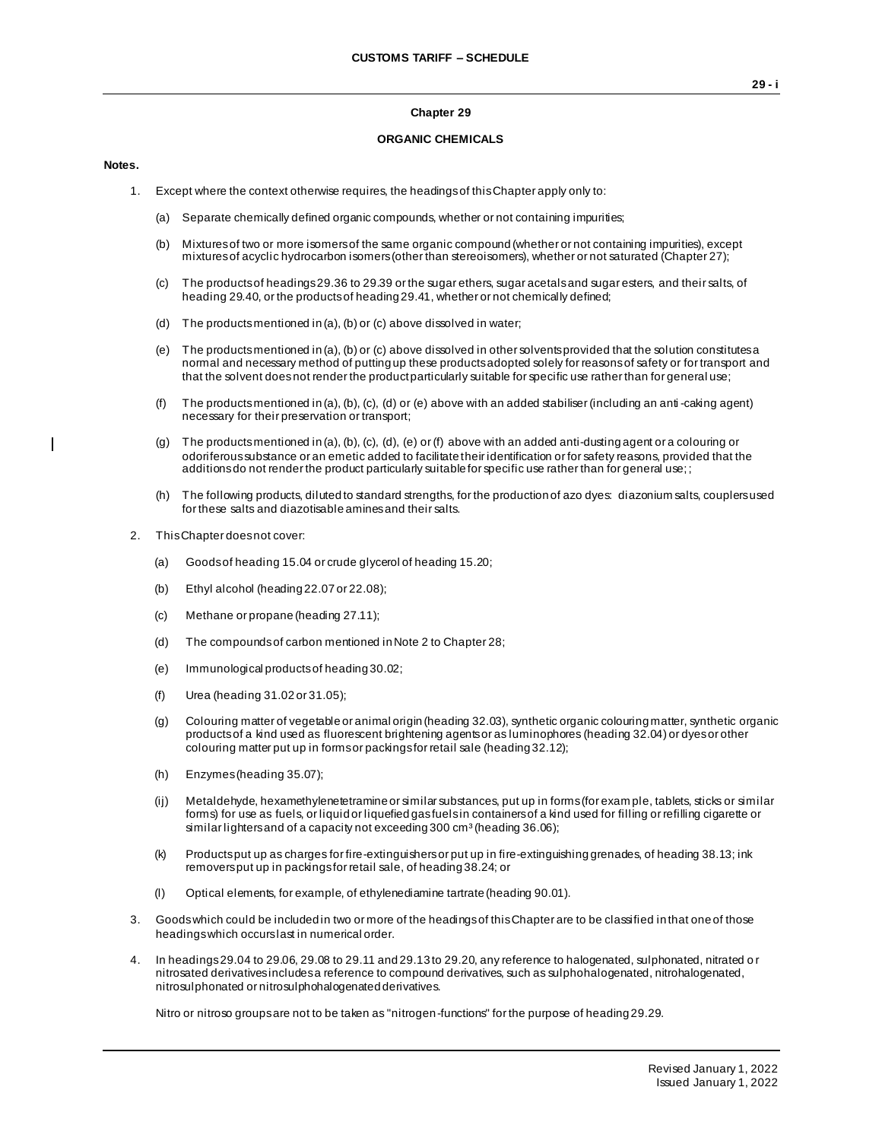#### **Chapter 29**

#### **ORGANIC CHEMICALS**

#### **Notes.**

 $\mathbf{I}$ 

- 1. Except where the context otherwise requires, the headings of this Chapter apply only to:
	- (a) Separate chemically defined organic compounds, whether or not containing impurities;
	- (b) Mixtures of two or more isomers of the same organic compound (whether or not containing impurities), except mixtures of acyclic hydrocarbon isomers (other than stereoisomers), whether or not saturated (Chapter 27);
	- (c) The products of headings 29.36 to 29.39 or the sugar ethers, sugar acetals and sugar esters, and their salts, of heading 29.40, or the products of heading 29.41, whether or not chemically defined;
	- (d) The products mentioned in (a), (b) or (c) above dissolved in water;
	- (e) The products mentioned in (a), (b) or (c) above dissolved in other solvents provided that the solution constitutes a normal and necessary method of putting up these products adopted solely for reasons of safety or for transport and that the solvent does not render the product particularly suitable for specific use rather than for general use;
	- (f) The products mentioned in (a), (b), (c), (d) or (e) above with an added stabiliser (including an anti-caking agent) necessary for their preservation or transport;
	- (g) The products mentioned in (a), (b), (c), (d), (e) or (f) above with an added anti-dusting agent or a colouring or odoriferous substance or an emetic added to facilitate their identification or for safety reasons, provided that the additions do not render the product particularly suitable for specific use rather than for general use;;
	- (h) The following products, diluted to standard strengths, for the production of azo dyes: diazonium salts, couplers used for these salts and diazotisable amines and their salts.
- 2. This Chapter does not cover:
	- (a) Goods of heading 15.04 or crude glycerol of heading 15.20;
	- (b) Ethyl alcohol (heading 22.07 or 22.08);
	- (c) Methane or propane (heading 27.11);
	- (d) The compounds of carbon mentioned in Note 2 to Chapter 28;
	- (e) Immunological products of heading 30.02;
	- (f) Urea (heading 31.02 or 31.05);
	- (g) Colouring matter of vegetable or animal origin (heading 32.03), synthetic organic colouring matter, synthetic organic products of a kind used as fluorescent brightening agents or as luminophores (heading 32.04) or dyes or other colouring matter put up in forms or packings for retail sale (heading 32.12);
	- (h) Enzymes (heading 35.07);
	- (ij) Metaldehyde, hexamethylenetetramine or similar substances, put up in forms (for exam ple, tablets, sticks or similar forms) for use as fuels, or liquid or liquefied gas fuels in containers of a kind used for filling or refilling cigarette or similar lighters and of a capacity not exceeding  $300 \text{ cm}^3$  (heading  $36.06$ );
	- (k) Products put up as charges for fire-extinguishers or put up in fire-extinguishing grenades, of heading 38.13; ink removers put up in packings for retail sale, of heading 38.24; or
	- (l) Optical elements, for example, of ethylenediamine tartrate (heading 90.01).
- 3. Goods which could be included in two or more of the headings of this Chapter are to be classified in that one of those headings which occurs last in numerical order.
- 4. In headings 29.04 to 29.06, 29.08 to 29.11 and 29.13 to 29.20, any reference to halogenated, sulphonated, nitrated o r nitrosated derivatives includes a reference to compound derivatives, such as sulphohalogenated, nitrohalogenated, nitrosulphonated or nitrosulphohalogenated derivatives.

Nitro or nitroso groups are not to be taken as "nitrogen-functions" for the purpose of heading 29.29.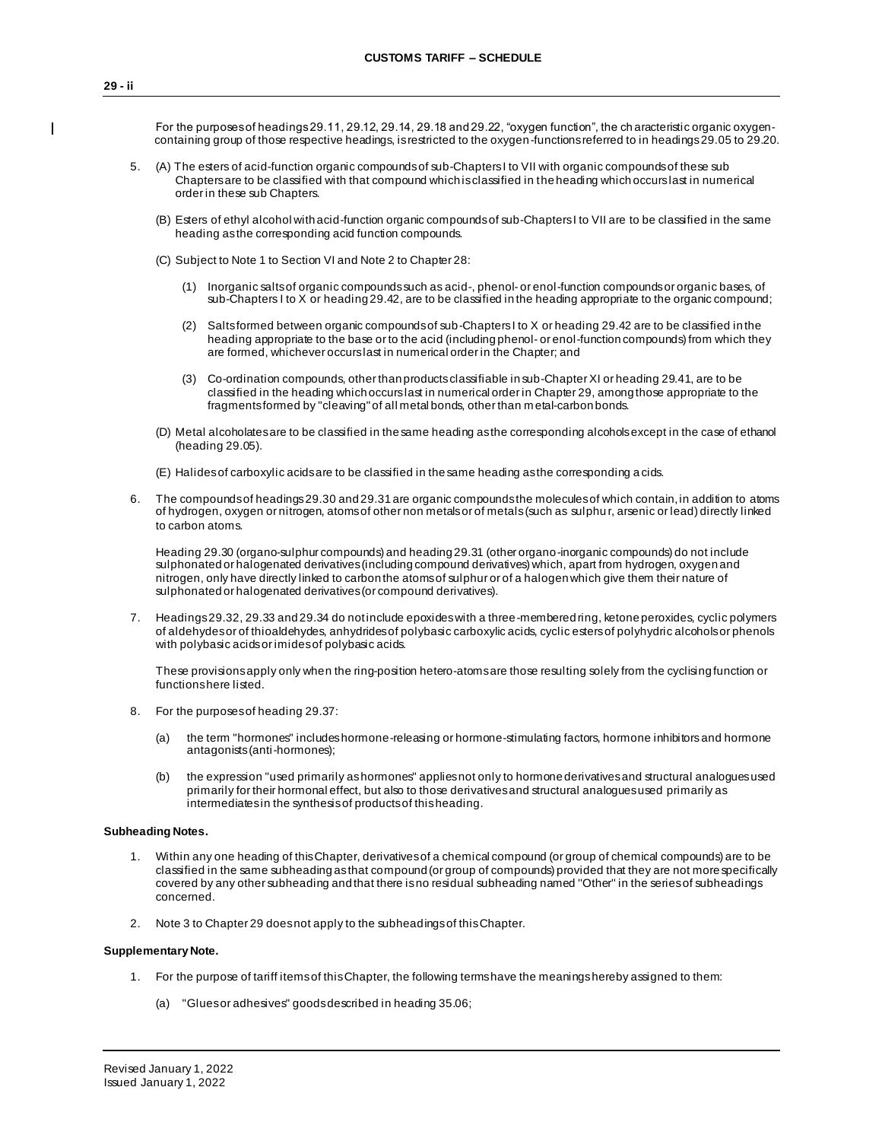For the purposes of headings 29.11, 29.12, 29.14, 29.18 and 29.22, "oxygen function", the ch aracteristic organic oxygencontaining group of those respective headings, is restricted to the oxygen-functions referred to in headings 29.05 to 29.20.

- 5. (A) The esters of acid-function organic compounds of sub-Chapters I to VII with organic compounds of these sub Chapters are to be classified with that compound which is classified in the heading which occurs last in numerical order in these sub Chapters.
	- (B) Esters of ethyl alcohol with acid-function organic compounds of sub-Chapters I to VII are to be classified in the same heading as the corresponding acid function compounds.
	- (C) Subject to Note 1 to Section VI and Note 2 to Chapter 28:
		- (1) Inorganic salts of organic compounds such as acid-, phenol- or enol-function compounds or organic bases, of sub-Chapters I to X or heading 29.42, are to be classified in the heading appropriate to the organic compound;
		- (2) Salts formed between organic compounds of sub-Chapters I to X or heading 29.42 are to be classified in the heading appropriate to the base or to the acid (including phenol- or enol-function compounds) from which they are formed, whichever occurs last in numerical order in the Chapter; and
		- (3) Co-ordination compounds, other than products classifiable in sub-Chapter XI or heading 29.41, are to be classified in the heading which occurs last in numerical order in Chapter 29, among those appropriate to the fragments formed by "cleaving" of all metal bonds, other than m etal-carbon bonds.
	- (D) Metal alcoholates are to be classified in the same heading as the corresponding alcohols except in the case of ethanol (heading 29.05).
	- (E) Halides of carboxylic acids are to be classified in the same heading as the corresponding a cids.
- 6. The compounds of headings 29.30 and 29.31 are organic compounds the molecules of which contain, in addition to atoms of hydrogen, oxygen or nitrogen, atoms of other non metals or of metals (such as sulphur, arsenic or lead) directly linked to carbon atoms.

Heading 29.30 (organo-sulphur compounds) and heading 29.31 (other organo-inorganic compounds) do not include sulphonated or halogenated derivatives (including compound derivatives) which, apart from hydrogen, oxygen and nitrogen, only have directly linked to carbon the atoms of sulphur or of a halogen which give them their nature of sulphonated or halogenated derivatives (or compound derivatives).

7. Headings 29.32, 29.33 and 29.34 do not include epoxides with a three-membered ring, ketone peroxides, cyclic polymers of aldehydes or of thioaldehydes, anhydrides of polybasic carboxylic acids, cyclic esters of polyhydric alcohols or phenols with polybasic acids or imides of polybasic acids.

These provisions apply only when the ring-position hetero-atoms are those resulting solely from the cyclising function or functions here listed.

- 8. For the purposes of heading 29.37:
	- (a) the term "hormones" includes hormone-releasing or hormone-stimulating factors, hormone inhibitors and hormone antagonists (anti-hormones);
	- (b) the expression "used primarily as hormones" applies not only to hormone derivatives and structural analogues used primarily for their hormonal effect, but also to those derivatives and structural analogues used primarily as intermediates in the synthesis of products of this heading.

#### **Subheading Notes.**

- 1. Within any one heading of this Chapter, derivatives of a chemical compound (or group of chemical compounds) are to be classified in the same subheading as that compound (or group of compounds) provided that they are not more specifically covered by any other subheading and that there is no residual subheading named ''Other'' in the series of subheadings concerned.
- 2. Note 3 to Chapter 29 does not apply to the subheadings of this Chapter.

#### **Supplementary Note.**

- 1. For the purpose of tariff items of this Chapter, the following terms have the meanings hereby assigned to them:
	- (a) "Glues or adhesives" goods described in heading 35.06;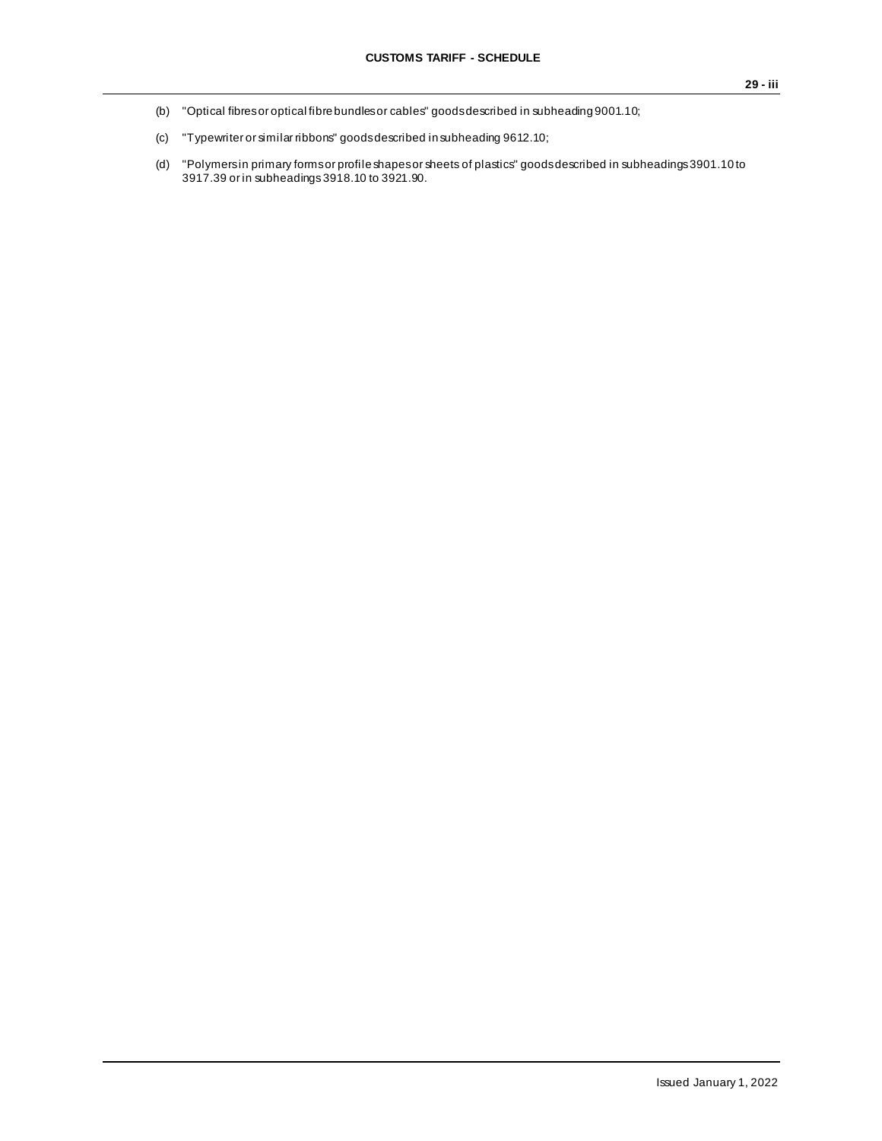- (b) "Optical fibres or optical fibre bundles or cables" goods described in subheading 9001.10;
- (c) "Typewriter or similar ribbons" goods described in subheading 9612.10;
- (d) "Polymers in primary forms or profile shapes or sheets of plastics" goods described in subheadings 3901.10 to 3917.39 or in subheadings3918.10 to 3921.90.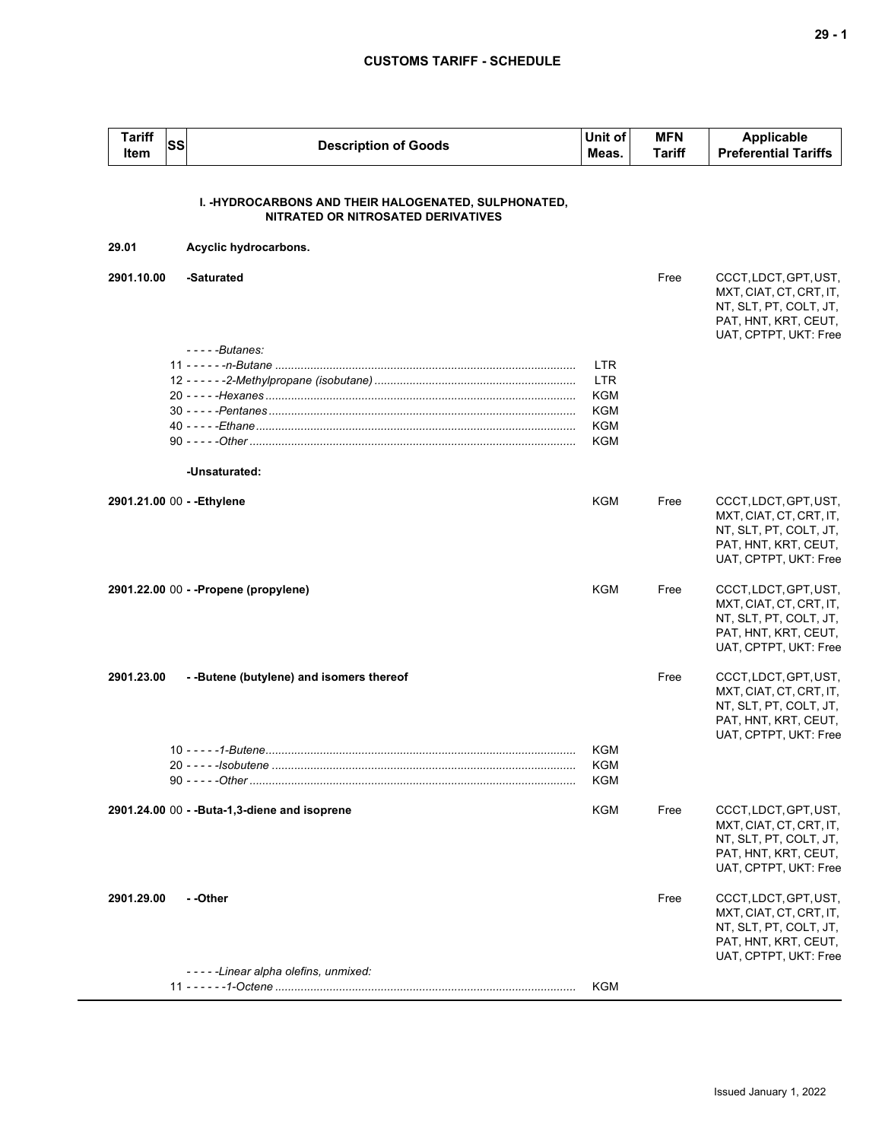| <b>Tariff</b><br><b>Item</b> | <b>SS</b> | <b>Description of Goods</b>                                                                | Unit of<br>Meas.                                                          | <b>MFN</b><br><b>Tariff</b> | Applicable<br><b>Preferential Tariffs</b>                                                                                   |
|------------------------------|-----------|--------------------------------------------------------------------------------------------|---------------------------------------------------------------------------|-----------------------------|-----------------------------------------------------------------------------------------------------------------------------|
|                              |           | I. -HYDROCARBONS AND THEIR HALOGENATED, SULPHONATED,<br>NITRATED OR NITROSATED DERIVATIVES |                                                                           |                             |                                                                                                                             |
| 29.01                        |           | Acyclic hydrocarbons.                                                                      |                                                                           |                             |                                                                                                                             |
| 2901.10.00                   |           | -Saturated<br>$---Butanes:$                                                                |                                                                           | Free                        | CCCT, LDCT, GPT, UST,<br>MXT, CIAT, CT, CRT, IT,<br>NT, SLT, PT, COLT, JT,<br>PAT, HNT, KRT, CEUT,<br>UAT, CPTPT, UKT: Free |
|                              |           | -Unsaturated:                                                                              | <b>LTR</b><br><b>LTR</b><br><b>KGM</b><br><b>KGM</b><br><b>KGM</b><br>KGM |                             |                                                                                                                             |
| 2901.21.00 00 - - Ethylene   |           |                                                                                            | KGM                                                                       | Free                        | CCCT, LDCT, GPT, UST,<br>MXT, CIAT, CT, CRT, IT,<br>NT, SLT, PT, COLT, JT,<br>PAT, HNT, KRT, CEUT,<br>UAT, CPTPT, UKT: Free |
|                              |           | 2901.22.00 00 - - Propene (propylene)                                                      | <b>KGM</b>                                                                | Free                        | CCCT, LDCT, GPT, UST,<br>MXT, CIAT, CT, CRT, IT,<br>NT, SLT, PT, COLT, JT,<br>PAT, HNT, KRT, CEUT,<br>UAT, CPTPT, UKT: Free |
| 2901.23.00                   |           | --Butene (butylene) and isomers thereof                                                    |                                                                           | Free                        | CCCT, LDCT, GPT, UST,<br>MXT, CIAT, CT, CRT, IT,<br>NT, SLT, PT, COLT, JT,<br>PAT, HNT, KRT, CEUT,<br>UAT, CPTPT, UKT: Free |
|                              |           |                                                                                            | KGM<br><b>KGM</b><br>KGM                                                  |                             |                                                                                                                             |
|                              |           | 2901.24.00 00 - -Buta-1,3-diene and isoprene                                               | <b>KGM</b>                                                                | Free                        | CCCT, LDCT, GPT, UST,<br>MXT, CIAT, CT, CRT, IT,<br>NT, SLT, PT, COLT, JT,<br>PAT, HNT, KRT, CEUT,<br>UAT, CPTPT, UKT: Free |
| 2901.29.00                   |           | - -Other                                                                                   |                                                                           | Free                        | CCCT, LDCT, GPT, UST,<br>MXT, CIAT, CT, CRT, IT,<br>NT, SLT, PT, COLT, JT,<br>PAT, HNT, KRT, CEUT,<br>UAT, CPTPT, UKT: Free |
|                              |           | -----Linear alpha olefins, unmixed:                                                        | KGM                                                                       |                             |                                                                                                                             |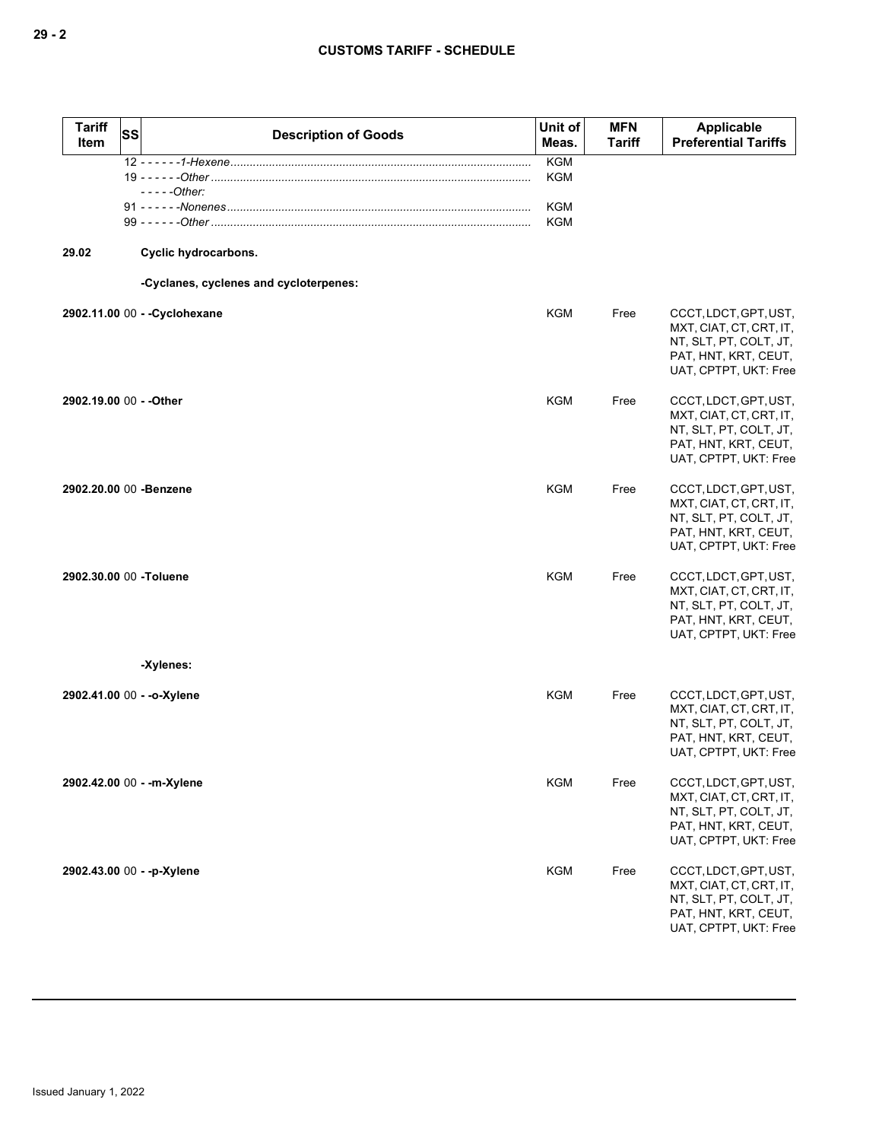| <b>Tariff</b><br>Item   | SS | <b>Description of Goods</b>            | Unit of<br>Meas.                       | <b>MFN</b><br><b>Tariff</b> | <b>Applicable</b><br><b>Preferential Tariffs</b>                                                                            |
|-------------------------|----|----------------------------------------|----------------------------------------|-----------------------------|-----------------------------------------------------------------------------------------------------------------------------|
|                         |    |                                        | <b>KGM</b>                             |                             |                                                                                                                             |
|                         |    | - - - - - Other:                       | <b>KGM</b><br><b>KGM</b><br><b>KGM</b> |                             |                                                                                                                             |
| 29.02                   |    | Cyclic hydrocarbons.                   |                                        |                             |                                                                                                                             |
|                         |    | -Cyclanes, cyclenes and cycloterpenes: |                                        |                             |                                                                                                                             |
|                         |    | 2902.11.00 00 - - Cyclohexane          | KGM                                    | Free                        | CCCT, LDCT, GPT, UST,<br>MXT, CIAT, CT, CRT, IT,<br>NT, SLT, PT, COLT, JT,<br>PAT, HNT, KRT, CEUT,<br>UAT, CPTPT, UKT: Free |
| 2902.19.00 00 - - Other |    |                                        | <b>KGM</b>                             | Free                        | CCCT, LDCT, GPT, UST,<br>MXT, CIAT, CT, CRT, IT,<br>NT, SLT, PT, COLT, JT,<br>PAT, HNT, KRT, CEUT,<br>UAT, CPTPT, UKT: Free |
|                         |    | 2902.20.00 00 -Benzene                 | <b>KGM</b>                             | Free                        | CCCT, LDCT, GPT, UST,<br>MXT, CIAT, CT, CRT, IT,<br>NT, SLT, PT, COLT, JT,<br>PAT, HNT, KRT, CEUT,<br>UAT, CPTPT, UKT: Free |
| 2902.30.00 00 -Toluene  |    |                                        | <b>KGM</b>                             | Free                        | CCCT, LDCT, GPT, UST,<br>MXT, CIAT, CT, CRT, IT,<br>NT, SLT, PT, COLT, JT,<br>PAT, HNT, KRT, CEUT,<br>UAT, CPTPT, UKT: Free |
|                         |    | -Xylenes:                              |                                        |                             |                                                                                                                             |
|                         |    | 2902.41.00 00 - - o-Xylene             | <b>KGM</b>                             | Free                        | CCCT, LDCT, GPT, UST,<br>MXT, CIAT, CT, CRT, IT,<br>NT, SLT, PT, COLT, JT,<br>PAT, HNT, KRT, CEUT,<br>UAT, CPTPT, UKT: Free |
|                         |    | 2902.42.00 00 - - m-Xylene             | <b>KGM</b>                             | Free                        | CCCT, LDCT, GPT, UST,<br>MXT, CIAT, CT, CRT, IT,<br>NT, SLT, PT, COLT, JT,<br>PAT, HNT, KRT, CEUT,<br>UAT, CPTPT, UKT: Free |
|                         |    | 2902.43.00 00 - -p-Xylene              | <b>KGM</b>                             | Free                        | CCCT, LDCT, GPT, UST,<br>MXT, CIAT, CT, CRT, IT,<br>NT, SLT, PT, COLT, JT,<br>PAT, HNT, KRT, CEUT,<br>UAT, CPTPT, UKT: Free |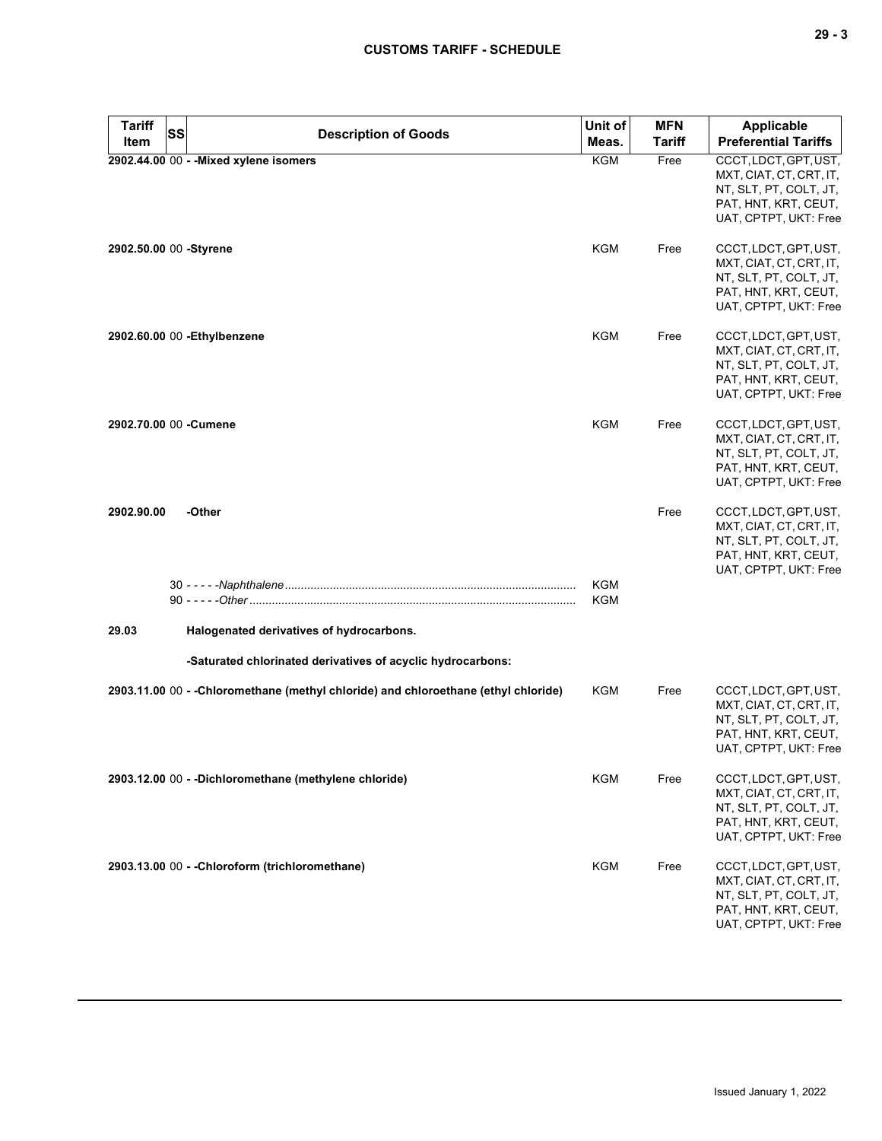| <b>Tariff</b><br>Item  | <b>SS</b> | <b>Description of Goods</b>                                                                             | Unit of<br>Meas.  | <b>MFN</b><br><b>Tariff</b> | <b>Applicable</b><br><b>Preferential Tariffs</b>                                                                            |
|------------------------|-----------|---------------------------------------------------------------------------------------------------------|-------------------|-----------------------------|-----------------------------------------------------------------------------------------------------------------------------|
|                        |           | 2902.44.00 00 - - Mixed xylene isomers                                                                  | <b>KGM</b>        | Free                        | CCCT, LDCT, GPT, UST,<br>MXT, CIAT, CT, CRT, IT,<br>NT, SLT, PT, COLT, JT,<br>PAT, HNT, KRT, CEUT,<br>UAT, CPTPT, UKT: Free |
| 2902.50.00 00 -Styrene |           |                                                                                                         | KGM               | Free                        | CCCT, LDCT, GPT, UST,<br>MXT, CIAT, CT, CRT, IT,<br>NT, SLT, PT, COLT, JT,<br>PAT, HNT, KRT, CEUT,<br>UAT, CPTPT, UKT: Free |
|                        |           | 2902.60.00 00 - Ethylbenzene                                                                            | KGM               | Free                        | CCCT, LDCT, GPT, UST,<br>MXT, CIAT, CT, CRT, IT,<br>NT, SLT, PT, COLT, JT,<br>PAT, HNT, KRT, CEUT,<br>UAT, CPTPT, UKT: Free |
| 2902.70.00 00 -Cumene  |           |                                                                                                         | KGM               | Free                        | CCCT, LDCT, GPT, UST,<br>MXT, CIAT, CT, CRT, IT,<br>NT, SLT, PT, COLT, JT,<br>PAT, HNT, KRT, CEUT,<br>UAT, CPTPT, UKT: Free |
| 2902.90.00             |           | -Other                                                                                                  |                   | Free                        | CCCT, LDCT, GPT, UST,<br>MXT, CIAT, CT, CRT, IT,<br>NT, SLT, PT, COLT, JT,<br>PAT, HNT, KRT, CEUT,<br>UAT, CPTPT, UKT: Free |
|                        |           |                                                                                                         | <b>KGM</b><br>KGM |                             |                                                                                                                             |
| 29.03                  |           | Halogenated derivatives of hydrocarbons.<br>-Saturated chlorinated derivatives of acyclic hydrocarbons: |                   |                             |                                                                                                                             |
|                        |           | 2903.11.00 00 - - Chloromethane (methyl chloride) and chloroethane (ethyl chloride)                     | KGM               | Free                        | CCCT, LDCT, GPT, UST,<br>MXT, CIAT, CT, CRT, IT,<br>NT, SLT, PT, COLT, JT,<br>PAT, HNT, KRT, CEUT,<br>UAT, CPTPT, UKT: Free |
|                        |           | 2903.12.00 00 - -Dichloromethane (methylene chloride)                                                   | <b>KGM</b>        | Free                        | CCCT, LDCT, GPT, UST,<br>MXT, CIAT, CT, CRT, IT,<br>NT, SLT, PT, COLT, JT,<br>PAT, HNT, KRT, CEUT,<br>UAT, CPTPT, UKT: Free |
|                        |           | 2903.13.00 00 - - Chloroform (trichloromethane)                                                         | KGM               | Free                        | CCCT, LDCT, GPT, UST,<br>MXT, CIAT, CT, CRT, IT,<br>NT, SLT, PT, COLT, JT,<br>PAT, HNT, KRT, CEUT,<br>UAT, CPTPT, UKT: Free |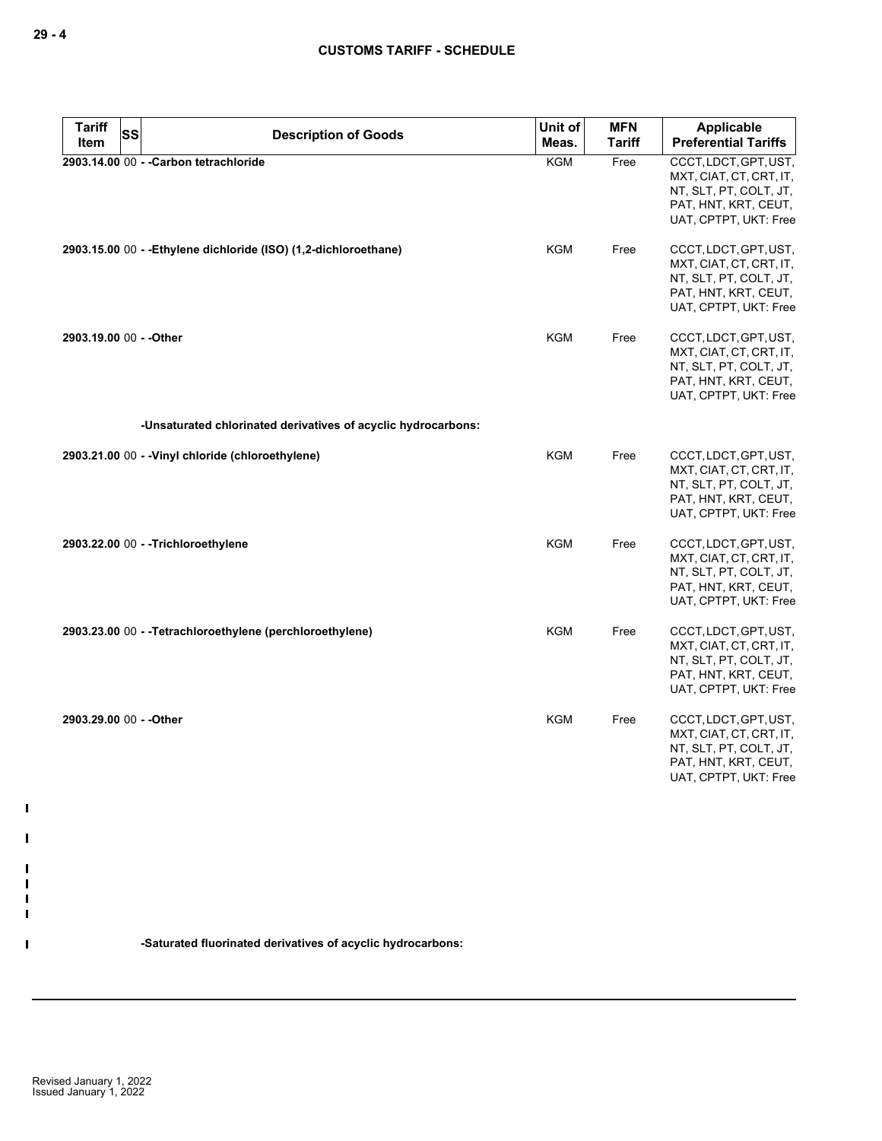| <b>Tariff</b><br>Item   | <b>SS</b> | <b>Description of Goods</b>                                      | Unit of<br>Meas. | <b>MFN</b><br><b>Tariff</b> | Applicable<br><b>Preferential Tariffs</b>                                                                                   |
|-------------------------|-----------|------------------------------------------------------------------|------------------|-----------------------------|-----------------------------------------------------------------------------------------------------------------------------|
|                         |           | 2903.14.00 00 - - Carbon tetrachloride                           | <b>KGM</b>       | Free                        | CCCT, LDCT, GPT, UST,<br>MXT, CIAT, CT, CRT, IT,<br>NT, SLT, PT, COLT, JT,<br>PAT, HNT, KRT, CEUT,<br>UAT, CPTPT, UKT: Free |
|                         |           | 2903.15.00 00 - - Ethylene dichloride (ISO) (1,2-dichloroethane) | <b>KGM</b>       | Free                        | CCCT, LDCT, GPT, UST,<br>MXT, CIAT, CT, CRT, IT,<br>NT, SLT, PT, COLT, JT,<br>PAT, HNT, KRT, CEUT,<br>UAT, CPTPT, UKT: Free |
| 2903.19.00 00 - - Other |           |                                                                  | <b>KGM</b>       | Free                        | CCCT, LDCT, GPT, UST,<br>MXT, CIAT, CT, CRT, IT,<br>NT, SLT, PT, COLT, JT,<br>PAT, HNT, KRT, CEUT,<br>UAT, CPTPT, UKT: Free |
|                         |           | -Unsaturated chlorinated derivatives of acyclic hydrocarbons:    |                  |                             |                                                                                                                             |
|                         |           | 2903.21.00 00 - - Vinyl chloride (chloroethylene)                | <b>KGM</b>       | Free                        | CCCT, LDCT, GPT, UST,<br>MXT, CIAT, CT, CRT, IT,<br>NT, SLT, PT, COLT, JT,<br>PAT, HNT, KRT, CEUT,<br>UAT, CPTPT, UKT: Free |
|                         |           | 2903.22.00 00 - - Trichloroethylene                              | <b>KGM</b>       | Free                        | CCCT, LDCT, GPT, UST,<br>MXT, CIAT, CT, CRT, IT,<br>NT, SLT, PT, COLT, JT,<br>PAT, HNT, KRT, CEUT,<br>UAT, CPTPT, UKT: Free |
|                         |           | 2903.23.00 00 - - Tetrachloroethylene (perchloroethylene)        | KGM              | Free                        | CCCT, LDCT, GPT, UST,<br>MXT, CIAT, CT, CRT, IT,<br>NT, SLT, PT, COLT, JT,<br>PAT, HNT, KRT, CEUT,<br>UAT, CPTPT, UKT: Free |
| 2903.29.00 00 - - Other |           |                                                                  | <b>KGM</b>       | Free                        | CCCT, LDCT, GPT, UST,<br>MXT, CIAT, CT, CRT, IT,<br>NT, SLT, PT, COLT, JT,<br>PAT, HNT, KRT, CEUT,<br>UAT, CPTPT, UKT: Free |

**-Saturated fluorinated derivatives of acyclic hydrocarbons:**

 $\mathbf{I}$ 

 $\blacksquare$ 

 $\mathbf{I}$ H H  $\mathbf{I}$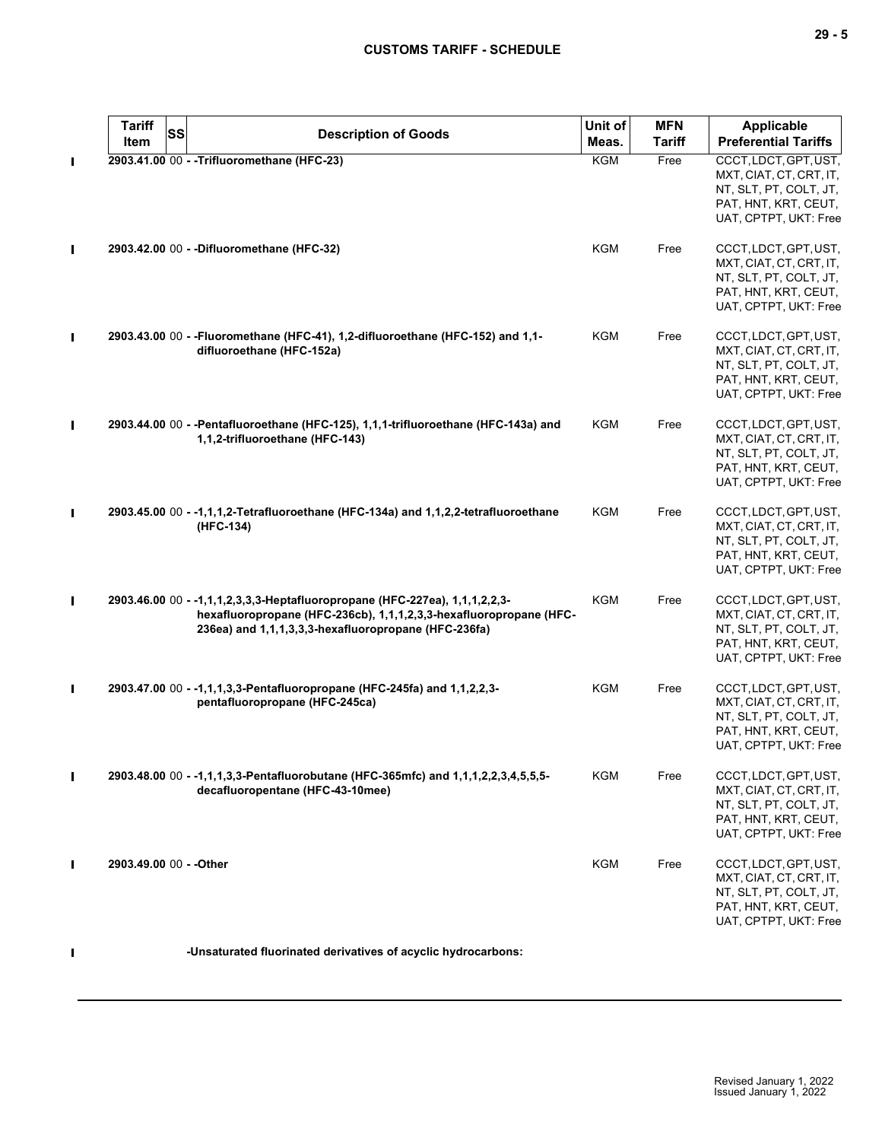| <b>Tariff</b><br>SS<br><b>Item</b> | <b>Description of Goods</b>                                                                                                                                                                               | Unit of<br>Meas. | <b>MFN</b><br><b>Tariff</b> | <b>Applicable</b><br><b>Preferential Tariffs</b>                                                                            |
|------------------------------------|-----------------------------------------------------------------------------------------------------------------------------------------------------------------------------------------------------------|------------------|-----------------------------|-----------------------------------------------------------------------------------------------------------------------------|
|                                    | 2903.41.00 00 - - Trifluoromethane (HFC-23)                                                                                                                                                               | <b>KGM</b>       | Free                        | CCCT, LDCT, GPT, UST,<br>MXT, CIAT, CT, CRT, IT,<br>NT, SLT, PT, COLT, JT,<br>PAT, HNT, KRT, CEUT,<br>UAT, CPTPT, UKT: Free |
|                                    | 2903.42.00 00 - - Difluoromethane (HFC-32)                                                                                                                                                                | <b>KGM</b>       | Free                        | CCCT, LDCT, GPT, UST,<br>MXT, CIAT, CT, CRT, IT,<br>NT, SLT, PT, COLT, JT,<br>PAT, HNT, KRT, CEUT,<br>UAT, CPTPT, UKT: Free |
|                                    | 2903.43.00 00 - - Fluoromethane (HFC-41), 1,2-difluoroethane (HFC-152) and 1,1-<br>difluoroethane (HFC-152a)                                                                                              | <b>KGM</b>       | Free                        | CCCT, LDCT, GPT, UST,<br>MXT, CIAT, CT, CRT, IT,<br>NT, SLT, PT, COLT, JT,<br>PAT, HNT, KRT, CEUT,<br>UAT, CPTPT, UKT: Free |
|                                    | 2903.44.00 00 - -Pentafluoroethane (HFC-125), 1,1,1-trifluoroethane (HFC-143a) and<br>1,1,2-trifluoroethane (HFC-143)                                                                                     | <b>KGM</b>       | Free                        | CCCT, LDCT, GPT, UST,<br>MXT, CIAT, CT, CRT, IT,<br>NT, SLT, PT, COLT, JT,<br>PAT, HNT, KRT, CEUT,<br>UAT, CPTPT, UKT: Free |
|                                    | 2903.45.00 00 - -1,1,1,2-Tetrafluoroethane (HFC-134a) and 1,1,2,2-tetrafluoroethane<br>(HFC-134)                                                                                                          | KGM              | Free                        | CCCT, LDCT, GPT, UST,<br>MXT, CIAT, CT, CRT, IT,<br>NT, SLT, PT, COLT, JT,<br>PAT, HNT, KRT, CEUT,<br>UAT, CPTPT, UKT: Free |
|                                    | 2903.46.00 00 - -1,1,1,2,3,3,3-Heptafluoropropane (HFC-227ea), 1,1,1,2,2,3-<br>hexafluoropropane (HFC-236cb), 1,1,1,2,3,3-hexafluoropropane (HFC-<br>236ea) and 1,1,1,3,3,3-hexafluoropropane (HFC-236fa) | <b>KGM</b>       | Free                        | CCCT, LDCT, GPT, UST,<br>MXT, CIAT, CT, CRT, IT,<br>NT, SLT, PT, COLT, JT,<br>PAT, HNT, KRT, CEUT,<br>UAT, CPTPT, UKT: Free |
|                                    | 2903.47.00 00 - -1,1,1,3,3-Pentafluoropropane (HFC-245fa) and 1,1,2,2,3-<br>pentafluoropropane (HFC-245ca)                                                                                                | <b>KGM</b>       | Free                        | CCCT, LDCT, GPT, UST,<br>MXT, CIAT, CT, CRT, IT,<br>NT, SLT, PT, COLT, JT,<br>PAT, HNT, KRT, CEUT,<br>UAT, CPTPT, UKT: Free |
|                                    | 2903.48.00 00 - -1,1,1,3,3-Pentafluorobutane (HFC-365mfc) and 1,1,1,2,2,3,4,5,5,5-<br>decafluoropentane (HFC-43-10mee)                                                                                    | <b>KGM</b>       | Free                        | CCCT, LDCT, GPT, UST,<br>MXT, CIAT, CT, CRT, IT,<br>NT, SLT, PT, COLT, JT,<br>PAT, HNT, KRT, CEUT,<br>UAT, CPTPT, UKT: Free |
| 2903.49.00 00 - - Other            |                                                                                                                                                                                                           | <b>KGM</b>       | Free                        | CCCT, LDCT, GPT, UST,<br>MXT, CIAT, CT, CRT, IT,<br>NT, SLT, PT, COLT, JT,<br>PAT, HNT, KRT, CEUT,<br>UAT, CPTPT, UKT: Free |

**-Unsaturated fluorinated derivatives of acyclic hydrocarbons:**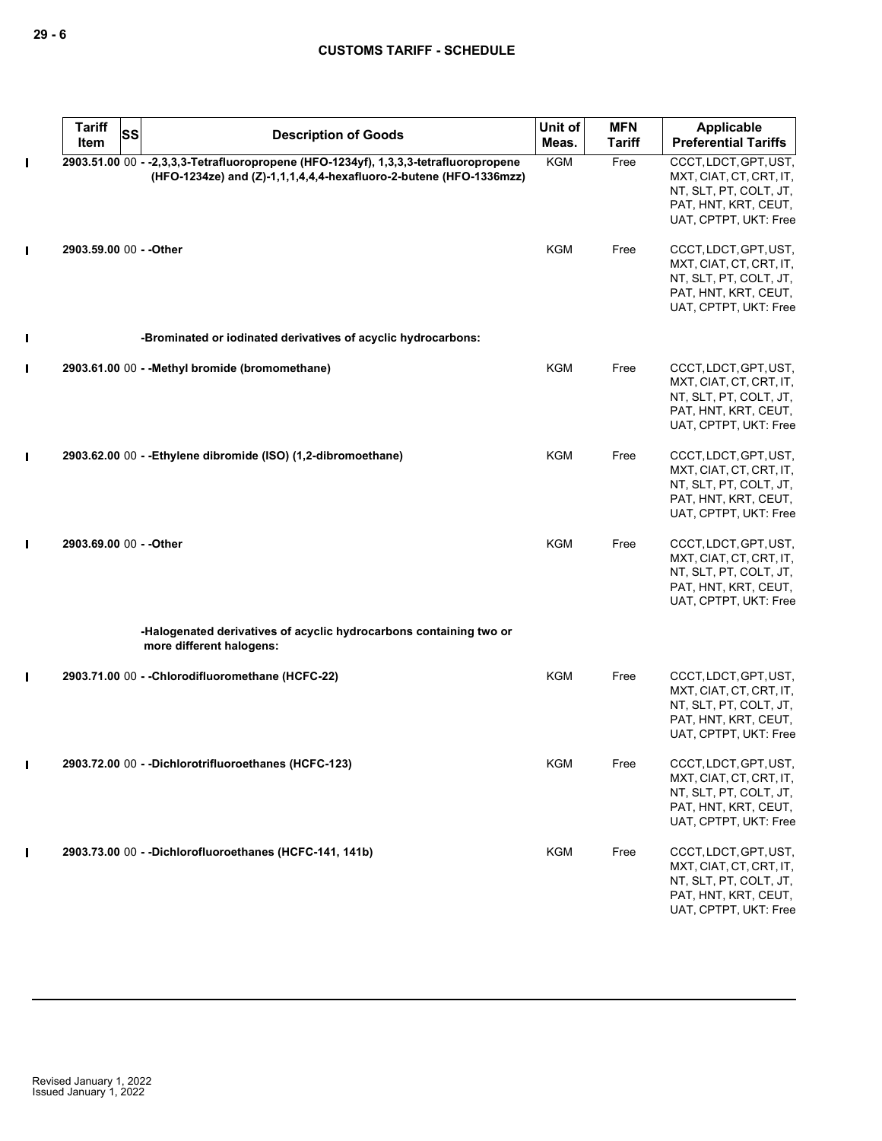|                | <b>Tariff</b><br>SS<br>Item | <b>Description of Goods</b>                                                                                                                                | Unit of<br>Meas. | <b>MFN</b><br>Tariff | Applicable<br><b>Preferential Tariffs</b>                                                                                   |
|----------------|-----------------------------|------------------------------------------------------------------------------------------------------------------------------------------------------------|------------------|----------------------|-----------------------------------------------------------------------------------------------------------------------------|
| П              |                             | 2903.51.00 00 - -2,3,3,3-Tetrafluoropropene (HFO-1234yf), 1,3,3,3-tetrafluoropropene<br>(HFO-1234ze) and (Z)-1,1,1,4,4,4-hexafluoro-2-butene (HFO-1336mzz) | <b>KGM</b>       | Free                 | CCCT, LDCT, GPT, UST,<br>MXT, CIAT, CT, CRT, IT,<br>NT, SLT, PT, COLT, JT,<br>PAT, HNT, KRT, CEUT,<br>UAT, CPTPT, UKT: Free |
| I              | 2903.59.00 00 - - Other     |                                                                                                                                                            | <b>KGM</b>       | Free                 | CCCT, LDCT, GPT, UST,<br>MXT, CIAT, CT, CRT, IT,<br>NT, SLT, PT, COLT, JT,<br>PAT, HNT, KRT, CEUT,<br>UAT, CPTPT, UKT: Free |
| I              |                             | -Brominated or iodinated derivatives of acyclic hydrocarbons:                                                                                              |                  |                      |                                                                                                                             |
| $\blacksquare$ |                             | 2903.61.00 00 - - Methyl bromide (bromomethane)                                                                                                            | <b>KGM</b>       | Free                 | CCCT, LDCT, GPT, UST,<br>MXT, CIAT, CT, CRT, IT,<br>NT, SLT, PT, COLT, JT,<br>PAT, HNT, KRT, CEUT,<br>UAT, CPTPT, UKT: Free |
| $\mathbf I$    |                             | 2903.62.00 00 - -Ethylene dibromide (ISO) (1,2-dibromoethane)                                                                                              | KGM              | Free                 | CCCT, LDCT, GPT, UST,<br>MXT, CIAT, CT, CRT, IT,<br>NT, SLT, PT, COLT, JT,<br>PAT, HNT, KRT, CEUT,<br>UAT, CPTPT, UKT: Free |
| I              | 2903.69.00 00 - - Other     |                                                                                                                                                            | <b>KGM</b>       | Free                 | CCCT, LDCT, GPT, UST,<br>MXT, CIAT, CT, CRT, IT,<br>NT, SLT, PT, COLT, JT,<br>PAT, HNT, KRT, CEUT,<br>UAT, CPTPT, UKT: Free |
|                |                             | -Halogenated derivatives of acyclic hydrocarbons containing two or<br>more different halogens:                                                             |                  |                      |                                                                                                                             |
| $\mathbf I$    |                             | 2903.71.00 00 - - Chlorodifluoromethane (HCFC-22)                                                                                                          | KGM              | Free                 | CCCT, LDCT, GPT, UST,<br>MXT, CIAT, CT, CRT, IT,<br>NT, SLT, PT, COLT, JT,<br>PAT, HNT, KRT, CEUT,<br>UAT, CPTPT, UKT: Free |
| $\mathbf I$    |                             | 2903.72.00 00 - -Dichlorotrifluoroethanes (HCFC-123)                                                                                                       | KGM              | Free                 | CCCT, LDCT, GPT, UST,<br>MXT, CIAT, CT, CRT, IT,<br>NT, SLT, PT, COLT, JT,<br>PAT, HNT, KRT, CEUT,<br>UAT, CPTPT, UKT: Free |
| П              |                             | 2903.73.00 00 - - Dichlorofluoroethanes (HCFC-141, 141b)                                                                                                   | <b>KGM</b>       | Free                 | CCCT, LDCT, GPT, UST,<br>MXT, CIAT, CT, CRT, IT,<br>NT, SLT, PT, COLT, JT,<br>PAT, HNT, KRT, CEUT,<br>UAT, CPTPT, UKT: Free |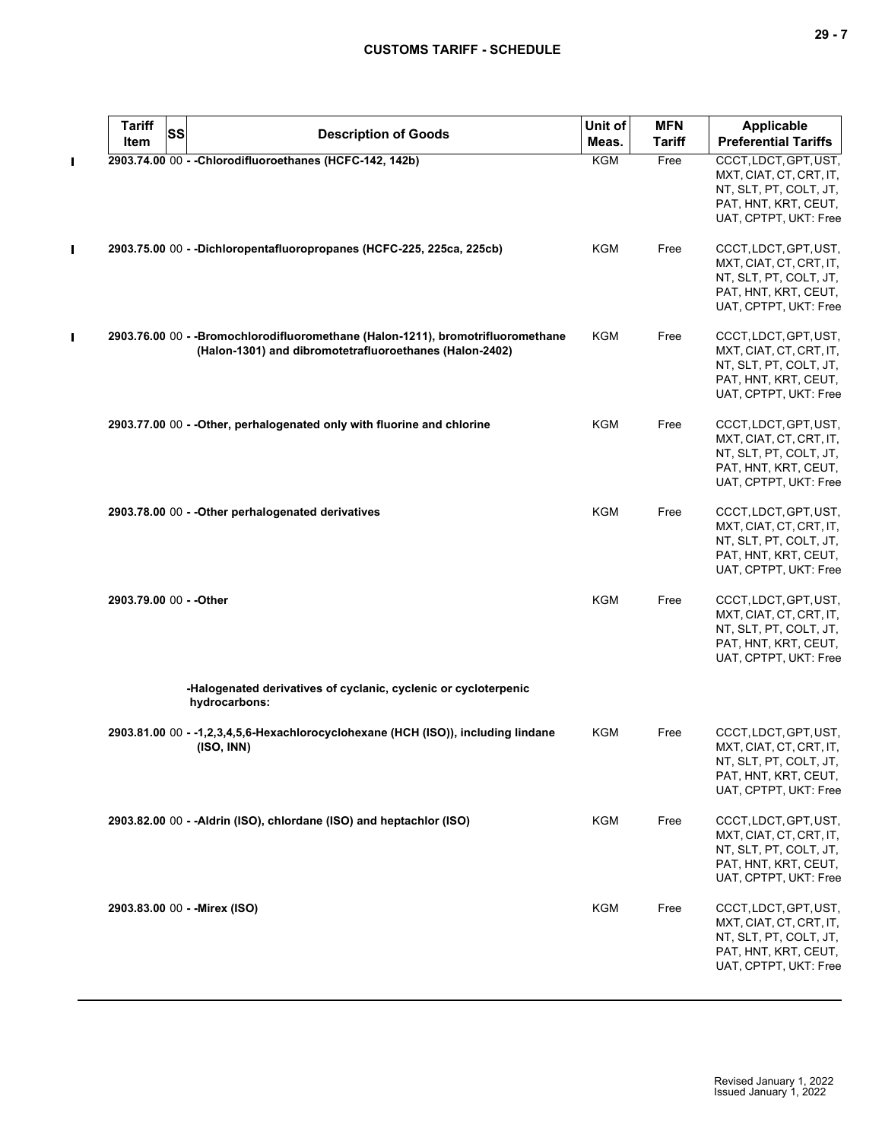| $\overline{\phantom{a}}$ |  |  |
|--------------------------|--|--|
|--------------------------|--|--|

|   | <b>Tariff</b><br>Item   | <b>SS</b> | <b>Description of Goods</b>                                                                                                                | Unit of<br>Meas. | <b>MFN</b><br><b>Tariff</b> | <b>Applicable</b><br><b>Preferential Tariffs</b>                                                                            |
|---|-------------------------|-----------|--------------------------------------------------------------------------------------------------------------------------------------------|------------------|-----------------------------|-----------------------------------------------------------------------------------------------------------------------------|
|   |                         |           | 2903.74.00 00 - - Chlorodifluoroethanes (HCFC-142, 142b)                                                                                   | <b>KGM</b>       | Free                        | CCCT, LDCT, GPT, UST,<br>MXT, CIAT, CT, CRT, IT,<br>NT, SLT, PT, COLT, JT,<br>PAT, HNT, KRT, CEUT,<br>UAT, CPTPT, UKT: Free |
| I |                         |           | 2903.75.00 00 - - Dichloropentafluoropropanes (HCFC-225, 225ca, 225cb)                                                                     | <b>KGM</b>       | Free                        | CCCT, LDCT, GPT, UST,<br>MXT, CIAT, CT, CRT, IT,<br>NT, SLT, PT, COLT, JT,<br>PAT, HNT, KRT, CEUT,<br>UAT, CPTPT, UKT: Free |
| Π |                         |           | 2903.76.00 00 - -Bromochlorodifluoromethane (Halon-1211), bromotrifluoromethane<br>(Halon-1301) and dibromotetrafluoroethanes (Halon-2402) | <b>KGM</b>       | Free                        | CCCT, LDCT, GPT, UST,<br>MXT, CIAT, CT, CRT, IT,<br>NT, SLT, PT, COLT, JT,<br>PAT, HNT, KRT, CEUT,<br>UAT, CPTPT, UKT: Free |
|   |                         |           | 2903.77.00 00 - - Other, perhalogenated only with fluorine and chlorine                                                                    | KGM              | Free                        | CCCT, LDCT, GPT, UST,<br>MXT, CIAT, CT, CRT, IT,<br>NT, SLT, PT, COLT, JT,<br>PAT, HNT, KRT, CEUT,<br>UAT, CPTPT, UKT: Free |
|   |                         |           | 2903.78.00 00 - - Other perhalogenated derivatives                                                                                         | KGM              | Free                        | CCCT, LDCT, GPT, UST,<br>MXT, CIAT, CT, CRT, IT,<br>NT, SLT, PT, COLT, JT,<br>PAT, HNT, KRT, CEUT,<br>UAT, CPTPT, UKT: Free |
|   | 2903.79.00 00 - - Other |           |                                                                                                                                            | <b>KGM</b>       | Free                        | CCCT, LDCT, GPT, UST,<br>MXT, CIAT, CT, CRT, IT,<br>NT, SLT, PT, COLT, JT,<br>PAT, HNT, KRT, CEUT,<br>UAT, CPTPT, UKT: Free |
|   |                         |           | -Halogenated derivatives of cyclanic, cyclenic or cycloterpenic<br>hydrocarbons:                                                           |                  |                             |                                                                                                                             |
|   |                         |           | 2903.81.00 00 - -1,2,3,4,5,6-Hexachlorocyclohexane (HCH (ISO)), including lindane<br>(ISO, INN)                                            | <b>KGM</b>       | Free                        | CCCT, LDCT, GPT, UST,<br>MXT, CIAT, CT, CRT, IT,<br>NT, SLT, PT, COLT, JT,<br>PAT, HNT, KRT, CEUT,<br>UAT, CPTPT, UKT: Free |
|   |                         |           | 2903.82.00 00 - - Aldrin (ISO), chlordane (ISO) and heptachlor (ISO)                                                                       | KGM              | Free                        | CCCT, LDCT, GPT, UST,<br>MXT, CIAT, CT, CRT, IT,<br>NT, SLT, PT, COLT, JT,<br>PAT, HNT, KRT, CEUT,<br>UAT, CPTPT, UKT: Free |
|   |                         |           | 2903.83.00 00 - - Mirex (ISO)                                                                                                              | <b>KGM</b>       | Free                        | CCCT, LDCT, GPT, UST,<br>MXT, CIAT, CT, CRT, IT,<br>NT, SLT, PT, COLT, JT,<br>PAT, HNT, KRT, CEUT,<br>UAT, CPTPT, UKT: Free |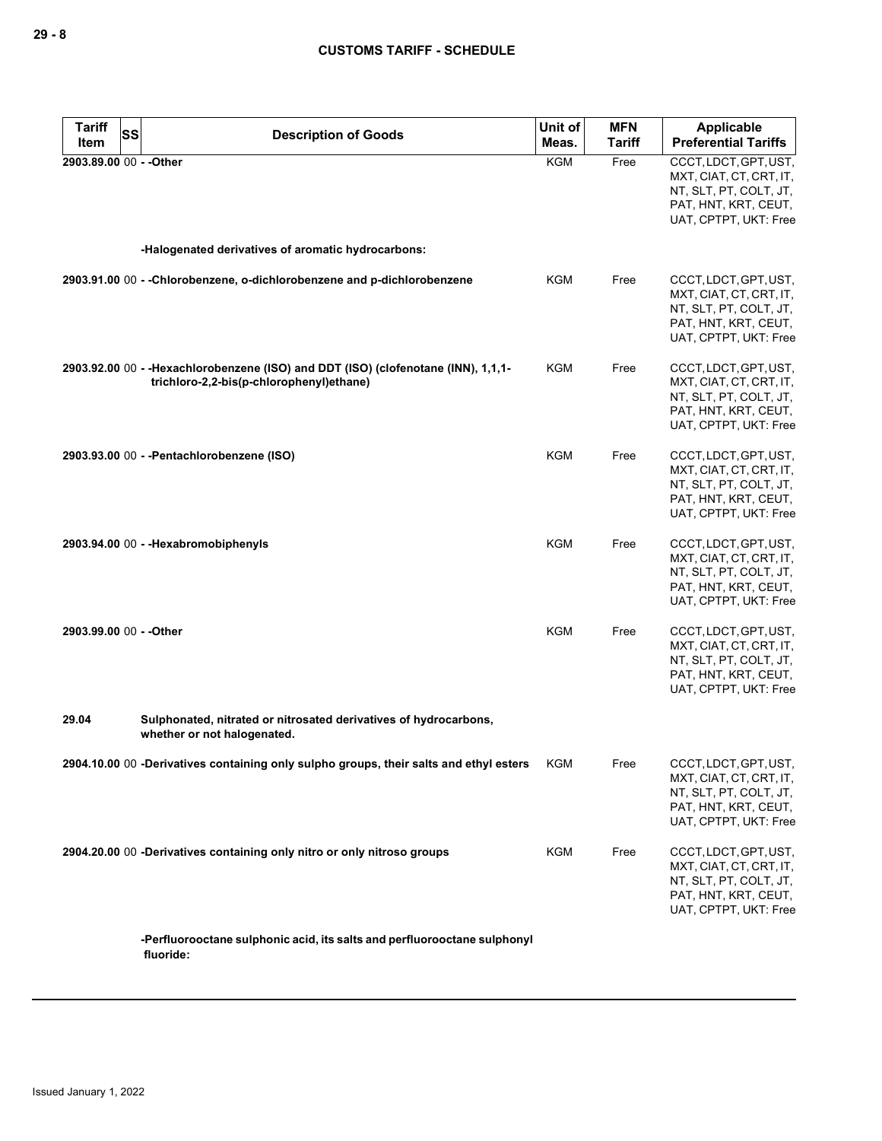| <b>Tariff</b><br>SS<br>Item | <b>Description of Goods</b>                                                                                                    | Unit of<br>Meas. | <b>MFN</b><br>Tariff | Applicable<br><b>Preferential Tariffs</b>                                                                                   |
|-----------------------------|--------------------------------------------------------------------------------------------------------------------------------|------------------|----------------------|-----------------------------------------------------------------------------------------------------------------------------|
| 2903.89.00 00 - - Other     |                                                                                                                                | KGM              | Free                 | CCCT, LDCT, GPT, UST,<br>MXT, CIAT, CT, CRT, IT,<br>NT, SLT, PT, COLT, JT,<br>PAT, HNT, KRT, CEUT,<br>UAT, CPTPT, UKT: Free |
|                             | -Halogenated derivatives of aromatic hydrocarbons:                                                                             |                  |                      |                                                                                                                             |
|                             | 2903.91.00 00 - -Chlorobenzene, o-dichlorobenzene and p-dichlorobenzene                                                        | KGM              | Free                 | CCCT, LDCT, GPT, UST,<br>MXT, CIAT, CT, CRT, IT,<br>NT, SLT, PT, COLT, JT,<br>PAT, HNT, KRT, CEUT,<br>UAT, CPTPT, UKT: Free |
|                             | 2903.92.00 00 - - Hexachlorobenzene (ISO) and DDT (ISO) (clofenotane (INN), 1,1,1-<br>trichloro-2,2-bis(p-chlorophenyl)ethane) | KGM              | Free                 | CCCT, LDCT, GPT, UST,<br>MXT, CIAT, CT, CRT, IT,<br>NT, SLT, PT, COLT, JT,<br>PAT, HNT, KRT, CEUT,<br>UAT, CPTPT, UKT: Free |
|                             | 2903.93.00 00 - - Pentachlorobenzene (ISO)                                                                                     | KGM              | Free                 | CCCT, LDCT, GPT, UST,<br>MXT, CIAT, CT, CRT, IT,<br>NT, SLT, PT, COLT, JT,<br>PAT, HNT, KRT, CEUT,<br>UAT, CPTPT, UKT: Free |
|                             | 2903.94.00 00 - - Hexabromobiphenyls                                                                                           | <b>KGM</b>       | Free                 | CCCT, LDCT, GPT, UST,<br>MXT, CIAT, CT, CRT, IT,<br>NT, SLT, PT, COLT, JT,<br>PAT, HNT, KRT, CEUT,<br>UAT, CPTPT, UKT: Free |
| 2903.99.00 00 - - Other     |                                                                                                                                | <b>KGM</b>       | Free                 | CCCT, LDCT, GPT, UST,<br>MXT, CIAT, CT, CRT, IT,<br>NT, SLT, PT, COLT, JT,<br>PAT, HNT, KRT, CEUT,<br>UAT, CPTPT, UKT: Free |
| 29.04                       | Sulphonated, nitrated or nitrosated derivatives of hydrocarbons,<br>whether or not halogenated.                                |                  |                      |                                                                                                                             |
|                             | 2904.10.00 00 -Derivatives containing only sulpho groups, their salts and ethyl esters                                         | KGM              | Free                 | CCCT, LDCT, GPT, UST,<br>MXT, CIAT, CT, CRT, IT,<br>NT, SLT, PT, COLT, JT,<br>PAT, HNT, KRT, CEUT,<br>UAT, CPTPT, UKT: Free |
|                             | 2904.20.00 00 -Derivatives containing only nitro or only nitroso groups                                                        | KGM              | Free                 | CCCT, LDCT, GPT, UST,<br>MXT, CIAT, CT, CRT, IT,<br>NT, SLT, PT, COLT, JT,<br>PAT, HNT, KRT, CEUT,<br>UAT, CPTPT, UKT: Free |
|                             | -Perfluorooctane sulphonic acid, its salts and perfluorooctane sulphonyl<br>fluoride:                                          |                  |                      |                                                                                                                             |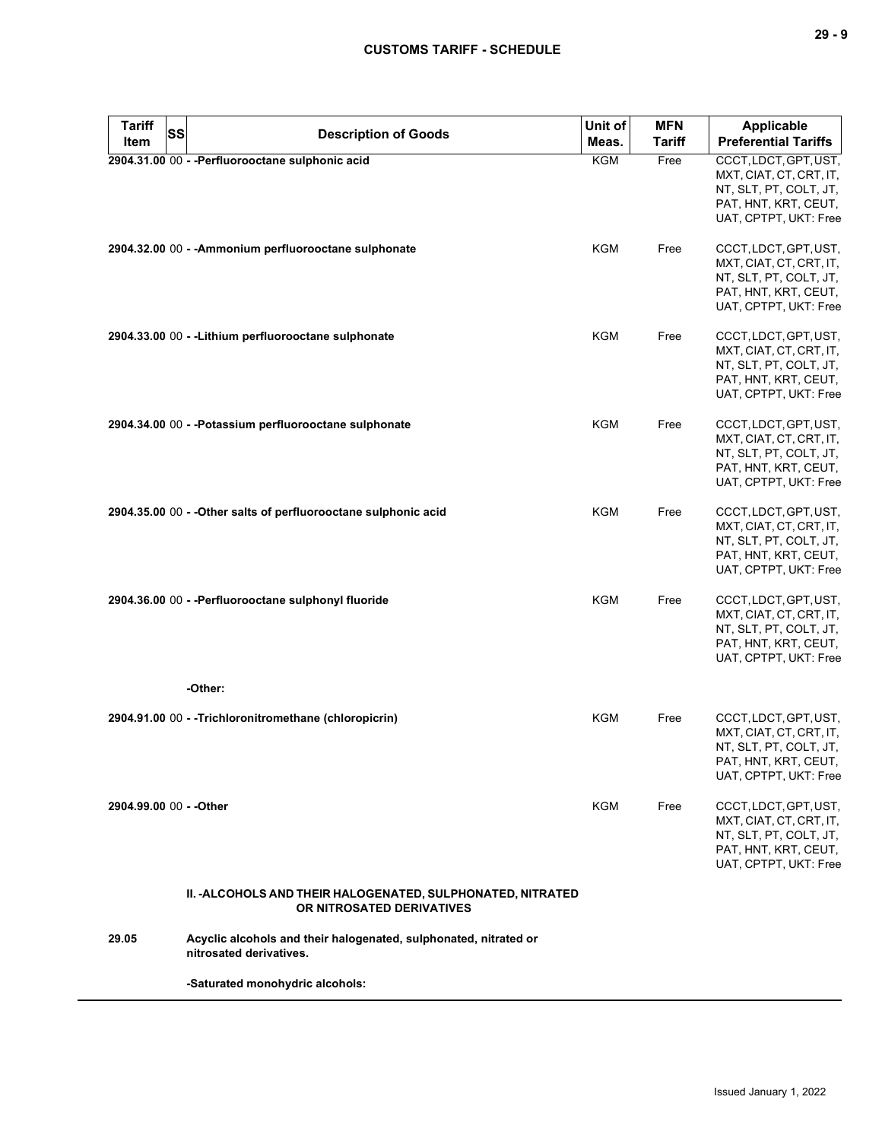| <b>Tariff</b><br>SS<br><b>Item</b> | <b>Description of Goods</b>                                                                 | Unit of<br>Meas. | <b>MFN</b><br><b>Tariff</b> | <b>Applicable</b><br><b>Preferential Tariffs</b>                                                                            |
|------------------------------------|---------------------------------------------------------------------------------------------|------------------|-----------------------------|-----------------------------------------------------------------------------------------------------------------------------|
|                                    | 2904.31.00 00 - - Perfluorooctane sulphonic acid                                            | KGM              | Free                        | CCCT, LDCT, GPT, UST,<br>MXT, CIAT, CT, CRT, IT,<br>NT, SLT, PT, COLT, JT,<br>PAT, HNT, KRT, CEUT,<br>UAT, CPTPT, UKT: Free |
|                                    | 2904.32.00 00 - -Ammonium perfluorooctane sulphonate                                        | <b>KGM</b>       | Free                        | CCCT, LDCT, GPT, UST,<br>MXT, CIAT, CT, CRT, IT,<br>NT, SLT, PT, COLT, JT,<br>PAT, HNT, KRT, CEUT,<br>UAT, CPTPT, UKT: Free |
|                                    | 2904.33.00 00 - - Lithium perfluorooctane sulphonate                                        | <b>KGM</b>       | Free                        | CCCT, LDCT, GPT, UST,<br>MXT, CIAT, CT, CRT, IT,<br>NT, SLT, PT, COLT, JT,<br>PAT, HNT, KRT, CEUT,<br>UAT, CPTPT, UKT: Free |
|                                    | 2904.34.00 00 - - Potassium perfluorooctane sulphonate                                      | <b>KGM</b>       | Free                        | CCCT, LDCT, GPT, UST,<br>MXT, CIAT, CT, CRT, IT,<br>NT, SLT, PT, COLT, JT,<br>PAT, HNT, KRT, CEUT,<br>UAT, CPTPT, UKT: Free |
|                                    | 2904.35.00 00 - - Other salts of perfluorooctane sulphonic acid                             | <b>KGM</b>       | Free                        | CCCT, LDCT, GPT, UST,<br>MXT, CIAT, CT, CRT, IT,<br>NT, SLT, PT, COLT, JT,<br>PAT, HNT, KRT, CEUT,<br>UAT, CPTPT, UKT: Free |
|                                    | 2904.36.00 00 - - Perfluorooctane sulphonyl fluoride                                        | <b>KGM</b>       | Free                        | CCCT, LDCT, GPT, UST,<br>MXT, CIAT, CT, CRT, IT,<br>NT, SLT, PT, COLT, JT,<br>PAT, HNT, KRT, CEUT,<br>UAT, CPTPT, UKT: Free |
|                                    | -Other:                                                                                     |                  |                             |                                                                                                                             |
|                                    | 2904.91.00 00 - - Trichloronitromethane (chloropicrin)                                      | KGM              | Free                        | CCCT, LDCT, GPT, UST,<br>MXT, CIAT, CT, CRT, IT,<br>NT, SLT, PT, COLT, JT,<br>PAT, HNT, KRT, CEUT,<br>UAT, CPTPT, UKT: Free |
| 2904.99.00 00 - - Other            |                                                                                             | KGM              | Free                        | CCCT, LDCT, GPT, UST,<br>MXT, CIAT, CT, CRT, IT,<br>NT, SLT, PT, COLT, JT,<br>PAT, HNT, KRT, CEUT,<br>UAT, CPTPT, UKT: Free |
|                                    | II. -ALCOHOLS AND THEIR HALOGENATED, SULPHONATED, NITRATED<br>OR NITROSATED DERIVATIVES     |                  |                             |                                                                                                                             |
| 29.05                              | Acyclic alcohols and their halogenated, sulphonated, nitrated or<br>nitrosated derivatives. |                  |                             |                                                                                                                             |
|                                    | -Saturated monohydric alcohols:                                                             |                  |                             |                                                                                                                             |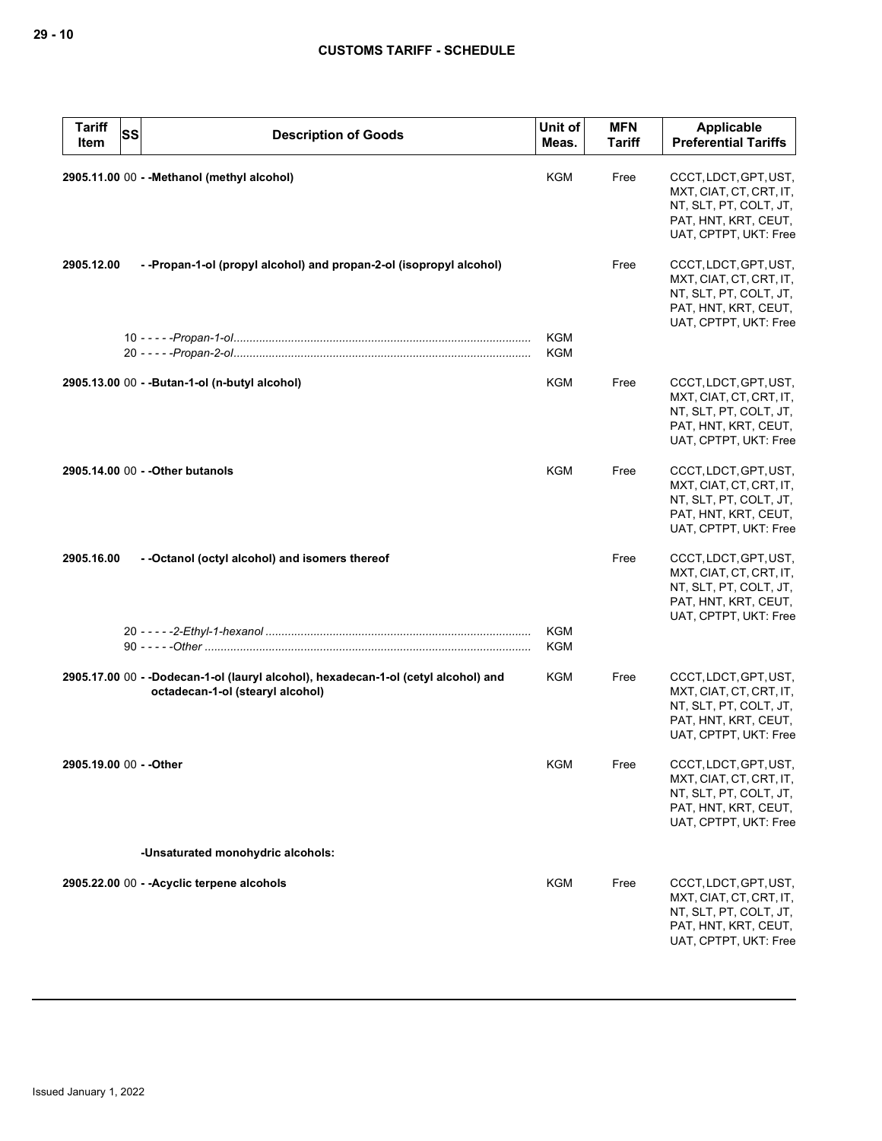| <b>Tariff</b><br>Item   | <b>SS</b><br><b>Description of Goods</b>                                                                               | Unit of<br>Meas.         | <b>MFN</b><br><b>Tariff</b> | <b>Applicable</b><br><b>Preferential Tariffs</b>                                                                            |
|-------------------------|------------------------------------------------------------------------------------------------------------------------|--------------------------|-----------------------------|-----------------------------------------------------------------------------------------------------------------------------|
|                         | 2905.11.00 00 - - Methanol (methyl alcohol)                                                                            | <b>KGM</b>               | Free                        | CCCT, LDCT, GPT, UST,<br>MXT, CIAT, CT, CRT, IT,<br>NT, SLT, PT, COLT, JT,<br>PAT, HNT, KRT, CEUT,<br>UAT, CPTPT, UKT: Free |
| 2905.12.00              | --Propan-1-ol (propyl alcohol) and propan-2-ol (isopropyl alcohol)                                                     |                          | Free                        | CCCT, LDCT, GPT, UST,<br>MXT, CIAT, CT, CRT, IT,<br>NT, SLT, PT, COLT, JT,<br>PAT, HNT, KRT, CEUT,<br>UAT, CPTPT, UKT: Free |
|                         |                                                                                                                        | <b>KGM</b><br><b>KGM</b> |                             |                                                                                                                             |
|                         | 2905.13.00 00 - - Butan-1-ol (n-butyl alcohol)                                                                         | <b>KGM</b>               | Free                        | CCCT, LDCT, GPT, UST,<br>MXT, CIAT, CT, CRT, IT,<br>NT, SLT, PT, COLT, JT,<br>PAT, HNT, KRT, CEUT,<br>UAT, CPTPT, UKT: Free |
|                         | 2905.14.00 00 - - Other butanols                                                                                       | KGM                      | Free                        | CCCT, LDCT, GPT, UST,<br>MXT, CIAT, CT, CRT, IT,<br>NT, SLT, PT, COLT, JT,<br>PAT, HNT, KRT, CEUT,<br>UAT, CPTPT, UKT: Free |
| 2905.16.00              | - - Octanol (octyl alcohol) and isomers thereof                                                                        |                          | Free                        | CCCT, LDCT, GPT, UST,<br>MXT, CIAT, CT, CRT, IT,<br>NT, SLT, PT, COLT, JT,<br>PAT, HNT, KRT, CEUT,<br>UAT, CPTPT, UKT: Free |
|                         |                                                                                                                        | <b>KGM</b><br><b>KGM</b> |                             |                                                                                                                             |
|                         | 2905.17.00 00 - -Dodecan-1-ol (lauryl alcohol), hexadecan-1-ol (cetyl alcohol) and<br>octadecan-1-ol (stearyl alcohol) | KGM                      | Free                        | CCCT, LDCT, GPT, UST,<br>MXT, CIAT, CT, CRT, IT,<br>NT, SLT, PT, COLT, JT,<br>PAT, HNT, KRT, CEUT,<br>UAT, CPTPT, UKT: Free |
| 2905.19.00 00 - - Other |                                                                                                                        | KGM                      | Free                        | CCCT, LDCT, GPT, UST,<br>MXT, CIAT, CT, CRT, IT,<br>NT, SLT, PT, COLT, JT,<br>PAT, HNT, KRT, CEUT,<br>UAT, CPTPT, UKT: Free |
|                         | -Unsaturated monohydric alcohols:                                                                                      |                          |                             |                                                                                                                             |
|                         | 2905.22.00 00 - - Acyclic terpene alcohols                                                                             | KGM                      | Free                        | CCCT, LDCT, GPT, UST,<br>MXT, CIAT, CT, CRT, IT,<br>NT, SLT, PT, COLT, JT,<br>PAT, HNT, KRT, CEUT,<br>UAT, CPTPT, UKT: Free |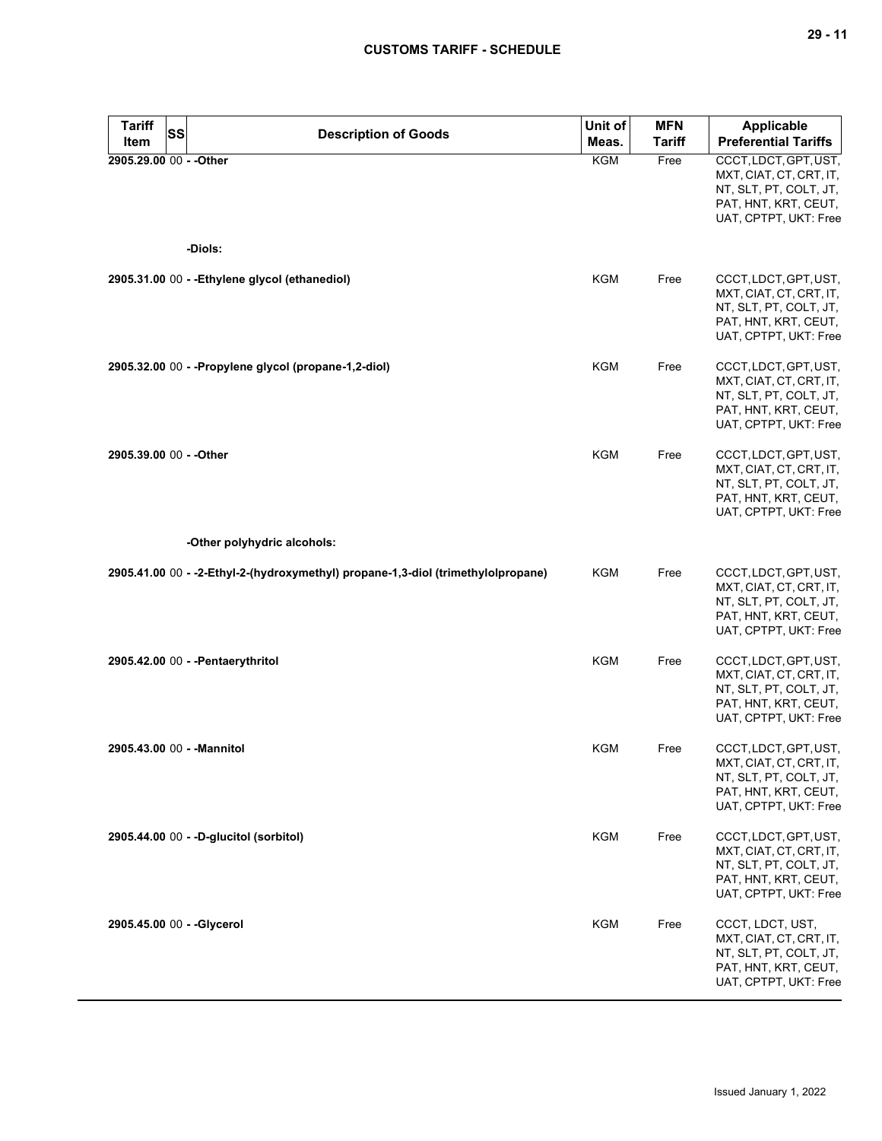| <b>Tariff</b><br>SS<br>Item | <b>Description of Goods</b>                                                      | Unit of<br>Meas. | <b>MFN</b><br><b>Tariff</b> | Applicable<br><b>Preferential Tariffs</b>                                                                                   |
|-----------------------------|----------------------------------------------------------------------------------|------------------|-----------------------------|-----------------------------------------------------------------------------------------------------------------------------|
| 2905.29.00 00 - - Other     |                                                                                  | <b>KGM</b>       | Free                        | CCCT, LDCT, GPT, UST,<br>MXT, CIAT, CT, CRT, IT,<br>NT, SLT, PT, COLT, JT,<br>PAT, HNT, KRT, CEUT,<br>UAT, CPTPT, UKT: Free |
|                             | -Diols:                                                                          |                  |                             |                                                                                                                             |
|                             | 2905.31.00 00 - - Ethylene glycol (ethanediol)                                   | <b>KGM</b>       | Free                        | CCCT, LDCT, GPT, UST,<br>MXT, CIAT, CT, CRT, IT,<br>NT, SLT, PT, COLT, JT,<br>PAT, HNT, KRT, CEUT,<br>UAT, CPTPT, UKT: Free |
|                             | 2905.32.00 00 - - Propylene glycol (propane-1,2-diol)                            | KGM              | Free                        | CCCT, LDCT, GPT, UST,<br>MXT, CIAT, CT, CRT, IT,<br>NT, SLT, PT, COLT, JT,<br>PAT, HNT, KRT, CEUT,<br>UAT, CPTPT, UKT: Free |
| 2905.39.00 00 - - Other     |                                                                                  | <b>KGM</b>       | Free                        | CCCT, LDCT, GPT, UST,<br>MXT, CIAT, CT, CRT, IT,<br>NT, SLT, PT, COLT, JT,<br>PAT, HNT, KRT, CEUT,<br>UAT, CPTPT, UKT: Free |
|                             | -Other polyhydric alcohols:                                                      |                  |                             |                                                                                                                             |
|                             | 2905.41.00 00 - -2-Ethyl-2-(hydroxymethyl) propane-1,3-diol (trimethylolpropane) | <b>KGM</b>       | Free                        | CCCT, LDCT, GPT, UST,<br>MXT, CIAT, CT, CRT, IT,<br>NT, SLT, PT, COLT, JT,<br>PAT, HNT, KRT, CEUT,<br>UAT, CPTPT, UKT: Free |
|                             | 2905.42.00 00 - - Pentaerythritol                                                | <b>KGM</b>       | Free                        | CCCT, LDCT, GPT, UST,<br>MXT, CIAT, CT, CRT, IT,<br>NT, SLT, PT, COLT, JT,<br>PAT, HNT, KRT, CEUT,<br>UAT, CPTPT, UKT: Free |
| 2905.43.00 00 - - Mannitol  |                                                                                  | <b>KGM</b>       | Free                        | CCCT, LDCT, GPT, UST,<br>MXT, CIAT, CT, CRT, IT,<br>NT, SLT, PT, COLT, JT,<br>PAT, HNT, KRT, CEUT,<br>UAT, CPTPT, UKT: Free |
|                             | 2905.44.00 00 - -D-glucitol (sorbitol)                                           | <b>KGM</b>       | Free                        | CCCT, LDCT, GPT, UST,<br>MXT, CIAT, CT, CRT, IT,<br>NT, SLT, PT, COLT, JT,<br>PAT, HNT, KRT, CEUT,<br>UAT, CPTPT, UKT: Free |
| 2905.45.00 00 - - Glycerol  |                                                                                  | KGM              | Free                        | CCCT, LDCT, UST,<br>MXT, CIAT, CT, CRT, IT,<br>NT, SLT, PT, COLT, JT,<br>PAT, HNT, KRT, CEUT,<br>UAT, CPTPT, UKT: Free      |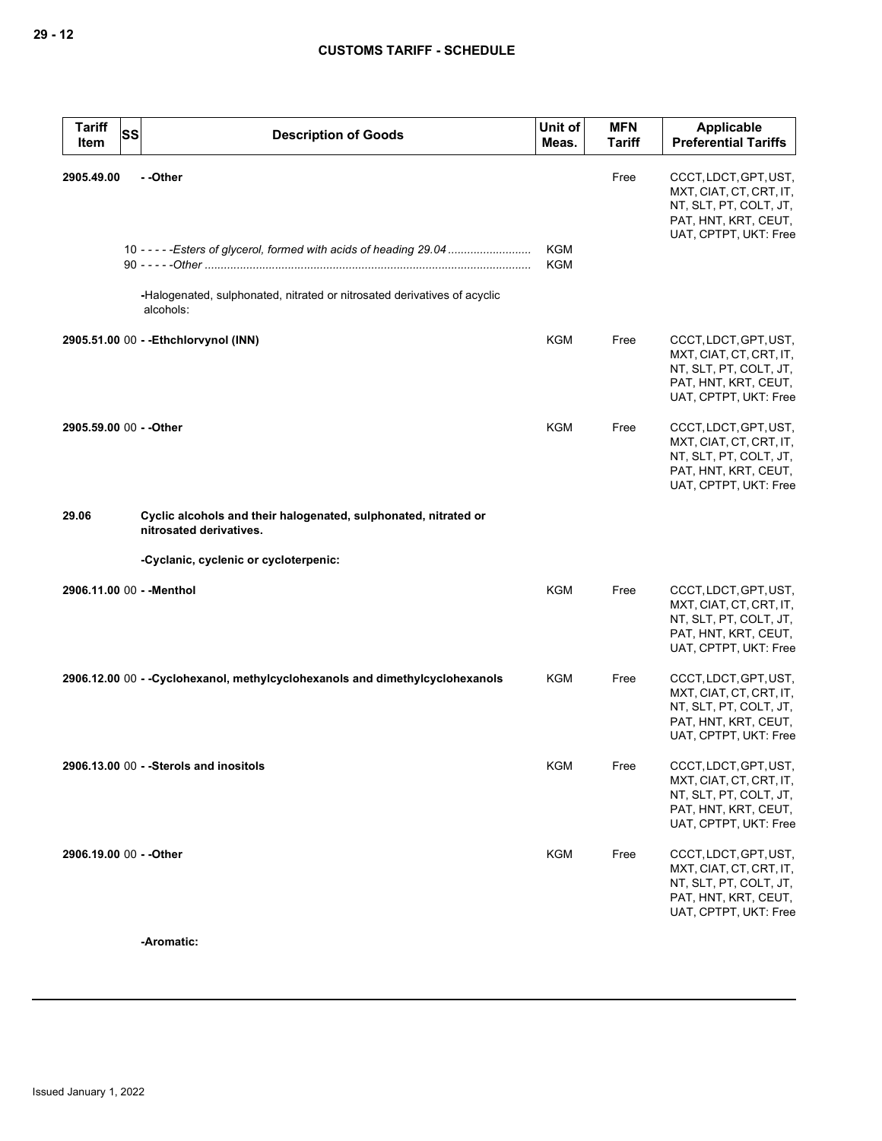| <b>Tariff</b><br><b>SS</b><br>Item | <b>Description of Goods</b>                                                                | Unit of<br>Meas.         | <b>MFN</b><br><b>Tariff</b> | Applicable<br><b>Preferential Tariffs</b>                                                                                   |
|------------------------------------|--------------------------------------------------------------------------------------------|--------------------------|-----------------------------|-----------------------------------------------------------------------------------------------------------------------------|
| 2905.49.00                         | - -Other                                                                                   |                          | Free                        | CCCT, LDCT, GPT, UST,<br>MXT, CIAT, CT, CRT, IT,<br>NT, SLT, PT, COLT, JT,<br>PAT, HNT, KRT, CEUT,<br>UAT, CPTPT, UKT: Free |
|                                    | 10 - - - - - Esters of glycerol, formed with acids of heading 29.04                        | <b>KGM</b><br><b>KGM</b> |                             |                                                                                                                             |
|                                    | -Halogenated, sulphonated, nitrated or nitrosated derivatives of acyclic<br>alcohols:      |                          |                             |                                                                                                                             |
|                                    | 2905.51.00 00 - - Ethchlorvynol (INN)                                                      | KGM                      | Free                        | CCCT, LDCT, GPT, UST,<br>MXT, CIAT, CT, CRT, IT,<br>NT, SLT, PT, COLT, JT,<br>PAT, HNT, KRT, CEUT,<br>UAT, CPTPT, UKT: Free |
| 2905.59.00 00 - - Other            |                                                                                            | <b>KGM</b>               | Free                        | CCCT, LDCT, GPT, UST,<br>MXT, CIAT, CT, CRT, IT,<br>NT, SLT, PT, COLT, JT,<br>PAT, HNT, KRT, CEUT,<br>UAT, CPTPT, UKT: Free |
| 29.06                              | Cyclic alcohols and their halogenated, sulphonated, nitrated or<br>nitrosated derivatives. |                          |                             |                                                                                                                             |
|                                    | -Cyclanic, cyclenic or cycloterpenic:                                                      |                          |                             |                                                                                                                             |
| 2906.11.00 00 - - Menthol          |                                                                                            | <b>KGM</b>               | Free                        | CCCT, LDCT, GPT, UST,<br>MXT, CIAT, CT, CRT, IT,<br>NT, SLT, PT, COLT, JT,<br>PAT, HNT, KRT, CEUT,<br>UAT, CPTPT, UKT: Free |
|                                    | 2906.12.00 00 - -Cyclohexanol, methylcyclohexanols and dimethylcyclohexanols               | KGM                      | Free                        | CCCT, LDCT, GPT, UST,<br>MXT, CIAT, CT, CRT, IT,<br>NT, SLT, PT, COLT, JT,<br>PAT, HNT, KRT, CEUT,<br>UAT, CPTPT, UKT: Free |
|                                    | 2906.13.00 00 - - Sterols and inositols                                                    | <b>KGM</b>               | Free                        | CCCT, LDCT, GPT, UST,<br>MXT, CIAT, CT, CRT, IT,<br>NT, SLT, PT, COLT, JT,<br>PAT, HNT, KRT, CEUT,<br>UAT, CPTPT, UKT: Free |
| 2906.19.00 00 - - Other            |                                                                                            | <b>KGM</b>               | Free                        | CCCT, LDCT, GPT, UST,<br>MXT, CIAT, CT, CRT, IT,<br>NT, SLT, PT, COLT, JT,<br>PAT, HNT, KRT, CEUT,<br>UAT, CPTPT, UKT: Free |

**-Aromatic:**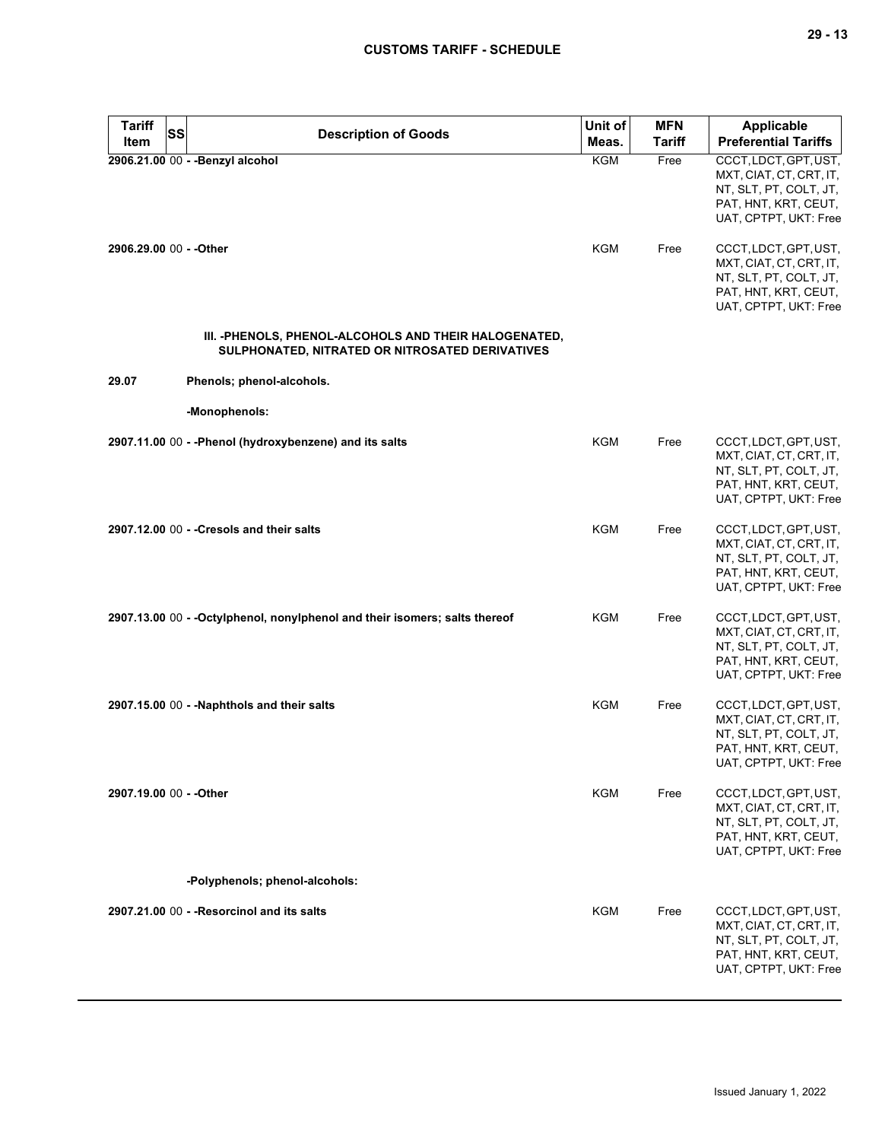| <b>Tariff</b><br><b>SS</b> | <b>Description of Goods</b>                                                                               | Unit of    | <b>MFN</b>    | Applicable                                                                                                                  |
|----------------------------|-----------------------------------------------------------------------------------------------------------|------------|---------------|-----------------------------------------------------------------------------------------------------------------------------|
| Item                       |                                                                                                           | Meas.      | <b>Tariff</b> | <b>Preferential Tariffs</b>                                                                                                 |
|                            | 2906.21.00 00 - - Benzyl alcohol                                                                          | <b>KGM</b> | Free          | CCCT, LDCT, GPT, UST,<br>MXT, CIAT, CT, CRT, IT,<br>NT, SLT, PT, COLT, JT,<br>PAT, HNT, KRT, CEUT,<br>UAT, CPTPT, UKT: Free |
| 2906.29.00 00 - - Other    |                                                                                                           | KGM        | Free          | CCCT, LDCT, GPT, UST,<br>MXT, CIAT, CT, CRT, IT,<br>NT, SLT, PT, COLT, JT,<br>PAT, HNT, KRT, CEUT,<br>UAT, CPTPT, UKT: Free |
|                            | III. - PHENOLS, PHENOL-ALCOHOLS AND THEIR HALOGENATED,<br>SULPHONATED, NITRATED OR NITROSATED DERIVATIVES |            |               |                                                                                                                             |
| 29.07                      | Phenols; phenol-alcohols.                                                                                 |            |               |                                                                                                                             |
|                            | -Monophenols:                                                                                             |            |               |                                                                                                                             |
|                            | 2907.11.00 00 - - Phenol (hydroxybenzene) and its salts                                                   | KGM        | Free          | CCCT, LDCT, GPT, UST,<br>MXT, CIAT, CT, CRT, IT,<br>NT, SLT, PT, COLT, JT,<br>PAT, HNT, KRT, CEUT,<br>UAT, CPTPT, UKT: Free |
|                            | 2907.12.00 00 - - Cresols and their salts                                                                 | <b>KGM</b> | Free          | CCCT, LDCT, GPT, UST,<br>MXT, CIAT, CT, CRT, IT,<br>NT, SLT, PT, COLT, JT,<br>PAT, HNT, KRT, CEUT,<br>UAT, CPTPT, UKT: Free |
|                            | 2907.13.00 00 - - Octylphenol, nonylphenol and their isomers; salts thereof                               | KGM        | Free          | CCCT, LDCT, GPT, UST,<br>MXT, CIAT, CT, CRT, IT,<br>NT, SLT, PT, COLT, JT,<br>PAT, HNT, KRT, CEUT,<br>UAT, CPTPT, UKT: Free |
|                            | 2907.15.00 00 - - Naphthols and their salts                                                               | <b>KGM</b> | Free          | CCCT, LDCT, GPT, UST,<br>MXT, CIAT, CT, CRT, IT,<br>NT, SLT, PT, COLT, JT,<br>PAT, HNT, KRT, CEUT,<br>UAT, CPTPT, UKT: Free |
| 2907.19.00 00 - - Other    |                                                                                                           | KGM        | Free          | CCCT, LDCT, GPT, UST,<br>MXT, CIAT, CT, CRT, IT,<br>NT, SLT, PT, COLT, JT,<br>PAT, HNT, KRT, CEUT,<br>UAT, CPTPT, UKT: Free |
|                            | -Polyphenols; phenol-alcohols:                                                                            |            |               |                                                                                                                             |
|                            | 2907.21.00 00 - - Resorcinol and its salts                                                                | KGM        | Free          | CCCT, LDCT, GPT, UST,<br>MXT, CIAT, CT, CRT, IT,<br>NT, SLT, PT, COLT, JT,<br>PAT, HNT, KRT, CEUT,<br>UAT, CPTPT, UKT: Free |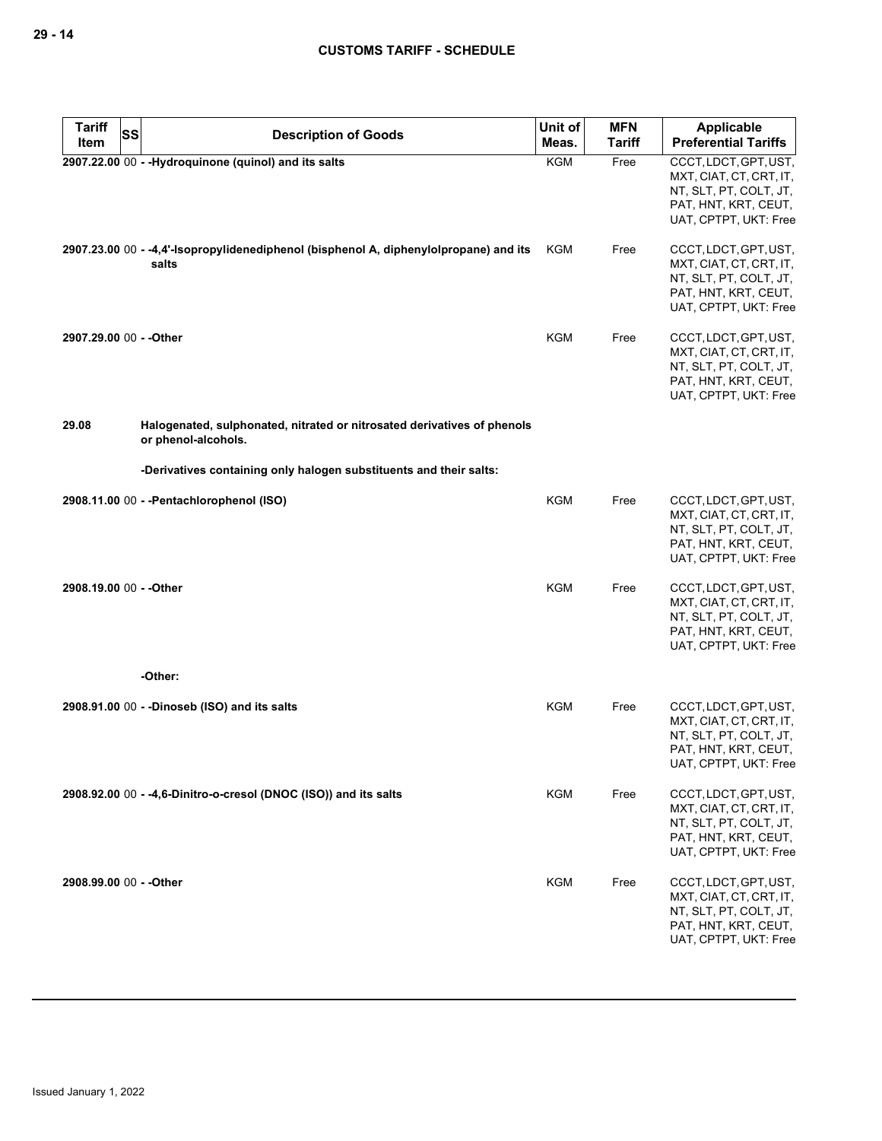| <b>Tariff</b>           | <b>SS</b><br><b>Description of Goods</b>                                                       | Unit of    | <b>MFN</b>    | <b>Applicable</b>                                                                                                           |
|-------------------------|------------------------------------------------------------------------------------------------|------------|---------------|-----------------------------------------------------------------------------------------------------------------------------|
| Item                    |                                                                                                | Meas.      | <b>Tariff</b> | <b>Preferential Tariffs</b>                                                                                                 |
|                         | 2907.22.00 00 - -Hydroquinone (quinol) and its salts                                           | <b>KGM</b> | Free          | CCCT, LDCT, GPT, UST,<br>MXT, CIAT, CT, CRT, IT,<br>NT, SLT, PT, COLT, JT,<br>PAT, HNT, KRT, CEUT,<br>UAT, CPTPT, UKT: Free |
|                         | 2907.23.00 00 - -4,4'-isopropylidenediphenol (bisphenol A, diphenylolpropane) and its<br>salts | KGM        | Free          | CCCT, LDCT, GPT, UST,<br>MXT, CIAT, CT, CRT, IT,<br>NT, SLT, PT, COLT, JT,<br>PAT, HNT, KRT, CEUT,<br>UAT, CPTPT, UKT: Free |
| 2907.29.00 00 - - Other |                                                                                                | KGM        | Free          | CCCT, LDCT, GPT, UST,<br>MXT, CIAT, CT, CRT, IT,<br>NT, SLT, PT, COLT, JT,<br>PAT, HNT, KRT, CEUT,<br>UAT, CPTPT, UKT: Free |
| 29.08                   | Halogenated, sulphonated, nitrated or nitrosated derivatives of phenols<br>or phenol-alcohols. |            |               |                                                                                                                             |
|                         | -Derivatives containing only halogen substituents and their salts:                             |            |               |                                                                                                                             |
|                         | 2908.11.00 00 - - Pentachlorophenol (ISO)                                                      | <b>KGM</b> | Free          | CCCT, LDCT, GPT, UST,<br>MXT, CIAT, CT, CRT, IT,<br>NT, SLT, PT, COLT, JT,<br>PAT, HNT, KRT, CEUT,<br>UAT, CPTPT, UKT: Free |
| 2908.19.00 00 - - Other |                                                                                                | KGM        | Free          | CCCT, LDCT, GPT, UST,<br>MXT, CIAT, CT, CRT, IT,<br>NT, SLT, PT, COLT, JT,<br>PAT, HNT, KRT, CEUT,<br>UAT, CPTPT, UKT: Free |
|                         | -Other:                                                                                        |            |               |                                                                                                                             |
|                         | 2908.91.00 00 - -Dinoseb (ISO) and its salts                                                   | <b>KGM</b> | Free          | CCCT, LDCT, GPT, UST,<br>MXT, CIAT, CT, CRT, IT,<br>NT, SLT, PT, COLT, JT,<br>PAT, HNT, KRT, CEUT,<br>UAT, CPTPT, UKT: Free |
|                         | 2908.92.00 00 - -4,6-Dinitro-o-cresol (DNOC (ISO)) and its salts                               | <b>KGM</b> | Free          | CCCT, LDCT, GPT, UST,<br>MXT, CIAT, CT, CRT, IT,<br>NT, SLT, PT, COLT, JT,<br>PAT, HNT, KRT, CEUT,<br>UAT, CPTPT, UKT: Free |
| 2908.99.00 00 - - Other |                                                                                                | <b>KGM</b> | Free          | CCCT, LDCT, GPT, UST,<br>MXT, CIAT, CT, CRT, IT,<br>NT, SLT, PT, COLT, JT,<br>PAT, HNT, KRT, CEUT,<br>UAT, CPTPT, UKT: Free |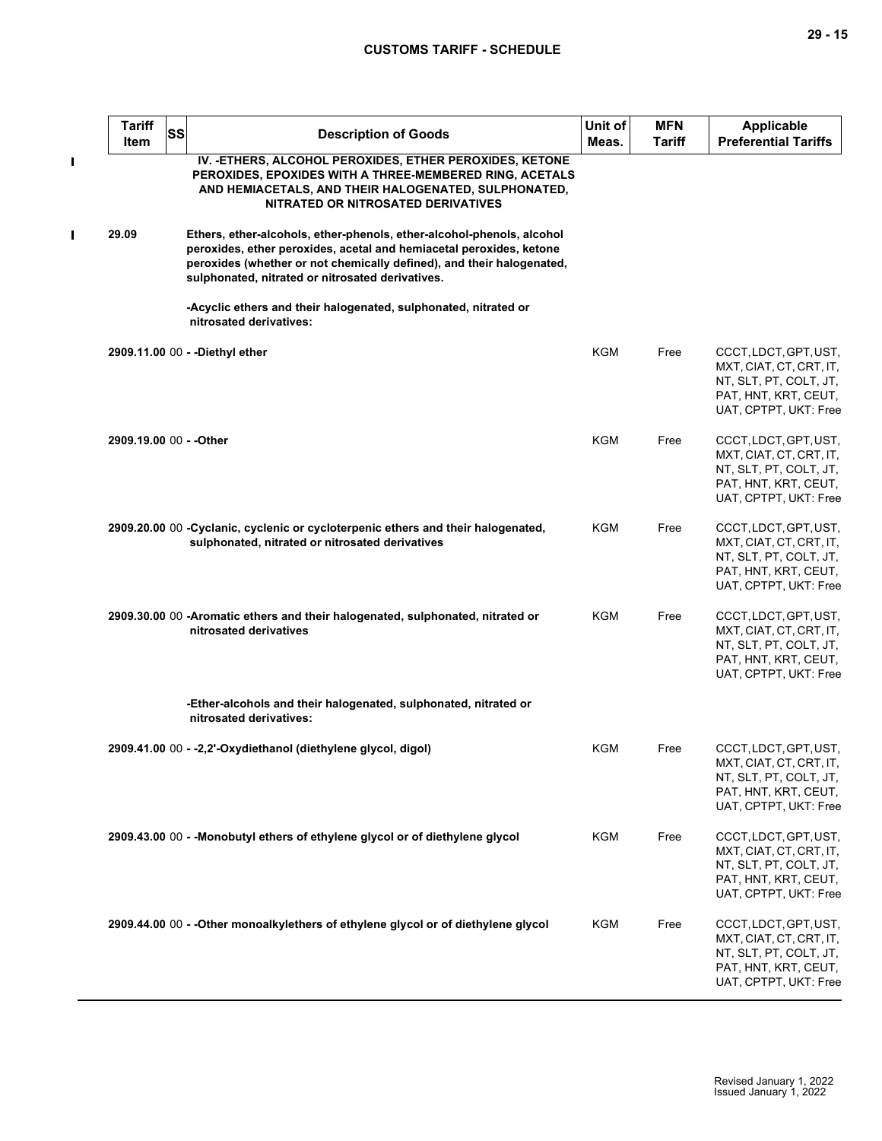$\mathbf{I}$ 

| <b>Tariff</b><br><b>Item</b> | <b>SS</b> | <b>Description of Goods</b>                                                                                                                                                                                                                                               | Unit of<br>Meas. | <b>MFN</b><br>Tariff | <b>Applicable</b><br><b>Preferential Tariffs</b>                                                                            |
|------------------------------|-----------|---------------------------------------------------------------------------------------------------------------------------------------------------------------------------------------------------------------------------------------------------------------------------|------------------|----------------------|-----------------------------------------------------------------------------------------------------------------------------|
|                              |           | IV. - ETHERS, ALCOHOL PEROXIDES, ETHER PEROXIDES, KETONE<br>PEROXIDES, EPOXIDES WITH A THREE-MEMBERED RING, ACETALS<br>AND HEMIACETALS, AND THEIR HALOGENATED, SULPHONATED,<br>NITRATED OR NITROSATED DERIVATIVES                                                         |                  |                      |                                                                                                                             |
| 29.09                        |           | Ethers, ether-alcohols, ether-phenols, ether-alcohol-phenols, alcohol<br>peroxides, ether peroxides, acetal and hemiacetal peroxides, ketone<br>peroxides (whether or not chemically defined), and their halogenated,<br>sulphonated, nitrated or nitrosated derivatives. |                  |                      |                                                                                                                             |
|                              |           | -Acyclic ethers and their halogenated, sulphonated, nitrated or<br>nitrosated derivatives:                                                                                                                                                                                |                  |                      |                                                                                                                             |
|                              |           | 2909.11.00 00 - -Diethyl ether                                                                                                                                                                                                                                            | <b>KGM</b>       | Free                 | CCCT, LDCT, GPT, UST,<br>MXT, CIAT, CT, CRT, IT,<br>NT, SLT, PT, COLT, JT,<br>PAT, HNT, KRT, CEUT,<br>UAT, CPTPT, UKT: Free |
| 2909.19.00 00 - - Other      |           |                                                                                                                                                                                                                                                                           | <b>KGM</b>       | Free                 | CCCT, LDCT, GPT, UST,<br>MXT, CIAT, CT, CRT, IT,<br>NT, SLT, PT, COLT, JT,<br>PAT, HNT, KRT, CEUT,<br>UAT, CPTPT, UKT: Free |
|                              |           | 2909.20.00 00 - Cyclanic, cyclenic or cycloterpenic ethers and their halogenated,<br>sulphonated, nitrated or nitrosated derivatives                                                                                                                                      | <b>KGM</b>       | Free                 | CCCT, LDCT, GPT, UST,<br>MXT, CIAT, CT, CRT, IT,<br>NT, SLT, PT, COLT, JT,<br>PAT, HNT, KRT, CEUT,<br>UAT, CPTPT, UKT: Free |
|                              |           | 2909.30.00 00 - Aromatic ethers and their halogenated, sulphonated, nitrated or<br>nitrosated derivatives                                                                                                                                                                 | <b>KGM</b>       | Free                 | CCCT, LDCT, GPT, UST,<br>MXT, CIAT, CT, CRT, IT,<br>NT, SLT, PT, COLT, JT,<br>PAT, HNT, KRT, CEUT,<br>UAT, CPTPT, UKT: Free |
|                              |           | -Ether-alcohols and their halogenated, sulphonated, nitrated or<br>nitrosated derivatives:                                                                                                                                                                                |                  |                      |                                                                                                                             |
|                              |           | 2909.41.00 00 - -2,2'-Oxydiethanol (diethylene glycol, digol)                                                                                                                                                                                                             | KGM              | Free                 | CCCT, LDCT, GPT, UST,<br>MXT, CIAT, CT, CRT, IT,<br>NT, SLT, PT, COLT, JT,<br>PAT, HNT, KRT, CEUT,<br>UAT, CPTPT, UKT: Free |
|                              |           | 2909.43.00 00 - - Monobutyl ethers of ethylene glycol or of diethylene glycol                                                                                                                                                                                             | KGM              | Free                 | CCCT, LDCT, GPT, UST,<br>MXT, CIAT, CT, CRT, IT,<br>NT, SLT, PT, COLT, JT,<br>PAT, HNT, KRT, CEUT,<br>UAT, CPTPT, UKT: Free |
|                              |           | 2909.44.00 00 - - Other monoalkylethers of ethylene glycol or of diethylene glycol                                                                                                                                                                                        | KGM              | Free                 | CCCT, LDCT, GPT, UST,<br>MXT, CIAT, CT, CRT, IT,<br>NT, SLT, PT, COLT, JT,<br>PAT, HNT, KRT, CEUT,<br>UAT, CPTPT, UKT: Free |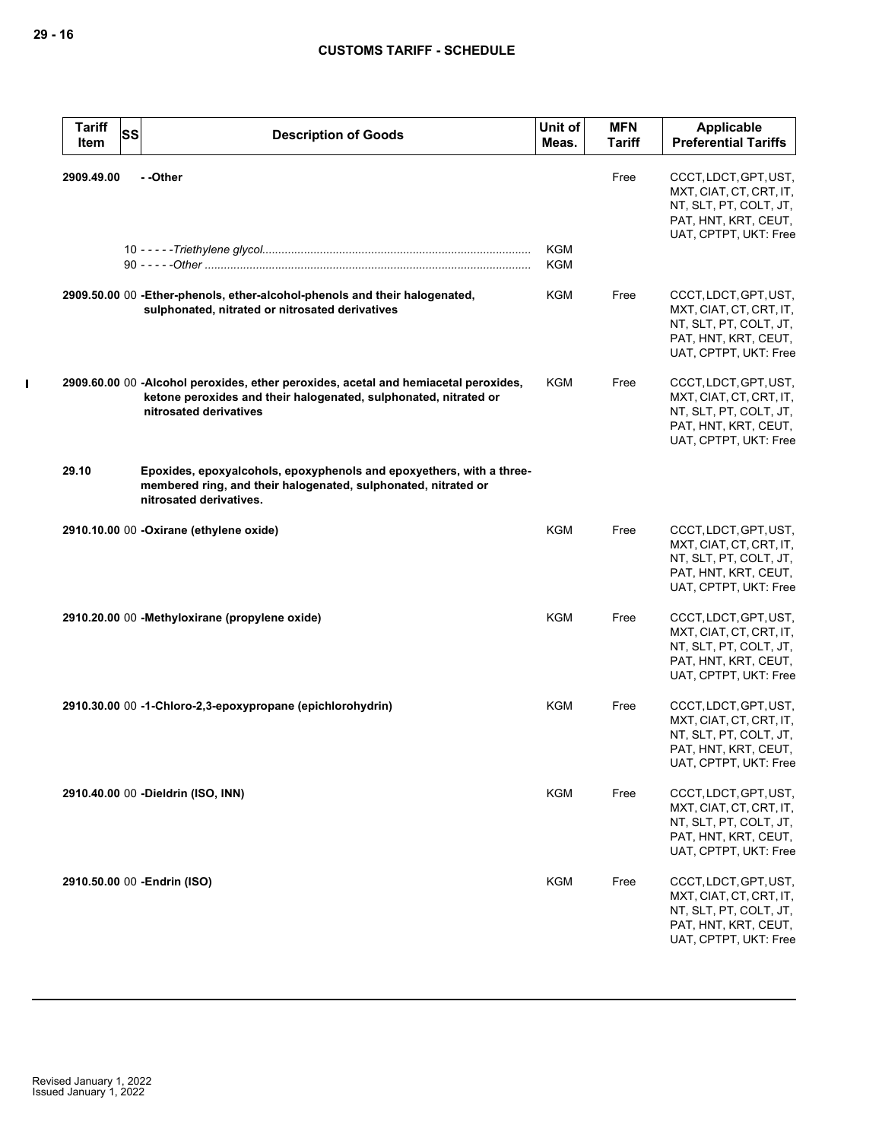| <b>Tariff</b><br>Item | <b>SS</b> | <b>Description of Goods</b>                                                                                                                                                       | Unit of<br>Meas.  | <b>MFN</b><br><b>Tariff</b> | Applicable<br><b>Preferential Tariffs</b>                                                                                   |
|-----------------------|-----------|-----------------------------------------------------------------------------------------------------------------------------------------------------------------------------------|-------------------|-----------------------------|-----------------------------------------------------------------------------------------------------------------------------|
| 2909.49.00            |           | - -Other                                                                                                                                                                          |                   | Free                        | CCCT, LDCT, GPT, UST,<br>MXT, CIAT, CT, CRT, IT,<br>NT, SLT, PT, COLT, JT,<br>PAT, HNT, KRT, CEUT,<br>UAT, CPTPT, UKT: Free |
|                       |           |                                                                                                                                                                                   | KGM<br><b>KGM</b> |                             |                                                                                                                             |
|                       |           | 2909.50.00 00 - Ether-phenols, ether-alcohol-phenols and their halogenated,<br>sulphonated, nitrated or nitrosated derivatives                                                    | <b>KGM</b>        | Free                        | CCCT, LDCT, GPT, UST,<br>MXT, CIAT, CT, CRT, IT,<br>NT, SLT, PT, COLT, JT,<br>PAT, HNT, KRT, CEUT,<br>UAT, CPTPT, UKT: Free |
|                       |           | 2909.60.00 00 -Alcohol peroxides, ether peroxides, acetal and hemiacetal peroxides,<br>ketone peroxides and their halogenated, sulphonated, nitrated or<br>nitrosated derivatives | <b>KGM</b>        | Free                        | CCCT, LDCT, GPT, UST,<br>MXT, CIAT, CT, CRT, IT,<br>NT, SLT, PT, COLT, JT,<br>PAT, HNT, KRT, CEUT,<br>UAT, CPTPT, UKT: Free |
| 29.10                 |           | Epoxides, epoxyalcohols, epoxyphenols and epoxyethers, with a three-<br>membered ring, and their halogenated, sulphonated, nitrated or<br>nitrosated derivatives.                 |                   |                             |                                                                                                                             |
|                       |           | 2910.10.00 00 -Oxirane (ethylene oxide)                                                                                                                                           | <b>KGM</b>        | Free                        | CCCT, LDCT, GPT, UST,<br>MXT, CIAT, CT, CRT, IT,<br>NT, SLT, PT, COLT, JT,<br>PAT, HNT, KRT, CEUT,<br>UAT, CPTPT, UKT: Free |
|                       |           | 2910.20.00 00 - Methyloxirane (propylene oxide)                                                                                                                                   | <b>KGM</b>        | Free                        | CCCT, LDCT, GPT, UST,<br>MXT, CIAT, CT, CRT, IT,<br>NT, SLT, PT, COLT, JT,<br>PAT, HNT, KRT, CEUT,<br>UAT, CPTPT, UKT: Free |
|                       |           | 2910.30.00 00 -1-Chloro-2,3-epoxypropane (epichlorohydrin)                                                                                                                        | <b>KGM</b>        | Free                        | CCCT, LDCT, GPT, UST,<br>MXT, CIAT, CT, CRT, IT,<br>NT, SLT, PT, COLT, JT,<br>PAT, HNT, KRT, CEUT,<br>UAT, CPTPT, UKT: Free |
|                       |           | 2910.40.00 00 - Dieldrin (ISO, INN)                                                                                                                                               | <b>KGM</b>        | Free                        | CCCT, LDCT, GPT, UST,<br>MXT, CIAT, CT, CRT, IT,<br>NT, SLT, PT, COLT, JT,<br>PAT, HNT, KRT, CEUT,<br>UAT, CPTPT, UKT: Free |
|                       |           | 2910.50.00 00 - Endrin (ISO)                                                                                                                                                      | <b>KGM</b>        | Free                        | CCCT, LDCT, GPT, UST,<br>MXT, CIAT, CT, CRT, IT,<br>NT, SLT, PT, COLT, JT,<br>PAT, HNT, KRT, CEUT,<br>UAT, CPTPT, UKT: Free |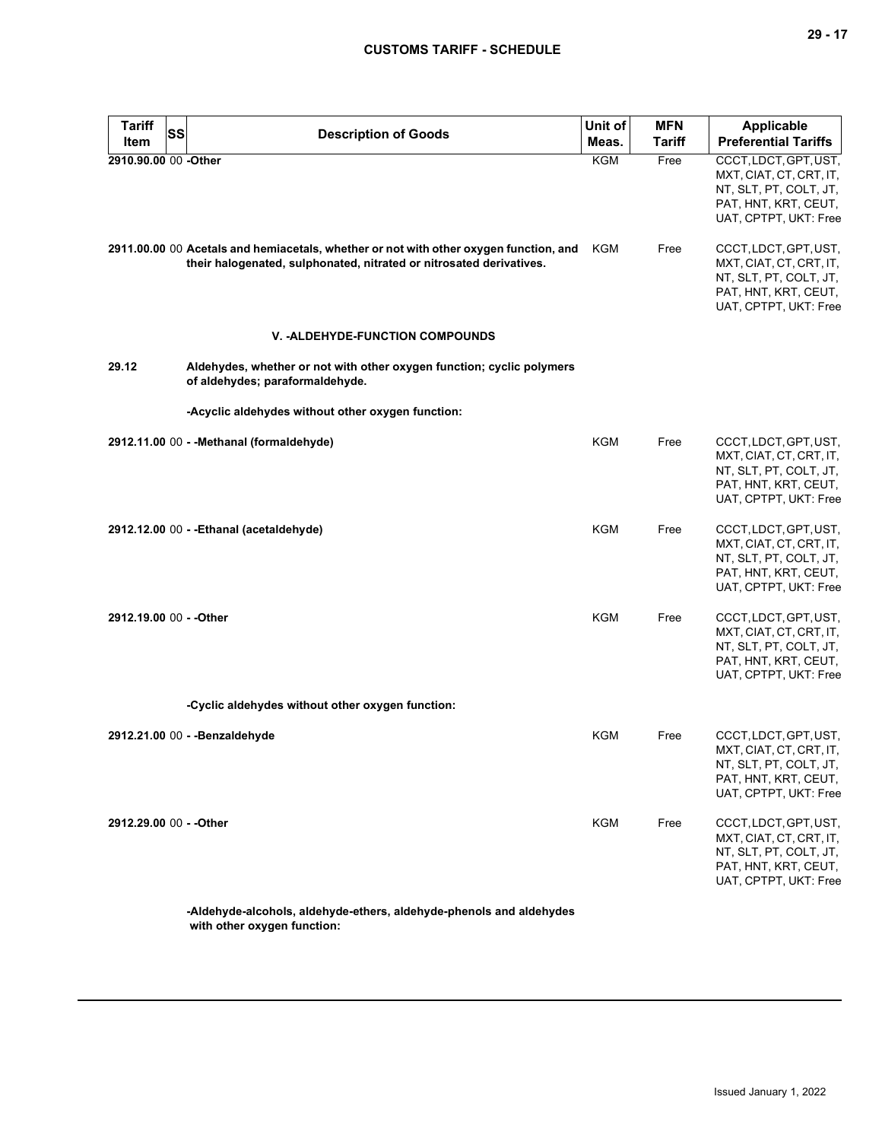| <b>Tariff</b>           | SS<br><b>Description of Goods</b>                                                                                                                            | Unit of    | <b>MFN</b>    | <b>Applicable</b>                                                                                                           |
|-------------------------|--------------------------------------------------------------------------------------------------------------------------------------------------------------|------------|---------------|-----------------------------------------------------------------------------------------------------------------------------|
| Item                    |                                                                                                                                                              | Meas.      | <b>Tariff</b> | <b>Preferential Tariffs</b>                                                                                                 |
| 2910.90.00 00 -Other    |                                                                                                                                                              | <b>KGM</b> | Free          | CCCT, LDCT, GPT, UST,<br>MXT, CIAT, CT, CRT, IT,<br>NT, SLT, PT, COLT, JT,<br>PAT, HNT, KRT, CEUT,<br>UAT, CPTPT, UKT: Free |
|                         | 2911.00.00 00 Acetals and hemiacetals, whether or not with other oxygen function, and<br>their halogenated, sulphonated, nitrated or nitrosated derivatives. | KGM        | Free          | CCCT, LDCT, GPT, UST,<br>MXT, CIAT, CT, CRT, IT,<br>NT, SLT, PT, COLT, JT,<br>PAT, HNT, KRT, CEUT,<br>UAT, CPTPT, UKT: Free |
|                         | <b>V. -ALDEHYDE-FUNCTION COMPOUNDS</b>                                                                                                                       |            |               |                                                                                                                             |
| 29.12                   | Aldehydes, whether or not with other oxygen function; cyclic polymers<br>of aldehydes; paraformaldehyde.                                                     |            |               |                                                                                                                             |
|                         | -Acyclic aldehydes without other oxygen function:                                                                                                            |            |               |                                                                                                                             |
|                         | 2912.11.00 00 - - Methanal (formaldehyde)                                                                                                                    | KGM        | Free          | CCCT, LDCT, GPT, UST,<br>MXT, CIAT, CT, CRT, IT,<br>NT, SLT, PT, COLT, JT,<br>PAT, HNT, KRT, CEUT,<br>UAT, CPTPT, UKT: Free |
|                         | 2912.12.00 00 - - Ethanal (acetaldehyde)                                                                                                                     | <b>KGM</b> | Free          | CCCT, LDCT, GPT, UST,<br>MXT, CIAT, CT, CRT, IT,<br>NT, SLT, PT, COLT, JT,<br>PAT, HNT, KRT, CEUT,<br>UAT, CPTPT, UKT: Free |
| 2912.19.00 00 - - Other |                                                                                                                                                              | <b>KGM</b> | Free          | CCCT, LDCT, GPT, UST,<br>MXT, CIAT, CT, CRT, IT,<br>NT, SLT, PT, COLT, JT,<br>PAT, HNT, KRT, CEUT,<br>UAT, CPTPT, UKT: Free |
|                         | -Cyclic aldehydes without other oxygen function:                                                                                                             |            |               |                                                                                                                             |
|                         | 2912.21.00 00 - - Benzaldehyde                                                                                                                               | KGM        | Free          | CCCT, LDCT, GPT, UST,<br>MXT, CIAT, CT, CRT, IT,<br>NT, SLT, PT, COLT, JT,<br>PAT, HNT, KRT, CEUT,<br>UAT, CPTPT, UKT: Free |
| 2912.29.00 00 - - Other |                                                                                                                                                              | <b>KGM</b> | Free          | CCCT, LDCT, GPT, UST,<br>MXT, CIAT, CT, CRT, IT,<br>NT, SLT, PT, COLT, JT,<br>PAT, HNT, KRT, CEUT,<br>UAT, CPTPT, UKT: Free |
|                         |                                                                                                                                                              |            |               |                                                                                                                             |

**-Aldehyde-alcohols, aldehyde-ethers, aldehyde-phenols and aldehydes with other oxygen function:**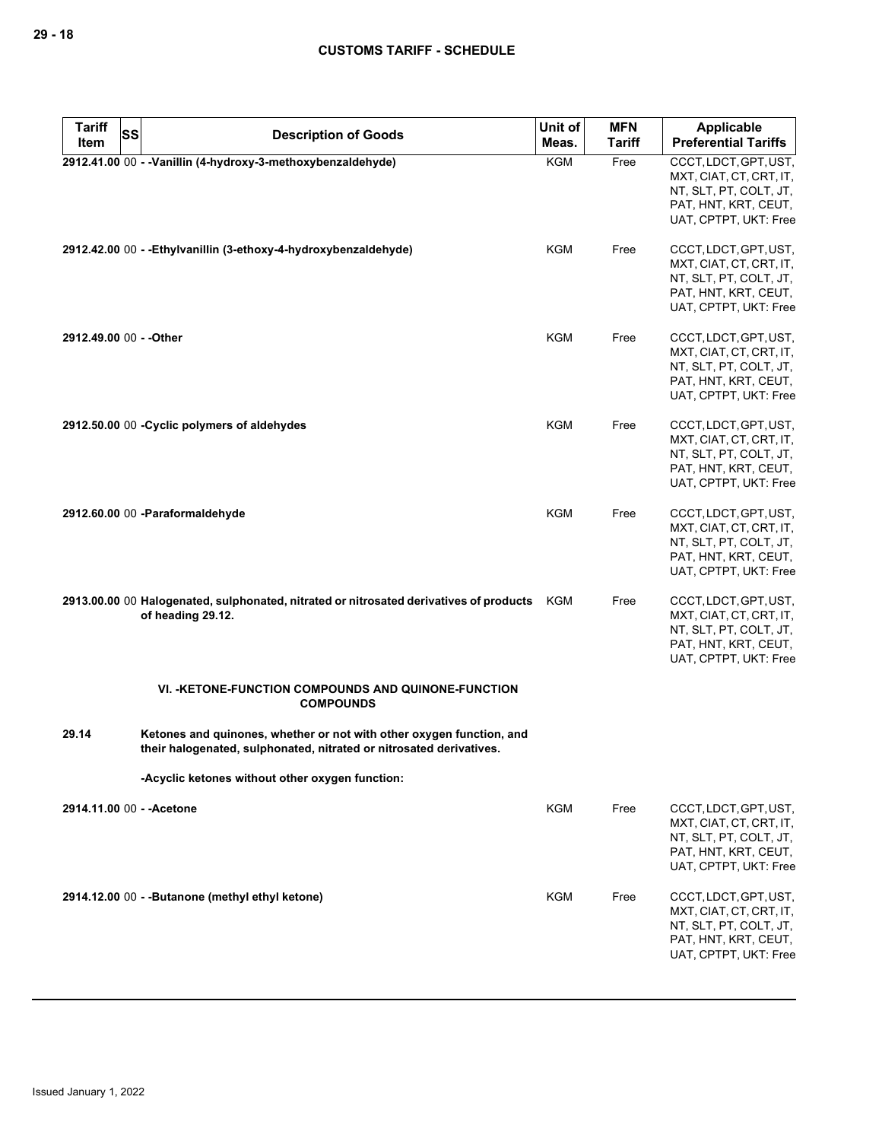| <b>Tariff</b>           | <b>SS</b> | <b>Description of Goods</b>                                                                                                                 | Unit of    | <b>MFN</b>    | <b>Applicable</b>                                                                                                           |
|-------------------------|-----------|---------------------------------------------------------------------------------------------------------------------------------------------|------------|---------------|-----------------------------------------------------------------------------------------------------------------------------|
| Item                    |           |                                                                                                                                             | Meas.      | <b>Tariff</b> | <b>Preferential Tariffs</b>                                                                                                 |
|                         |           | 2912.41.00 00 - - Vanillin (4-hydroxy-3-methoxybenzaldehyde)                                                                                | <b>KGM</b> | Free          | CCCT, LDCT, GPT, UST,<br>MXT, CIAT, CT, CRT, IT,<br>NT, SLT, PT, COLT, JT,<br>PAT, HNT, KRT, CEUT,<br>UAT, CPTPT, UKT: Free |
|                         |           | 2912.42.00 00 - - Ethylvanillin (3-ethoxy-4-hydroxybenzaldehyde)                                                                            | KGM        | Free          | CCCT, LDCT, GPT, UST,<br>MXT, CIAT, CT, CRT, IT,<br>NT, SLT, PT, COLT, JT,<br>PAT, HNT, KRT, CEUT,<br>UAT, CPTPT, UKT: Free |
| 2912.49.00 00 - - Other |           |                                                                                                                                             | <b>KGM</b> | Free          | CCCT, LDCT, GPT, UST,<br>MXT, CIAT, CT, CRT, IT,<br>NT, SLT, PT, COLT, JT,<br>PAT, HNT, KRT, CEUT,<br>UAT, CPTPT, UKT: Free |
|                         |           | 2912.50.00 00 - Cyclic polymers of aldehydes                                                                                                | KGM        | Free          | CCCT, LDCT, GPT, UST,<br>MXT, CIAT, CT, CRT, IT,<br>NT, SLT, PT, COLT, JT,<br>PAT, HNT, KRT, CEUT,<br>UAT, CPTPT, UKT: Free |
|                         |           | 2912.60.00 00 -Paraformaldehyde                                                                                                             | <b>KGM</b> | Free          | CCCT, LDCT, GPT, UST,<br>MXT, CIAT, CT, CRT, IT,<br>NT, SLT, PT, COLT, JT,<br>PAT, HNT, KRT, CEUT,<br>UAT, CPTPT, UKT: Free |
|                         |           | 2913.00.00 00 Halogenated, sulphonated, nitrated or nitrosated derivatives of products KGM<br>of heading 29.12.                             |            | Free          | CCCT, LDCT, GPT, UST,<br>MXT, CIAT, CT, CRT, IT,<br>NT, SLT, PT, COLT, JT,<br>PAT, HNT, KRT, CEUT,<br>UAT, CPTPT, UKT: Free |
|                         |           | VI. - KETONE-FUNCTION COMPOUNDS AND QUINONE-FUNCTION<br><b>COMPOUNDS</b>                                                                    |            |               |                                                                                                                             |
| 29.14                   |           | Ketones and quinones, whether or not with other oxygen function, and<br>their halogenated, sulphonated, nitrated or nitrosated derivatives. |            |               |                                                                                                                             |
|                         |           | -Acyclic ketones without other oxygen function:                                                                                             |            |               |                                                                                                                             |
|                         |           | 2914.11.00 00 - - Acetone                                                                                                                   | KGM        | Free          | CCCT, LDCT, GPT, UST,<br>MXT, CIAT, CT, CRT, IT,<br>NT, SLT, PT, COLT, JT,<br>PAT, HNT, KRT, CEUT,<br>UAT, CPTPT, UKT: Free |
|                         |           | 2914.12.00 00 - - Butanone (methyl ethyl ketone)                                                                                            | KGM        | Free          | CCCT, LDCT, GPT, UST,<br>MXT, CIAT, CT, CRT, IT,<br>NT, SLT, PT, COLT, JT,<br>PAT, HNT, KRT, CEUT,<br>UAT, CPTPT, UKT: Free |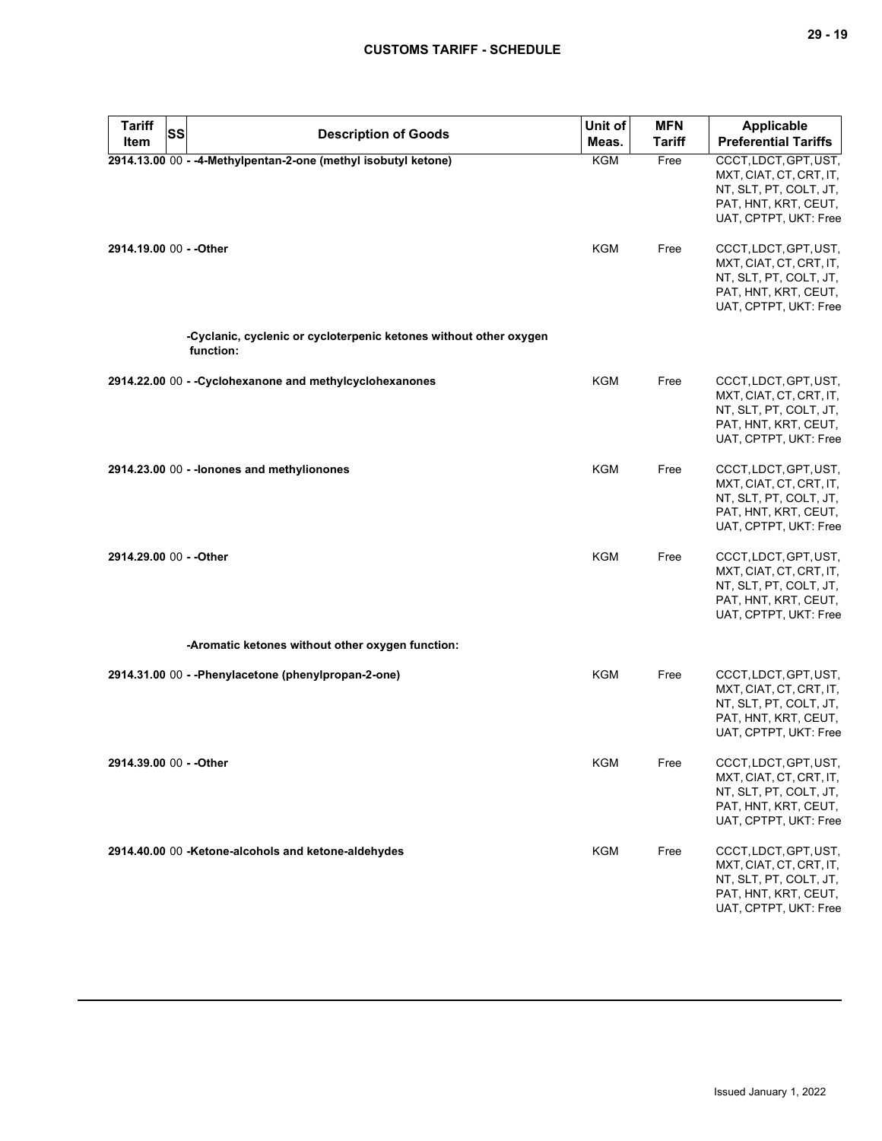| <b>Tariff</b><br><b>SS</b> |                                                                                | Unit of    | <b>MFN</b>    | <b>Applicable</b>                                                                                                           |
|----------------------------|--------------------------------------------------------------------------------|------------|---------------|-----------------------------------------------------------------------------------------------------------------------------|
| Item                       | <b>Description of Goods</b>                                                    | Meas.      | <b>Tariff</b> | <b>Preferential Tariffs</b>                                                                                                 |
|                            | 2914.13.00 00 - -4-Methylpentan-2-one (methyl isobutyl ketone)                 | <b>KGM</b> | Free          | CCCT, LDCT, GPT, UST,<br>MXT, CIAT, CT, CRT, IT,<br>NT, SLT, PT, COLT, JT,<br>PAT, HNT, KRT, CEUT,<br>UAT, CPTPT, UKT: Free |
| 2914.19.00 00 - - Other    |                                                                                | KGM        | Free          | CCCT, LDCT, GPT, UST,<br>MXT, CIAT, CT, CRT, IT,<br>NT, SLT, PT, COLT, JT,<br>PAT, HNT, KRT, CEUT,<br>UAT, CPTPT, UKT: Free |
|                            | -Cyclanic, cyclenic or cycloterpenic ketones without other oxygen<br>function: |            |               |                                                                                                                             |
|                            | 2914.22.00 00 - - Cyclohexanone and methylcyclohexanones                       | <b>KGM</b> | Free          | CCCT, LDCT, GPT, UST,<br>MXT, CIAT, CT, CRT, IT,<br>NT, SLT, PT, COLT, JT,<br>PAT, HNT, KRT, CEUT,<br>UAT, CPTPT, UKT: Free |
|                            | 2914.23.00 00 - - lonones and methylionones                                    | KGM        | Free          | CCCT, LDCT, GPT, UST,<br>MXT, CIAT, CT, CRT, IT,<br>NT, SLT, PT, COLT, JT,<br>PAT, HNT, KRT, CEUT,<br>UAT, CPTPT, UKT: Free |
| 2914.29.00 00 - - Other    |                                                                                | KGM        | Free          | CCCT, LDCT, GPT, UST,<br>MXT, CIAT, CT, CRT, IT,<br>NT, SLT, PT, COLT, JT,<br>PAT, HNT, KRT, CEUT,<br>UAT, CPTPT, UKT: Free |
|                            | -Aromatic ketones without other oxygen function:                               |            |               |                                                                                                                             |
|                            | 2914.31.00 00 - - Phenylacetone (phenylpropan-2-one)                           | <b>KGM</b> | Free          | CCCT, LDCT, GPT, UST,<br>MXT, CIAT, CT, CRT, IT,<br>NT, SLT, PT, COLT, JT,<br>PAT, HNT, KRT, CEUT,<br>UAT, CPTPT, UKT: Free |
| 2914.39.00 00 - - Other    |                                                                                | KGM        | Free          | CCCT, LDCT, GPT, UST,<br>MXT, CIAT, CT, CRT, IT,<br>NT, SLT, PT, COLT, JT,<br>PAT, HNT, KRT, CEUT,<br>UAT, CPTPT, UKT: Free |
|                            | 2914.40.00 00 -Ketone-alcohols and ketone-aldehydes                            | <b>KGM</b> | Free          | CCCT, LDCT, GPT, UST,<br>MXT, CIAT, CT, CRT, IT,<br>NT, SLT, PT, COLT, JT,<br>PAT, HNT, KRT, CEUT,<br>UAT, CPTPT, UKT: Free |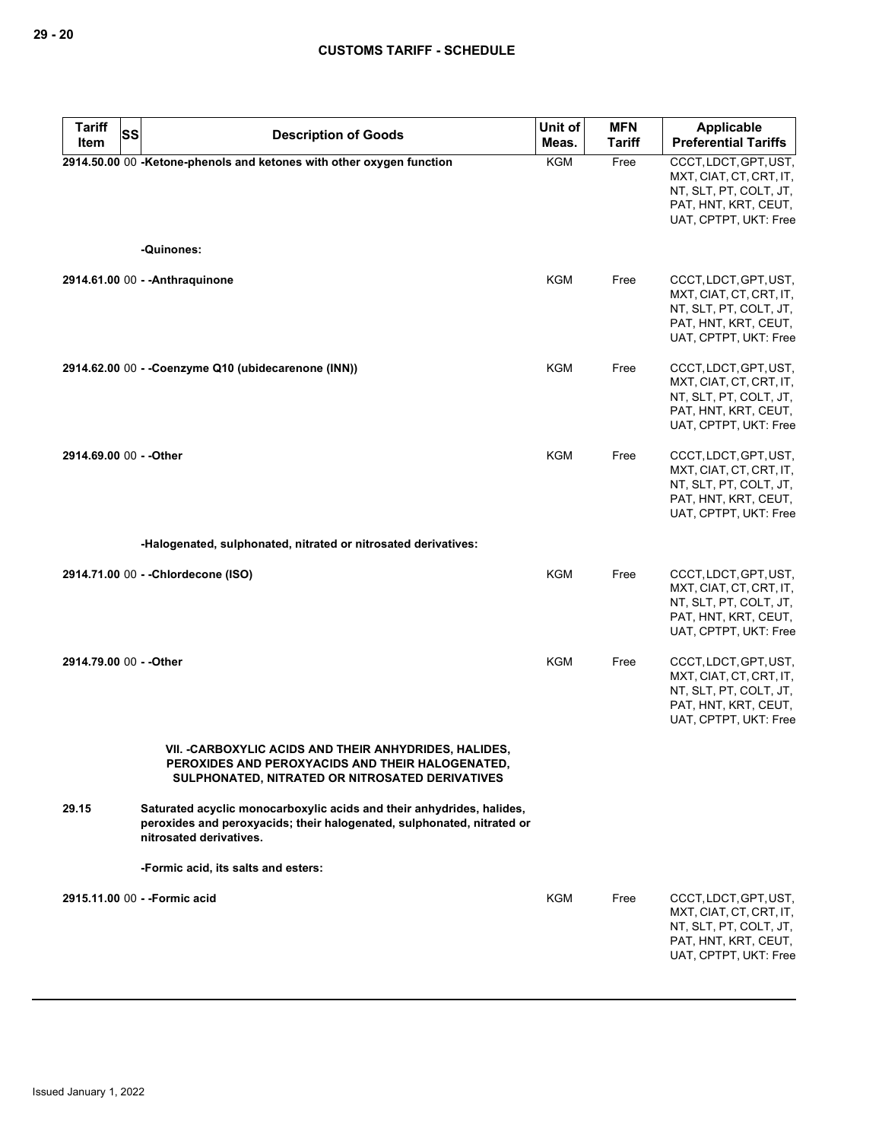| <b>Tariff</b>           | SS<br><b>Description of Goods</b>                                                                                                                                          | Unit of    | <b>MFN</b>    | <b>Applicable</b>                                                                                                           |
|-------------------------|----------------------------------------------------------------------------------------------------------------------------------------------------------------------------|------------|---------------|-----------------------------------------------------------------------------------------------------------------------------|
| Item                    |                                                                                                                                                                            | Meas.      | <b>Tariff</b> | <b>Preferential Tariffs</b>                                                                                                 |
|                         | 2914.50.00 00 -Ketone-phenols and ketones with other oxygen function                                                                                                       | <b>KGM</b> | Free          | CCCT, LDCT, GPT, UST,<br>MXT, CIAT, CT, CRT, IT,<br>NT, SLT, PT, COLT, JT,<br>PAT, HNT, KRT, CEUT,<br>UAT, CPTPT, UKT: Free |
|                         | -Quinones:                                                                                                                                                                 |            |               |                                                                                                                             |
|                         | 2914.61.00 00 - - Anthraguinone                                                                                                                                            | KGM        | Free          | CCCT, LDCT, GPT, UST,<br>MXT, CIAT, CT, CRT, IT,<br>NT, SLT, PT, COLT, JT,<br>PAT, HNT, KRT, CEUT,<br>UAT, CPTPT, UKT: Free |
|                         | 2914.62.00 00 - - Coenzyme Q10 (ubidecarenone (INN))                                                                                                                       | KGM        | Free          | CCCT, LDCT, GPT, UST,<br>MXT, CIAT, CT, CRT, IT,<br>NT, SLT, PT, COLT, JT,<br>PAT, HNT, KRT, CEUT,<br>UAT, CPTPT, UKT: Free |
| 2914.69.00 00 - - Other |                                                                                                                                                                            | KGM        | Free          | CCCT, LDCT, GPT, UST,<br>MXT, CIAT, CT, CRT, IT,<br>NT, SLT, PT, COLT, JT,<br>PAT, HNT, KRT, CEUT,<br>UAT, CPTPT, UKT: Free |
|                         | -Halogenated, sulphonated, nitrated or nitrosated derivatives:                                                                                                             |            |               |                                                                                                                             |
|                         | 2914.71.00 00 - - Chlordecone (ISO)                                                                                                                                        | KGM        | Free          | CCCT, LDCT, GPT, UST,<br>MXT, CIAT, CT, CRT, IT,<br>NT, SLT, PT, COLT, JT,<br>PAT, HNT, KRT, CEUT,<br>UAT, CPTPT, UKT: Free |
| 2914.79.00 00 - - Other |                                                                                                                                                                            | KGM        | Free          | CCCT, LDCT, GPT, UST,<br>MXT, CIAT, CT, CRT, IT,<br>NT, SLT, PT, COLT, JT,<br>PAT, HNT, KRT, CEUT,<br>UAT, CPTPT, UKT: Free |
|                         | VII. - CARBOXYLIC ACIDS AND THEIR ANHYDRIDES, HALIDES,<br>PEROXIDES AND PEROXYACIDS AND THEIR HALOGENATED,<br>SULPHONATED, NITRATED OR NITROSATED DERIVATIVES              |            |               |                                                                                                                             |
| 29.15                   | Saturated acyclic monocarboxylic acids and their anhydrides, halides,<br>peroxides and peroxyacids; their halogenated, sulphonated, nitrated or<br>nitrosated derivatives. |            |               |                                                                                                                             |
|                         | -Formic acid, its salts and esters:                                                                                                                                        |            |               |                                                                                                                             |
|                         | 2915.11.00 00 - - Formic acid                                                                                                                                              | KGM        | Free          | CCCT, LDCT, GPT, UST,<br>MXT, CIAT, CT, CRT, IT,<br>NT, SLT, PT, COLT, JT,<br>PAT, HNT, KRT, CEUT,<br>UAT, CPTPT, UKT: Free |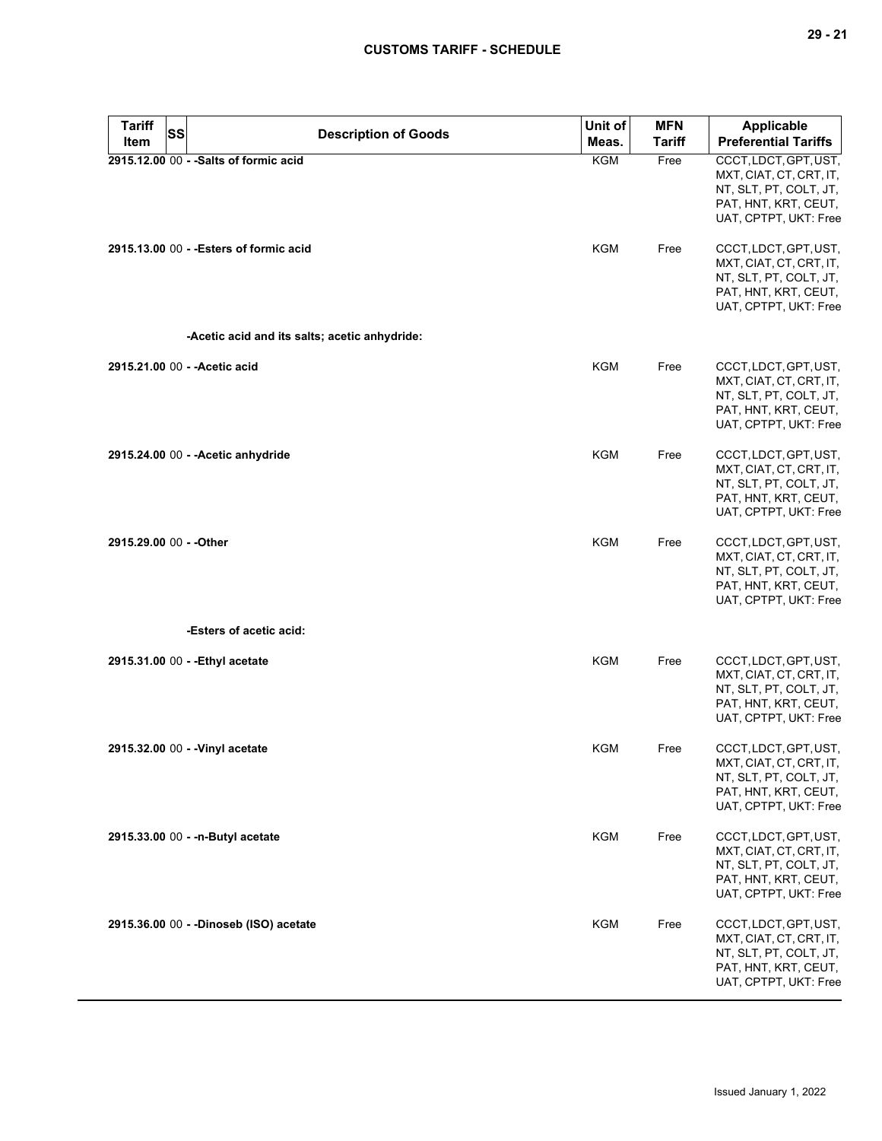| <b>Tariff</b><br><b>SS</b><br>Item | <b>Description of Goods</b>                   | Unit of<br>Meas. | <b>MFN</b><br><b>Tariff</b> | Applicable<br><b>Preferential Tariffs</b>                                                                                   |
|------------------------------------|-----------------------------------------------|------------------|-----------------------------|-----------------------------------------------------------------------------------------------------------------------------|
|                                    | 2915.12.00 00 - - Salts of formic acid        | <b>KGM</b>       | Free                        | CCCT, LDCT, GPT, UST,<br>MXT, CIAT, CT, CRT, IT,<br>NT, SLT, PT, COLT, JT,<br>PAT, HNT, KRT, CEUT,<br>UAT, CPTPT, UKT: Free |
|                                    | 2915.13.00 00 - - Esters of formic acid       | <b>KGM</b>       | Free                        | CCCT, LDCT, GPT, UST,<br>MXT, CIAT, CT, CRT, IT,<br>NT, SLT, PT, COLT, JT,<br>PAT, HNT, KRT, CEUT,<br>UAT, CPTPT, UKT: Free |
|                                    | -Acetic acid and its salts; acetic anhydride: |                  |                             |                                                                                                                             |
|                                    | 2915.21.00 00 - - Acetic acid                 | KGM              | Free                        | CCCT, LDCT, GPT, UST,<br>MXT, CIAT, CT, CRT, IT,<br>NT, SLT, PT, COLT, JT,<br>PAT, HNT, KRT, CEUT,<br>UAT, CPTPT, UKT: Free |
|                                    | 2915.24.00 00 - - Acetic anhydride            | <b>KGM</b>       | Free                        | CCCT, LDCT, GPT, UST,<br>MXT, CIAT, CT, CRT, IT,<br>NT, SLT, PT, COLT, JT,<br>PAT, HNT, KRT, CEUT,<br>UAT, CPTPT, UKT: Free |
| 2915.29.00 00 - - Other            |                                               | <b>KGM</b>       | Free                        | CCCT, LDCT, GPT, UST,<br>MXT, CIAT, CT, CRT, IT,<br>NT, SLT, PT, COLT, JT,<br>PAT, HNT, KRT, CEUT,<br>UAT, CPTPT, UKT: Free |
|                                    | -Esters of acetic acid:                       |                  |                             |                                                                                                                             |
|                                    | 2915.31.00 00 - - Ethyl acetate               | <b>KGM</b>       | Free                        | CCCT, LDCT, GPT, UST,<br>MXT, CIAT, CT, CRT, IT,<br>NT, SLT, PT, COLT, JT,<br>PAT, HNT, KRT, CEUT,<br>UAT, CPTPT, UKT: Free |
|                                    | 2915.32.00 00 - - Vinyl acetate               | KGM              | Free                        | CCCT, LDCT, GPT, UST,<br>MXT, CIAT, CT, CRT, IT,<br>NT, SLT, PT, COLT, JT,<br>PAT, HNT, KRT, CEUT,<br>UAT, CPTPT, UKT: Free |
|                                    | 2915.33.00 00 - - n-Butyl acetate             | KGM              | Free                        | CCCT, LDCT, GPT, UST,<br>MXT, CIAT, CT, CRT, IT,<br>NT, SLT, PT, COLT, JT,<br>PAT, HNT, KRT, CEUT,<br>UAT, CPTPT, UKT: Free |
|                                    | 2915.36.00 00 - -Dinoseb (ISO) acetate        | <b>KGM</b>       | Free                        | CCCT, LDCT, GPT, UST,<br>MXT, CIAT, CT, CRT, IT,<br>NT, SLT, PT, COLT, JT,<br>PAT, HNT, KRT, CEUT,<br>UAT, CPTPT, UKT: Free |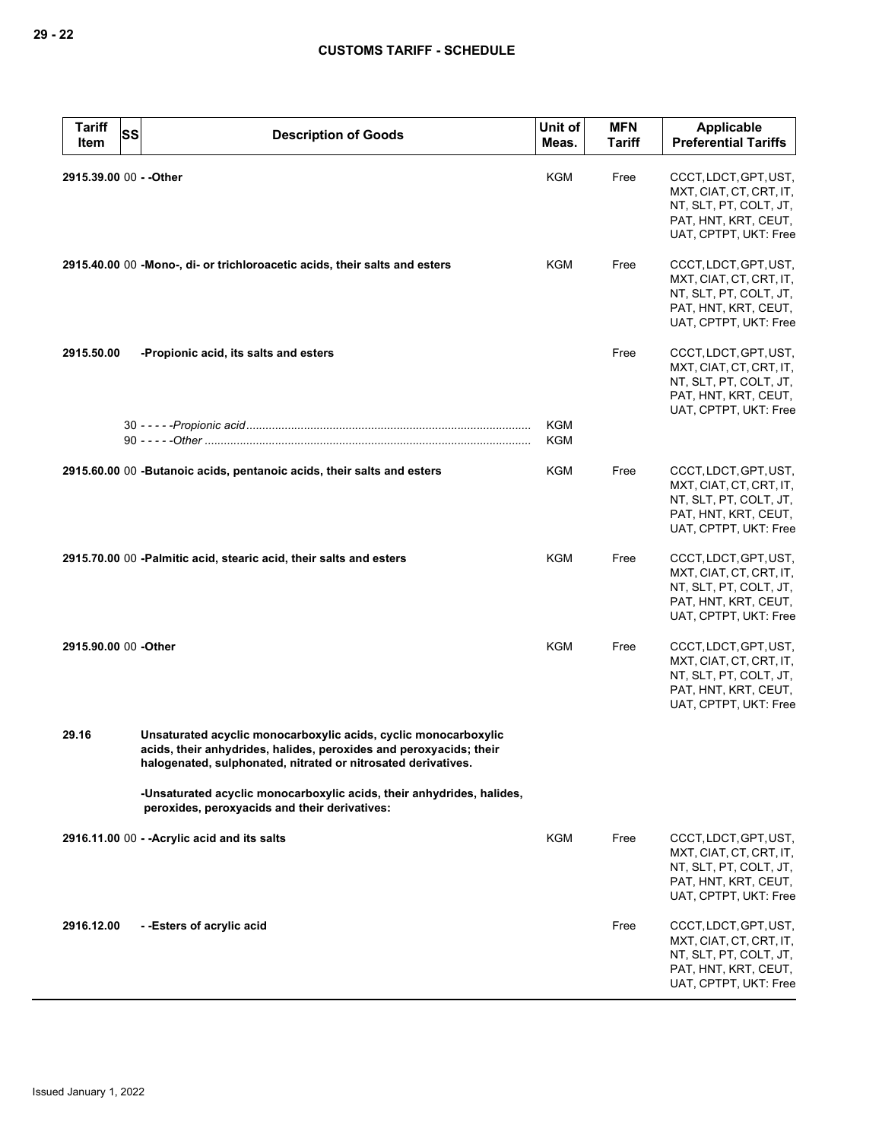| <b>Tariff</b><br>Item | <b>SS</b> | <b>Description of Goods</b>                                                                                                                                                                            | Unit of<br>Meas.  | <b>MFN</b><br><b>Tariff</b> | Applicable<br><b>Preferential Tariffs</b>                                                                                   |
|-----------------------|-----------|--------------------------------------------------------------------------------------------------------------------------------------------------------------------------------------------------------|-------------------|-----------------------------|-----------------------------------------------------------------------------------------------------------------------------|
|                       |           |                                                                                                                                                                                                        |                   |                             |                                                                                                                             |
|                       |           | 2915.39.00 00 - - Other                                                                                                                                                                                | KGM               | Free                        | CCCT, LDCT, GPT, UST,<br>MXT, CIAT, CT, CRT, IT,<br>NT, SLT, PT, COLT, JT,<br>PAT, HNT, KRT, CEUT,<br>UAT, CPTPT, UKT: Free |
|                       |           | 2915.40.00 00 -Mono-, di- or trichloroacetic acids, their salts and esters                                                                                                                             | KGM               | Free                        | CCCT, LDCT, GPT, UST,<br>MXT, CIAT, CT, CRT, IT,<br>NT, SLT, PT, COLT, JT,<br>PAT, HNT, KRT, CEUT,<br>UAT, CPTPT, UKT: Free |
| 2915.50.00            |           | -Propionic acid, its salts and esters                                                                                                                                                                  |                   | Free                        | CCCT, LDCT, GPT, UST,<br>MXT, CIAT, CT, CRT, IT,<br>NT, SLT, PT, COLT, JT,<br>PAT, HNT, KRT, CEUT,<br>UAT, CPTPT, UKT: Free |
|                       |           |                                                                                                                                                                                                        | <b>KGM</b><br>KGM |                             |                                                                                                                             |
|                       |           | 2915.60.00 00 -Butanoic acids, pentanoic acids, their salts and esters                                                                                                                                 | KGM               | Free                        | CCCT, LDCT, GPT, UST,<br>MXT, CIAT, CT, CRT, IT,<br>NT, SLT, PT, COLT, JT,<br>PAT, HNT, KRT, CEUT,<br>UAT, CPTPT, UKT: Free |
|                       |           | 2915.70.00 00 -Palmitic acid, stearic acid, their salts and esters                                                                                                                                     | KGM               | Free                        | CCCT, LDCT, GPT, UST,<br>MXT, CIAT, CT, CRT, IT,<br>NT, SLT, PT, COLT, JT,<br>PAT, HNT, KRT, CEUT,<br>UAT, CPTPT, UKT: Free |
| 2915.90.00 00 -Other  |           |                                                                                                                                                                                                        | KGM               | Free                        | CCCT, LDCT, GPT, UST,<br>MXT, CIAT, CT, CRT, IT,<br>NT, SLT, PT, COLT, JT,<br>PAT, HNT, KRT, CEUT,<br>UAT, CPTPT, UKT: Free |
| 29.16                 |           | Unsaturated acyclic monocarboxylic acids, cyclic monocarboxylic<br>acids, their anhydrides, halides, peroxides and peroxyacids; their<br>halogenated, sulphonated, nitrated or nitrosated derivatives. |                   |                             |                                                                                                                             |
|                       |           | -Unsaturated acyclic monocarboxylic acids, their anhydrides, halides,<br>peroxides, peroxyacids and their derivatives:                                                                                 |                   |                             |                                                                                                                             |
|                       |           | 2916.11.00 00 - - Acrylic acid and its salts                                                                                                                                                           | KGM               | Free                        | CCCT, LDCT, GPT, UST,<br>MXT, CIAT, CT, CRT, IT,<br>NT, SLT, PT, COLT, JT,<br>PAT, HNT, KRT, CEUT,<br>UAT, CPTPT, UKT: Free |
| 2916.12.00            |           | --Esters of acrylic acid                                                                                                                                                                               |                   | Free                        | CCCT, LDCT, GPT, UST,<br>MXT, CIAT, CT, CRT, IT,<br>NT, SLT, PT, COLT, JT,<br>PAT, HNT, KRT, CEUT,<br>UAT, CPTPT, UKT: Free |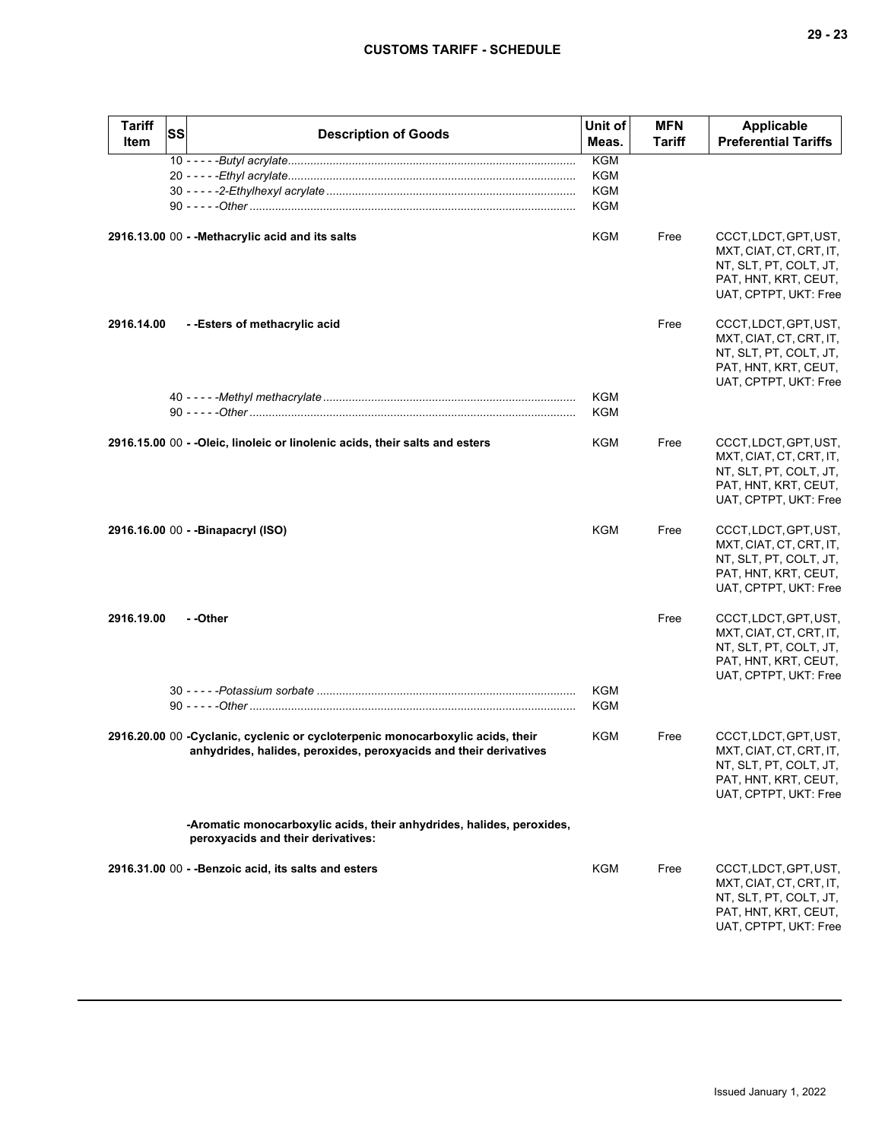| <b>Tariff</b><br>Item | SS | <b>Description of Goods</b>                                                                                                                         | Unit of<br>Meas.         | <b>MFN</b><br>Tariff | <b>Applicable</b><br><b>Preferential Tariffs</b>                                                                            |
|-----------------------|----|-----------------------------------------------------------------------------------------------------------------------------------------------------|--------------------------|----------------------|-----------------------------------------------------------------------------------------------------------------------------|
|                       |    |                                                                                                                                                     | <b>KGM</b>               |                      |                                                                                                                             |
|                       |    |                                                                                                                                                     | KGM                      |                      |                                                                                                                             |
|                       |    |                                                                                                                                                     | KGM                      |                      |                                                                                                                             |
|                       |    |                                                                                                                                                     | <b>KGM</b>               |                      |                                                                                                                             |
|                       |    | 2916.13.00 00 - - Methacrylic acid and its salts                                                                                                    | KGM                      | Free                 | CCCT, LDCT, GPT, UST,<br>MXT, CIAT, CT, CRT, IT,<br>NT, SLT, PT, COLT, JT,<br>PAT, HNT, KRT, CEUT,<br>UAT, CPTPT, UKT: Free |
| 2916.14.00            |    | --Esters of methacrylic acid                                                                                                                        |                          | Free                 | CCCT, LDCT, GPT, UST,<br>MXT, CIAT, CT, CRT, IT,<br>NT, SLT, PT, COLT, JT,<br>PAT, HNT, KRT, CEUT,<br>UAT, CPTPT, UKT: Free |
|                       |    |                                                                                                                                                     | KGM<br><b>KGM</b>        |                      |                                                                                                                             |
|                       |    |                                                                                                                                                     |                          |                      |                                                                                                                             |
|                       |    | 2916.15.00 00 - -Oleic, linoleic or linolenic acids, their salts and esters                                                                         | KGM                      | Free                 | CCCT, LDCT, GPT, UST,<br>MXT, CIAT, CT, CRT, IT,<br>NT, SLT, PT, COLT, JT,<br>PAT, HNT, KRT, CEUT,<br>UAT, CPTPT, UKT: Free |
|                       |    | 2916.16.00 00 - -Binapacryl (ISO)                                                                                                                   | KGM                      | Free                 | CCCT, LDCT, GPT, UST,<br>MXT, CIAT, CT, CRT, IT,<br>NT, SLT, PT, COLT, JT,<br>PAT, HNT, KRT, CEUT,<br>UAT, CPTPT, UKT: Free |
| 2916.19.00            |    | - -Other                                                                                                                                            |                          | Free                 | CCCT, LDCT, GPT, UST,<br>MXT, CIAT, CT, CRT, IT,<br>NT, SLT, PT, COLT, JT,<br>PAT, HNT, KRT, CEUT,<br>UAT, CPTPT, UKT: Free |
|                       |    |                                                                                                                                                     | <b>KGM</b><br><b>KGM</b> |                      |                                                                                                                             |
|                       |    | 2916.20.00 00 -Cyclanic, cyclenic or cycloterpenic monocarboxylic acids, their<br>anhydrides, halides, peroxides, peroxyacids and their derivatives | KGM                      | Free                 | CCCT, LDCT, GPT, UST,<br>MXT, CIAT, CT, CRT, IT,<br>NT, SLT, PT, COLT, JT,<br>PAT, HNT, KRT, CEUT,<br>UAT, CPTPT, UKT: Free |
|                       |    | -Aromatic monocarboxylic acids, their anhydrides, halides, peroxides,<br>peroxyacids and their derivatives:                                         |                          |                      |                                                                                                                             |
|                       |    | 2916.31.00 00 - -Benzoic acid, its salts and esters                                                                                                 | KGM                      | Free                 | CCCT, LDCT, GPT, UST,<br>MXT, CIAT, CT, CRT, IT,<br>NT, SLT, PT, COLT, JT,<br>PAT, HNT, KRT, CEUT,<br>UAT, CPTPT, UKT: Free |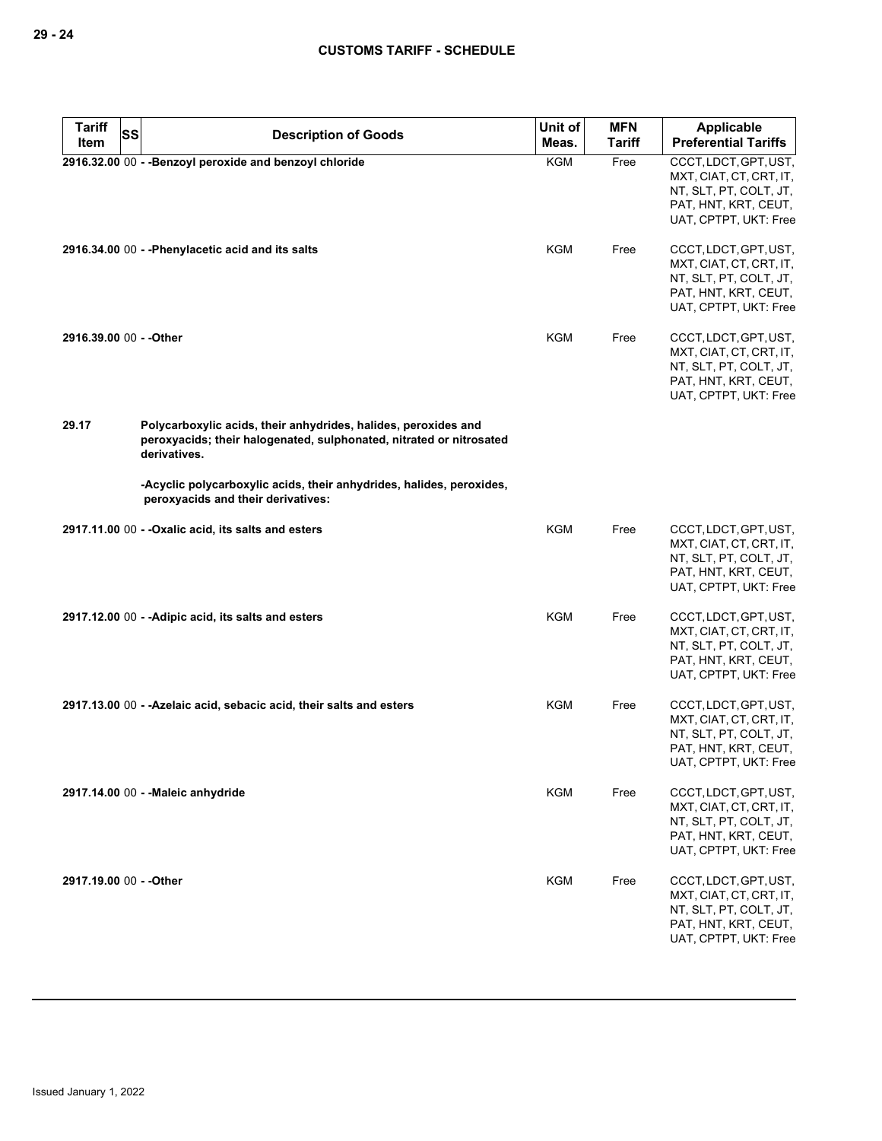| <b>Tariff</b><br>Item   | <b>SS</b> | <b>Description of Goods</b>                                                                                                                           | Unit of<br>Meas. | <b>MFN</b><br><b>Tariff</b> | <b>Applicable</b><br><b>Preferential Tariffs</b>                                                                            |
|-------------------------|-----------|-------------------------------------------------------------------------------------------------------------------------------------------------------|------------------|-----------------------------|-----------------------------------------------------------------------------------------------------------------------------|
|                         |           | 2916.32.00 00 - - Benzoyl peroxide and benzoyl chloride                                                                                               | <b>KGM</b>       | Free                        | CCCT, LDCT, GPT, UST,<br>MXT, CIAT, CT, CRT, IT,<br>NT, SLT, PT, COLT, JT,<br>PAT, HNT, KRT, CEUT,<br>UAT, CPTPT, UKT: Free |
|                         |           | 2916.34.00 00 - - Phenylacetic acid and its salts                                                                                                     | KGM              | Free                        | CCCT, LDCT, GPT, UST,<br>MXT, CIAT, CT, CRT, IT,<br>NT, SLT, PT, COLT, JT,<br>PAT, HNT, KRT, CEUT,<br>UAT, CPTPT, UKT: Free |
| 2916.39.00 00 - - Other |           |                                                                                                                                                       | KGM              | Free                        | CCCT, LDCT, GPT, UST,<br>MXT, CIAT, CT, CRT, IT,<br>NT, SLT, PT, COLT, JT,<br>PAT, HNT, KRT, CEUT,<br>UAT, CPTPT, UKT: Free |
| 29.17                   |           | Polycarboxylic acids, their anhydrides, halides, peroxides and<br>peroxyacids; their halogenated, sulphonated, nitrated or nitrosated<br>derivatives. |                  |                             |                                                                                                                             |
|                         |           | -Acyclic polycarboxylic acids, their anhydrides, halides, peroxides,<br>peroxyacids and their derivatives:                                            |                  |                             |                                                                                                                             |
|                         |           | 2917.11.00 00 - - Oxalic acid, its salts and esters                                                                                                   | KGM              | Free                        | CCCT, LDCT, GPT, UST,<br>MXT, CIAT, CT, CRT, IT,<br>NT, SLT, PT, COLT, JT,<br>PAT, HNT, KRT, CEUT,<br>UAT, CPTPT, UKT: Free |
|                         |           | 2917.12.00 00 - - Adipic acid, its salts and esters                                                                                                   | <b>KGM</b>       | Free                        | CCCT, LDCT, GPT, UST,<br>MXT, CIAT, CT, CRT, IT,<br>NT, SLT, PT, COLT, JT,<br>PAT, HNT, KRT, CEUT,<br>UAT, CPTPT, UKT: Free |
|                         |           | 2917.13.00 00 - -Azelaic acid, sebacic acid, their salts and esters                                                                                   | KGM              | Free                        | CCCT, LDCT, GPT, UST,<br>MXT, CIAT, CT, CRT, IT,<br>NT, SLT, PT, COLT, JT,<br>PAT, HNT, KRT, CEUT,<br>UAT, CPTPT, UKT: Free |
|                         |           | 2917.14.00 00 - - Maleic anhydride                                                                                                                    | <b>KGM</b>       | Free                        | CCCT, LDCT, GPT, UST,<br>MXT, CIAT, CT, CRT, IT,<br>NT, SLT, PT, COLT, JT,<br>PAT, HNT, KRT, CEUT,<br>UAT, CPTPT, UKT: Free |
| 2917.19.00 00 - - Other |           |                                                                                                                                                       | <b>KGM</b>       | Free                        | CCCT, LDCT, GPT, UST,<br>MXT, CIAT, CT, CRT, IT,<br>NT, SLT, PT, COLT, JT,<br>PAT, HNT, KRT, CEUT,<br>UAT, CPTPT, UKT: Free |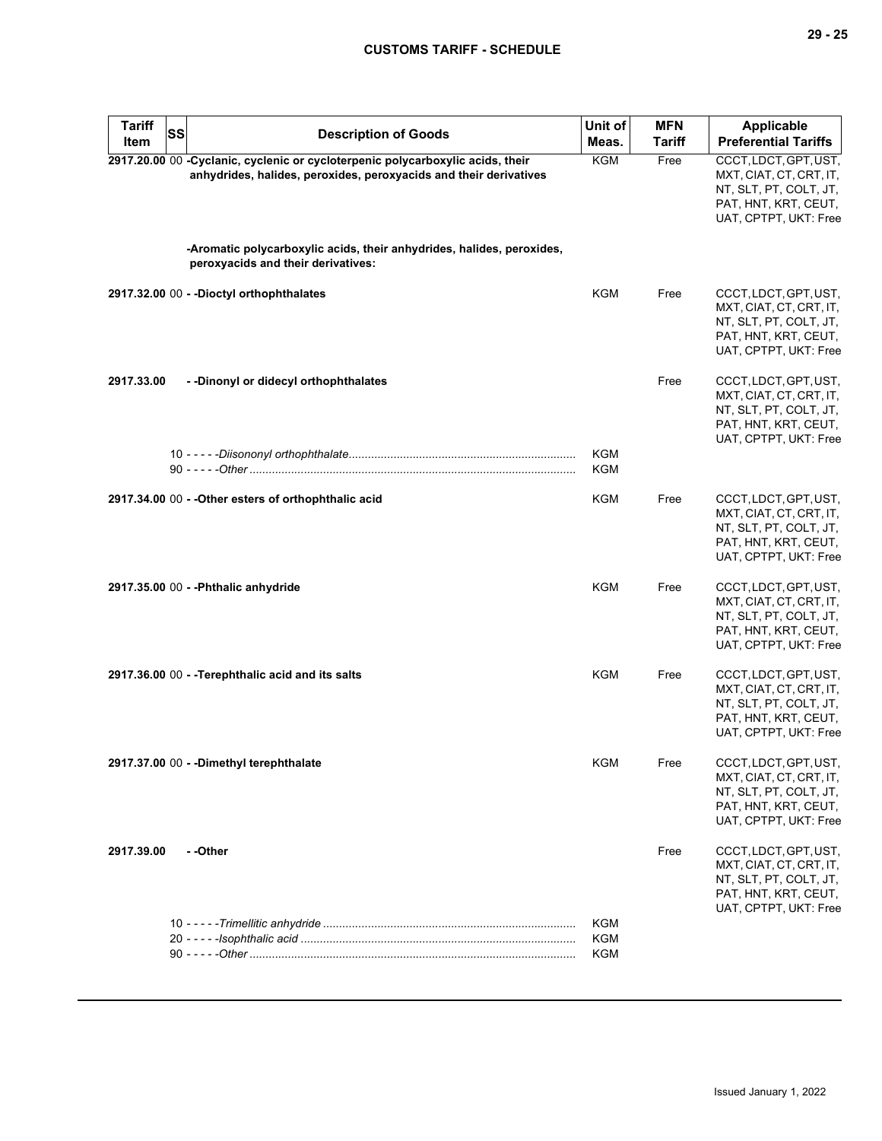| <b>Tariff</b><br>SS<br>Item | <b>Description of Goods</b>                                                                                                                         | Unit of<br>Meas.                | <b>MFN</b><br><b>Tariff</b> | <b>Applicable</b><br><b>Preferential Tariffs</b>                                                                            |
|-----------------------------|-----------------------------------------------------------------------------------------------------------------------------------------------------|---------------------------------|-----------------------------|-----------------------------------------------------------------------------------------------------------------------------|
|                             | 2917.20.00 00 -Cyclanic, cyclenic or cycloterpenic polycarboxylic acids, their<br>anhydrides, halides, peroxides, peroxyacids and their derivatives | KGM                             | Free                        | CCCT, LDCT, GPT, UST,<br>MXT, CIAT, CT, CRT, IT,<br>NT, SLT, PT, COLT, JT,<br>PAT, HNT, KRT, CEUT,<br>UAT, CPTPT, UKT: Free |
|                             | -Aromatic polycarboxylic acids, their anhydrides, halides, peroxides,<br>peroxyacids and their derivatives:                                         |                                 |                             |                                                                                                                             |
|                             | 2917.32.00 00 - - Dioctyl orthophthalates                                                                                                           | KGM                             | Free                        | CCCT, LDCT, GPT, UST,<br>MXT, CIAT, CT, CRT, IT,<br>NT, SLT, PT, COLT, JT,<br>PAT, HNT, KRT, CEUT,<br>UAT, CPTPT, UKT: Free |
| 2917.33.00                  | - - Dinonyl or didecyl orthophthalates                                                                                                              |                                 | Free                        | CCCT, LDCT, GPT, UST,<br>MXT, CIAT, CT, CRT, IT,<br>NT, SLT, PT, COLT, JT,<br>PAT, HNT, KRT, CEUT,<br>UAT, CPTPT, UKT: Free |
|                             |                                                                                                                                                     | KGM<br>KGM                      |                             |                                                                                                                             |
|                             | 2917.34.00 00 - - Other esters of orthophthalic acid                                                                                                | <b>KGM</b>                      | Free                        | CCCT, LDCT, GPT, UST,<br>MXT, CIAT, CT, CRT, IT,<br>NT, SLT, PT, COLT, JT,<br>PAT, HNT, KRT, CEUT,<br>UAT, CPTPT, UKT: Free |
|                             | 2917.35.00 00 - - Phthalic anhydride                                                                                                                | KGM                             | Free                        | CCCT, LDCT, GPT, UST,<br>MXT, CIAT, CT, CRT, IT,<br>NT, SLT, PT, COLT, JT,<br>PAT, HNT, KRT, CEUT,<br>UAT, CPTPT, UKT: Free |
|                             | 2917.36.00 00 - - Terephthalic acid and its salts                                                                                                   | <b>KGM</b>                      | Free                        | CCCT, LDCT, GPT, UST,<br>MXT, CIAT, CT, CRT, IT,<br>NT, SLT, PT, COLT, JT,<br>PAT, HNT, KRT, CEUT,<br>UAT, CPTPT, UKT: Free |
|                             | 2917.37.00 00 - - Dimethyl terephthalate                                                                                                            | KGM                             | Free                        | CCCT, LDCT, GPT, UST,<br>MXT, CIAT, CT, CRT, IT,<br>NT, SLT, PT, COLT, JT,<br>PAT, HNT, KRT, CEUT,<br>UAT, CPTPT, UKT: Free |
| 2917.39.00                  | - -Other                                                                                                                                            |                                 | Free                        | CCCT, LDCT, GPT, UST,<br>MXT, CIAT, CT, CRT, IT,<br>NT, SLT, PT, COLT, JT,<br>PAT, HNT, KRT, CEUT,<br>UAT, CPTPT, UKT: Free |
|                             |                                                                                                                                                     | KGM<br><b>KGM</b><br><b>KGM</b> |                             |                                                                                                                             |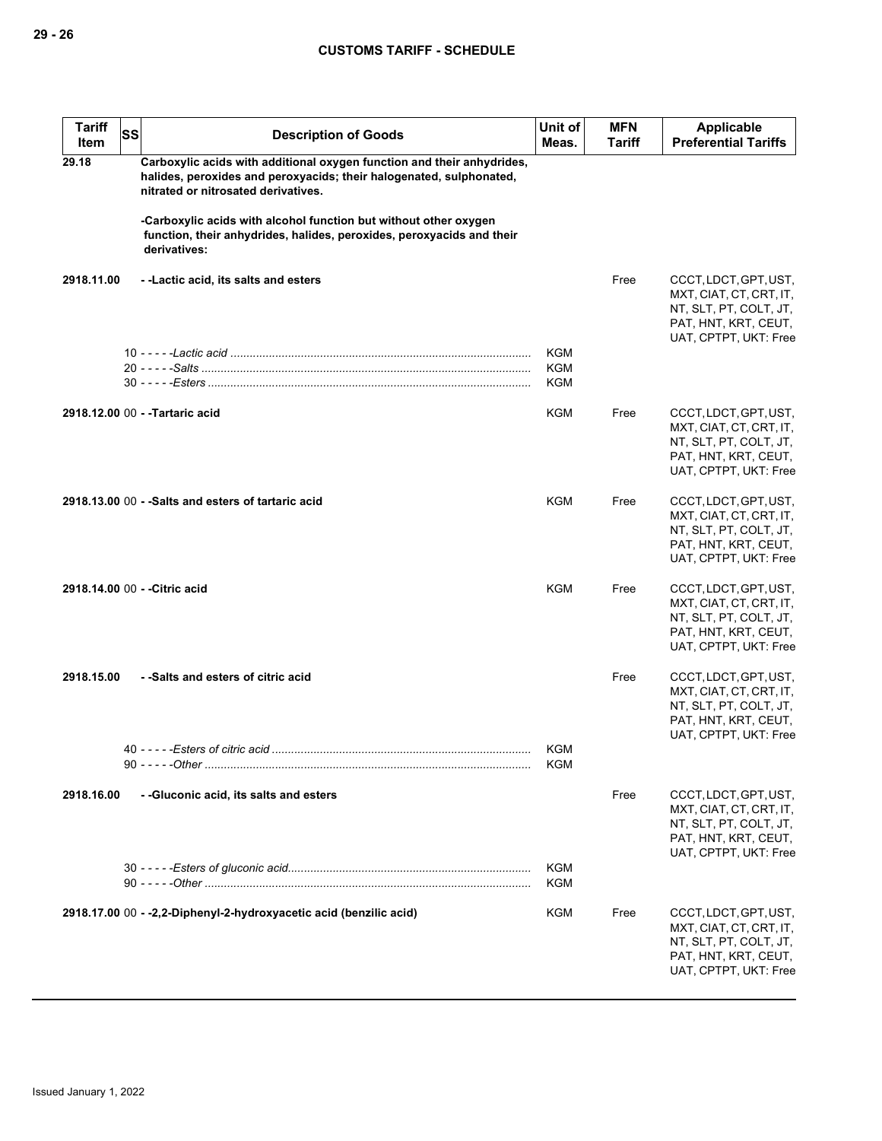| <b>Tariff</b><br>Item | <b>SS</b> | <b>Description of Goods</b>                                                                                                                                                          | Unit of<br>Meas.         | <b>MFN</b><br>Tariff | Applicable<br><b>Preferential Tariffs</b>                                                                                   |
|-----------------------|-----------|--------------------------------------------------------------------------------------------------------------------------------------------------------------------------------------|--------------------------|----------------------|-----------------------------------------------------------------------------------------------------------------------------|
| 29.18                 |           | Carboxylic acids with additional oxygen function and their anhydrides,<br>halides, peroxides and peroxyacids; their halogenated, sulphonated,<br>nitrated or nitrosated derivatives. |                          |                      |                                                                                                                             |
|                       |           | -Carboxylic acids with alcohol function but without other oxygen<br>function, their anhydrides, halides, peroxides, peroxyacids and their<br>derivatives:                            |                          |                      |                                                                                                                             |
| 2918.11.00            |           | - -Lactic acid, its salts and esters                                                                                                                                                 |                          | Free                 | CCCT, LDCT, GPT, UST,<br>MXT, CIAT, CT, CRT, IT,<br>NT, SLT, PT, COLT, JT,<br>PAT, HNT, KRT, CEUT,<br>UAT, CPTPT, UKT: Free |
|                       |           |                                                                                                                                                                                      | KGM                      |                      |                                                                                                                             |
|                       |           |                                                                                                                                                                                      | <b>KGM</b><br><b>KGM</b> |                      |                                                                                                                             |
|                       |           | 2918.12.00 00 - - Tartaric acid                                                                                                                                                      | <b>KGM</b>               | Free                 | CCCT, LDCT, GPT, UST,<br>MXT, CIAT, CT, CRT, IT,<br>NT, SLT, PT, COLT, JT,<br>PAT, HNT, KRT, CEUT,<br>UAT, CPTPT, UKT: Free |
|                       |           | 2918.13.00 00 - -Salts and esters of tartaric acid                                                                                                                                   | KGM                      | Free                 | CCCT, LDCT, GPT, UST,<br>MXT, CIAT, CT, CRT, IT,<br>NT, SLT, PT, COLT, JT,<br>PAT, HNT, KRT, CEUT,<br>UAT, CPTPT, UKT: Free |
|                       |           | 2918.14.00 00 - - Citric acid                                                                                                                                                        | <b>KGM</b>               | Free                 | CCCT, LDCT, GPT, UST,<br>MXT, CIAT, CT, CRT, IT,<br>NT, SLT, PT, COLT, JT,<br>PAT, HNT, KRT, CEUT,<br>UAT, CPTPT, UKT: Free |
| 2918.15.00            |           | - -Salts and esters of citric acid                                                                                                                                                   | <b>KGM</b>               | Free                 | CCCT, LDCT, GPT, UST,<br>MXT, CIAT, CT, CRT, IT,<br>NT, SLT, PT, COLT, JT,<br>PAT, HNT, KRT, CEUT,<br>UAT, CPTPT, UKT: Free |
|                       |           |                                                                                                                                                                                      | KGM                      |                      |                                                                                                                             |
| 2918.16.00            |           | --Gluconic acid, its salts and esters                                                                                                                                                |                          | Free                 | CCCT, LDCT, GPT, UST,<br>MXT, CIAT, CT, CRT, IT,<br>NT, SLT, PT, COLT, JT,<br>PAT, HNT, KRT, CEUT,<br>UAT, CPTPT, UKT: Free |
|                       |           |                                                                                                                                                                                      | <b>KGM</b><br>KGM        |                      |                                                                                                                             |
|                       |           | 2918.17.00 00 - -2.2-Diphenyl-2-hydroxyacetic acid (benzilic acid)                                                                                                                   | <b>KGM</b>               | Free                 | CCCT, LDCT, GPT, UST,<br>MXT, CIAT, CT, CRT, IT,<br>NT, SLT, PT, COLT, JT,<br>PAT, HNT, KRT, CEUT,<br>UAT, CPTPT, UKT: Free |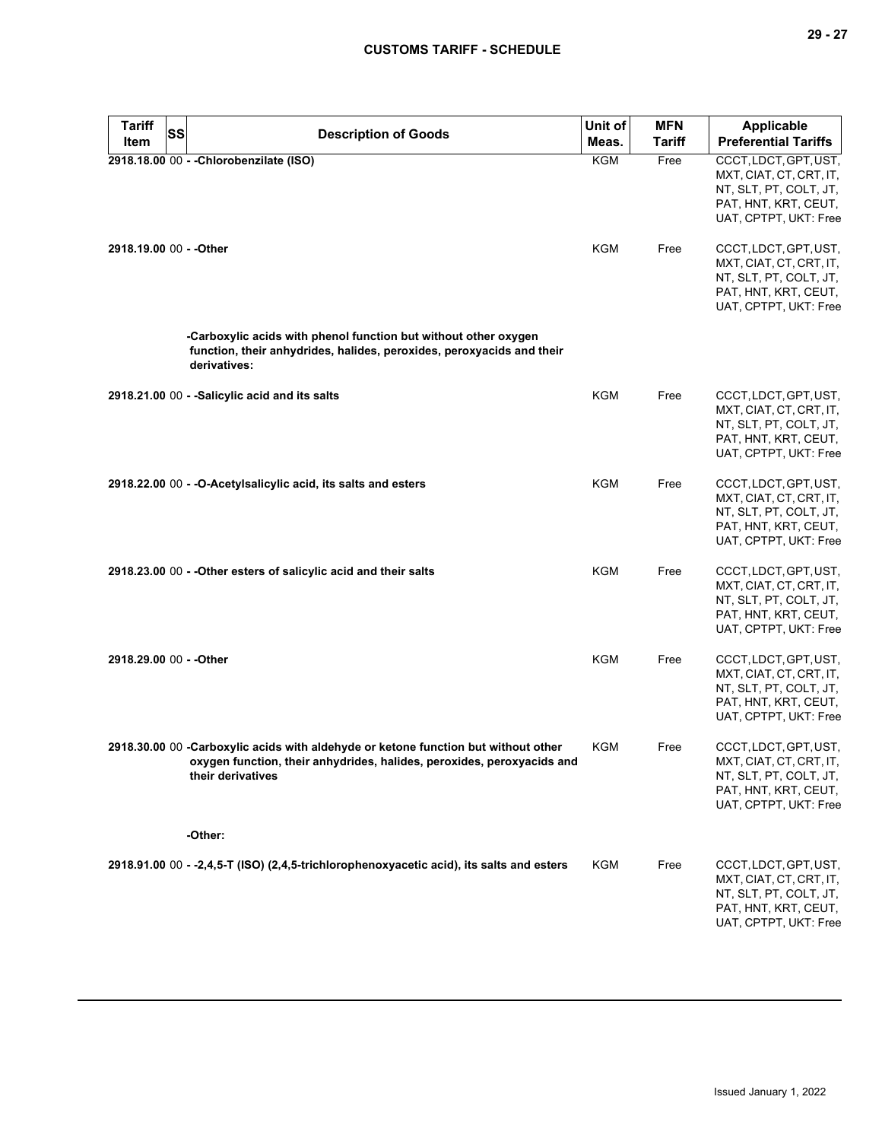| <b>Tariff</b><br><b>SS</b> | <b>Description of Goods</b>                                                                                                                                                       | Unit of    | <b>MFN</b>    | <b>Applicable</b>                                                                                                           |
|----------------------------|-----------------------------------------------------------------------------------------------------------------------------------------------------------------------------------|------------|---------------|-----------------------------------------------------------------------------------------------------------------------------|
| <b>Item</b>                |                                                                                                                                                                                   | Meas.      | <b>Tariff</b> | <b>Preferential Tariffs</b>                                                                                                 |
|                            | 2918.18.00 00 - - Chlorobenzilate (ISO)                                                                                                                                           | <b>KGM</b> | Free          | CCCT, LDCT, GPT, UST,<br>MXT, CIAT, CT, CRT, IT,<br>NT, SLT, PT, COLT, JT,<br>PAT, HNT, KRT, CEUT,<br>UAT, CPTPT, UKT: Free |
| 2918.19.00 00 - - Other    |                                                                                                                                                                                   | <b>KGM</b> | Free          | CCCT, LDCT, GPT, UST,<br>MXT, CIAT, CT, CRT, IT,<br>NT, SLT, PT, COLT, JT,<br>PAT, HNT, KRT, CEUT,<br>UAT, CPTPT, UKT: Free |
|                            | -Carboxylic acids with phenol function but without other oxygen<br>function, their anhydrides, halides, peroxides, peroxyacids and their<br>derivatives:                          |            |               |                                                                                                                             |
|                            | 2918.21.00 00 - -Salicylic acid and its salts                                                                                                                                     | <b>KGM</b> | Free          | CCCT, LDCT, GPT, UST,<br>MXT, CIAT, CT, CRT, IT,<br>NT, SLT, PT, COLT, JT,<br>PAT, HNT, KRT, CEUT,<br>UAT, CPTPT, UKT: Free |
|                            | 2918.22.00 00 - - O-Acetylsalicylic acid, its salts and esters                                                                                                                    | <b>KGM</b> | Free          | CCCT, LDCT, GPT, UST,<br>MXT, CIAT, CT, CRT, IT,<br>NT, SLT, PT, COLT, JT,<br>PAT, HNT, KRT, CEUT,<br>UAT, CPTPT, UKT: Free |
|                            | 2918.23.00 00 - - Other esters of salicylic acid and their salts                                                                                                                  | <b>KGM</b> | Free          | CCCT, LDCT, GPT, UST,<br>MXT, CIAT, CT, CRT, IT,<br>NT, SLT, PT, COLT, JT,<br>PAT, HNT, KRT, CEUT,<br>UAT, CPTPT, UKT: Free |
| 2918.29.00 00 - - Other    |                                                                                                                                                                                   | KGM        | Free          | CCCT, LDCT, GPT, UST,<br>MXT, CIAT, CT, CRT, IT,<br>NT, SLT, PT, COLT, JT,<br>PAT, HNT, KRT, CEUT,<br>UAT, CPTPT, UKT: Free |
|                            | 2918.30.00 00 -Carboxylic acids with aldehyde or ketone function but without other<br>oxygen function, their anhydrides, halides, peroxides, peroxyacids and<br>their derivatives | KGM        | Free          | CCCT, LDCT, GPT, UST,<br>MXT, CIAT, CT, CRT, IT,<br>NT, SLT, PT, COLT, JT,<br>PAT, HNT, KRT, CEUT,<br>UAT, CPTPT, UKT: Free |
|                            | -Other:                                                                                                                                                                           |            |               |                                                                                                                             |
|                            | 2918.91.00 00 - -2,4,5-T (ISO) (2,4,5-trichlorophenoxyacetic acid), its salts and esters                                                                                          | KGM        | Free          | CCCT, LDCT, GPT, UST,<br>MXT, CIAT, CT, CRT, IT,<br>NT, SLT, PT, COLT, JT,<br>PAT, HNT, KRT, CEUT,<br>UAT, CPTPT, UKT: Free |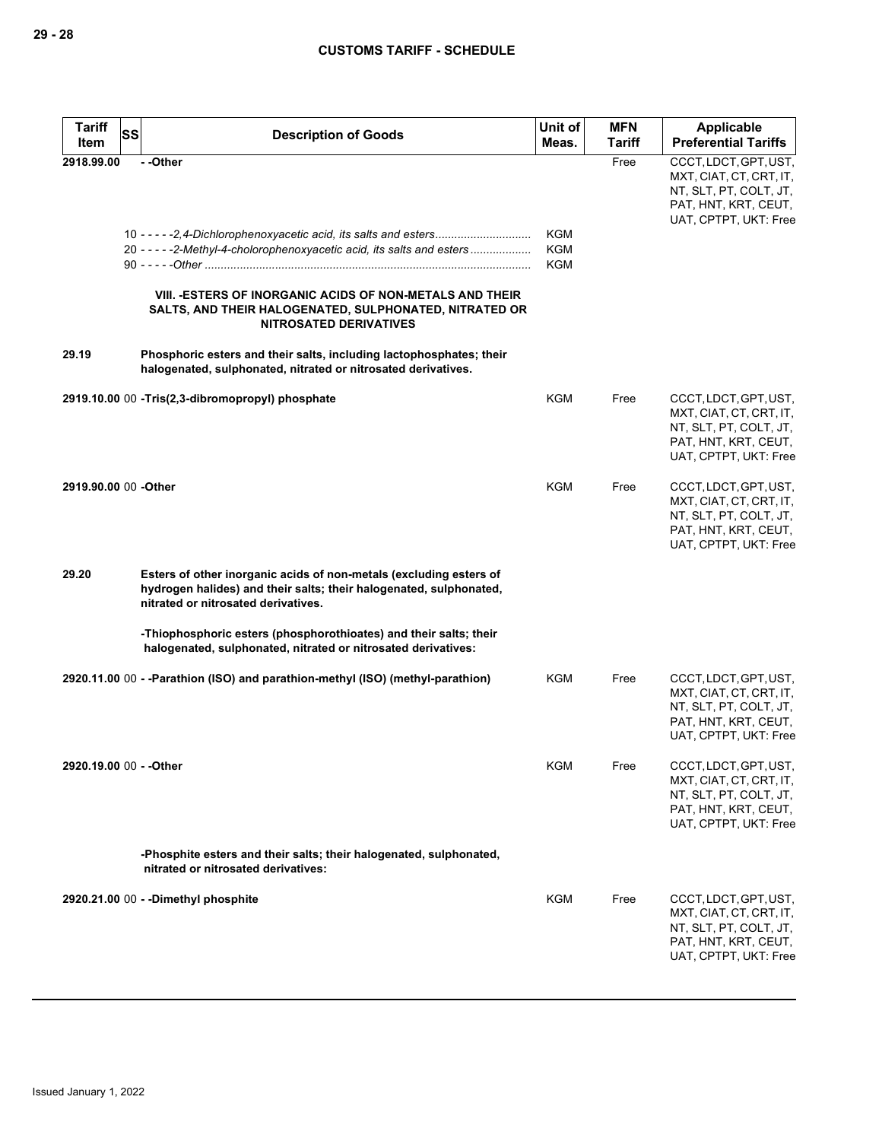| <b>Tariff</b><br>Item   | SS | <b>Description of Goods</b>                                                                                                                                                                                                                                                                                       | Unit of<br>Meas.         | <b>MFN</b><br><b>Tariff</b> | <b>Applicable</b><br><b>Preferential Tariffs</b>                                                                            |
|-------------------------|----|-------------------------------------------------------------------------------------------------------------------------------------------------------------------------------------------------------------------------------------------------------------------------------------------------------------------|--------------------------|-----------------------------|-----------------------------------------------------------------------------------------------------------------------------|
| 2918.99.00<br>29.19     |    | --Other<br>20 - - - - - 2-Methyl-4-cholorophenoxyacetic acid, its salts and esters<br>VIII. - ESTERS OF INORGANIC ACIDS OF NON-METALS AND THEIR<br>SALTS, AND THEIR HALOGENATED, SULPHONATED, NITRATED OR<br><b>NITROSATED DERIVATIVES</b><br>Phosphoric esters and their salts, including lactophosphates; their | KGM<br>KGM<br><b>KGM</b> | Free                        | CCCT, LDCT, GPT, UST,<br>MXT, CIAT, CT, CRT, IT,<br>NT, SLT, PT, COLT, JT,<br>PAT, HNT, KRT, CEUT,<br>UAT, CPTPT, UKT: Free |
|                         |    | halogenated, sulphonated, nitrated or nitrosated derivatives.                                                                                                                                                                                                                                                     |                          |                             |                                                                                                                             |
|                         |    | 2919.10.00 00 - Tris(2,3-dibromopropyl) phosphate                                                                                                                                                                                                                                                                 | KGM                      | Free                        | CCCT, LDCT, GPT, UST,<br>MXT, CIAT, CT, CRT, IT,<br>NT, SLT, PT, COLT, JT,<br>PAT, HNT, KRT, CEUT,<br>UAT, CPTPT, UKT: Free |
| 2919.90.00 00 -Other    |    |                                                                                                                                                                                                                                                                                                                   | KGM                      | Free                        | CCCT, LDCT, GPT, UST,<br>MXT, CIAT, CT, CRT, IT,<br>NT, SLT, PT, COLT, JT,<br>PAT, HNT, KRT, CEUT,<br>UAT, CPTPT, UKT: Free |
| 29.20                   |    | Esters of other inorganic acids of non-metals (excluding esters of<br>hydrogen halides) and their salts; their halogenated, sulphonated,<br>nitrated or nitrosated derivatives.                                                                                                                                   |                          |                             |                                                                                                                             |
|                         |    | -Thiophosphoric esters (phosphorothioates) and their salts; their<br>halogenated, sulphonated, nitrated or nitrosated derivatives:                                                                                                                                                                                |                          |                             |                                                                                                                             |
|                         |    | 2920.11.00 00 - - Parathion (ISO) and parathion-methyl (ISO) (methyl-parathion)                                                                                                                                                                                                                                   | KGM                      | Free                        | CCCT, LDCT, GPT, UST,<br>MXT, CIAT, CT, CRT, IT,<br>NT, SLT, PT, COLT, JT,<br>PAT, HNT, KRT, CEUT,<br>UAT, CPTPT, UKT: Free |
| 2920.19.00 00 - - Other |    |                                                                                                                                                                                                                                                                                                                   | KGM                      | Free                        | CCCT, LDCT, GPT, UST,<br>MXT, CIAT, CT, CRT, IT,<br>NT, SLT, PT, COLT, JT,<br>PAT, HNT, KRT, CEUT,<br>UAT, CPTPT, UKT: Free |
|                         |    | -Phosphite esters and their salts; their halogenated, sulphonated,<br>nitrated or nitrosated derivatives:                                                                                                                                                                                                         |                          |                             |                                                                                                                             |
|                         |    | 2920.21.00 00 - - Dimethyl phosphite                                                                                                                                                                                                                                                                              | KGM                      | Free                        | CCCT, LDCT, GPT, UST,<br>MXT, CIAT, CT, CRT, IT,<br>NT, SLT, PT, COLT, JT,<br>PAT, HNT, KRT, CEUT,<br>UAT, CPTPT, UKT: Free |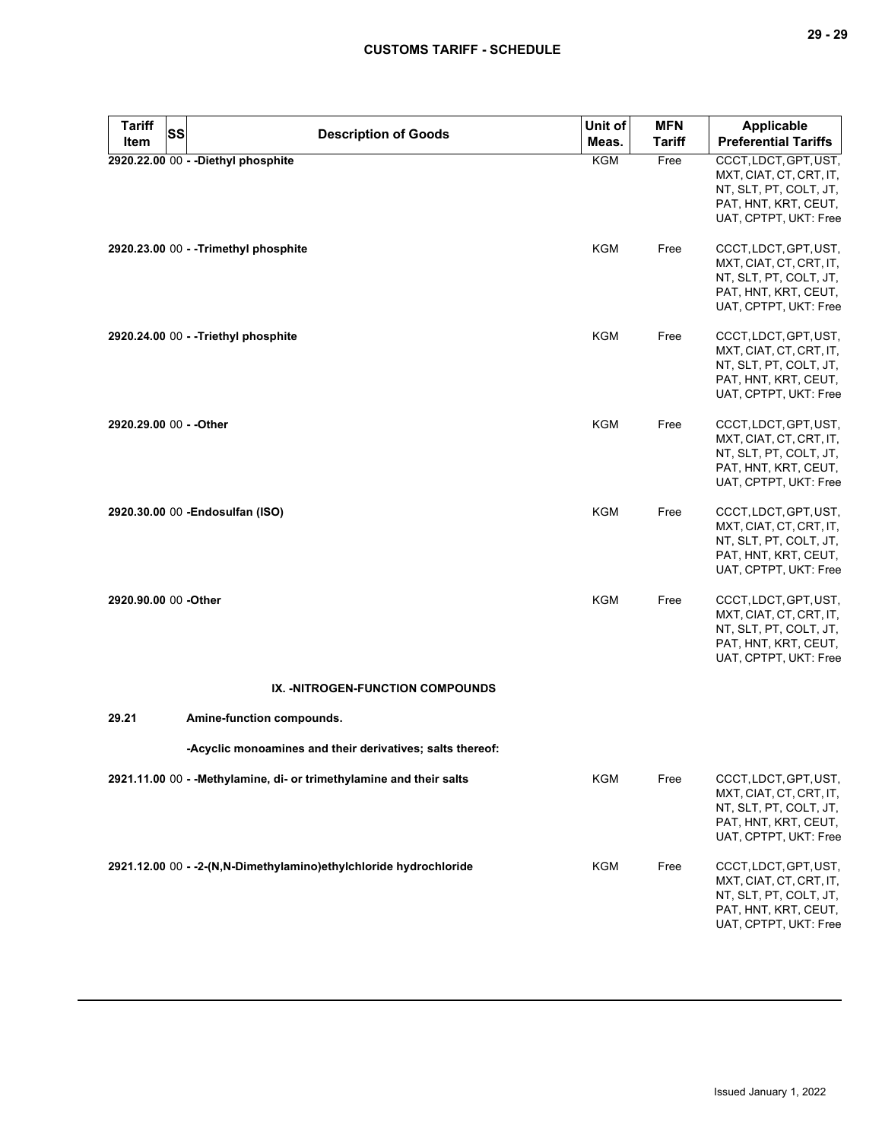| <b>Tariff</b><br>Item   | <b>SS</b> | <b>Description of Goods</b>                                          | Unit of<br>Meas. | <b>MFN</b><br><b>Tariff</b> | <b>Applicable</b><br><b>Preferential Tariffs</b>                                                                            |
|-------------------------|-----------|----------------------------------------------------------------------|------------------|-----------------------------|-----------------------------------------------------------------------------------------------------------------------------|
|                         |           | 2920.22.00 00 - - Diethyl phosphite                                  | <b>KGM</b>       | Free                        | CCCT, LDCT, GPT, UST,<br>MXT, CIAT, CT, CRT, IT,<br>NT, SLT, PT, COLT, JT,<br>PAT, HNT, KRT, CEUT,<br>UAT, CPTPT, UKT: Free |
|                         |           | 2920.23.00 00 - - Trimethyl phosphite                                | <b>KGM</b>       | Free                        | CCCT, LDCT, GPT, UST,<br>MXT, CIAT, CT, CRT, IT,<br>NT, SLT, PT, COLT, JT,<br>PAT, HNT, KRT, CEUT,<br>UAT, CPTPT, UKT: Free |
|                         |           | 2920.24.00 00 - -Triethyl phosphite                                  | <b>KGM</b>       | Free                        | CCCT, LDCT, GPT, UST,<br>MXT, CIAT, CT, CRT, IT,<br>NT, SLT, PT, COLT, JT,<br>PAT, HNT, KRT, CEUT,<br>UAT, CPTPT, UKT: Free |
| 2920.29.00 00 - - Other |           |                                                                      | KGM              | Free                        | CCCT, LDCT, GPT, UST,<br>MXT, CIAT, CT, CRT, IT,<br>NT, SLT, PT, COLT, JT,<br>PAT, HNT, KRT, CEUT,<br>UAT, CPTPT, UKT: Free |
|                         |           | 2920.30.00 00 - Endosulfan (ISO)                                     | <b>KGM</b>       | Free                        | CCCT, LDCT, GPT, UST,<br>MXT, CIAT, CT, CRT, IT,<br>NT, SLT, PT, COLT, JT,<br>PAT, HNT, KRT, CEUT,<br>UAT, CPTPT, UKT: Free |
| 2920.90.00 00 -Other    |           |                                                                      | <b>KGM</b>       | Free                        | CCCT, LDCT, GPT, UST,<br>MXT, CIAT, CT, CRT, IT,<br>NT, SLT, PT, COLT, JT,<br>PAT, HNT, KRT, CEUT,<br>UAT, CPTPT, UKT: Free |
|                         |           | IX. - NITROGEN-FUNCTION COMPOUNDS                                    |                  |                             |                                                                                                                             |
| 29.21                   |           | Amine-function compounds.                                            |                  |                             |                                                                                                                             |
|                         |           | -Acyclic monoamines and their derivatives; salts thereof:            |                  |                             |                                                                                                                             |
|                         |           | 2921.11.00 00 - - Methylamine, di- or trimethylamine and their salts | <b>KGM</b>       | Free                        | CCCT, LDCT, GPT, UST,<br>MXT, CIAT, CT, CRT, IT,<br>NT, SLT, PT, COLT, JT,<br>PAT, HNT, KRT, CEUT,<br>UAT, CPTPT, UKT: Free |
|                         |           | 2921.12.00 00 - - 2-(N, N-Dimethylamino) ethylchloride hydrochloride | <b>KGM</b>       | Free                        | CCCT, LDCT, GPT, UST,<br>MXT, CIAT, CT, CRT, IT,<br>NT, SLT, PT, COLT, JT,<br>PAT, HNT, KRT, CEUT,<br>UAT, CPTPT, UKT: Free |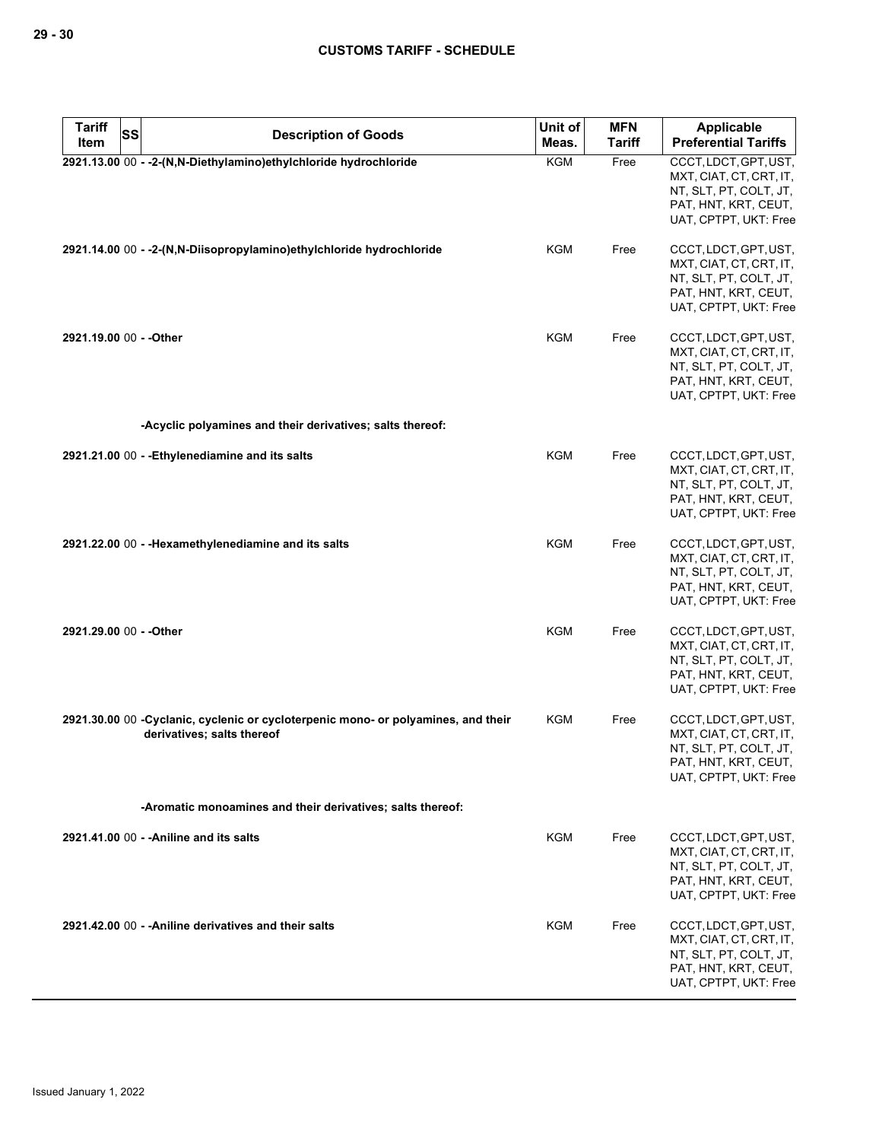| <b>Tariff</b><br><b>SS</b><br>Item | <b>Description of Goods</b>                                                                                     | Unit of<br>Meas. | <b>MFN</b><br><b>Tariff</b> | Applicable<br><b>Preferential Tariffs</b>                                                                                   |
|------------------------------------|-----------------------------------------------------------------------------------------------------------------|------------------|-----------------------------|-----------------------------------------------------------------------------------------------------------------------------|
|                                    | 2921.13.00 00 - - 2-(N,N-Diethylamino) ethylchloride hydrochloride                                              | <b>KGM</b>       | Free                        | CCCT, LDCT, GPT, UST,<br>MXT, CIAT, CT, CRT, IT,<br>NT, SLT, PT, COLT, JT,<br>PAT, HNT, KRT, CEUT,<br>UAT, CPTPT, UKT: Free |
|                                    | 2921.14.00 00 - -2-(N,N-Diisopropylamino)ethylchloride hydrochloride                                            | KGM              | Free                        | CCCT, LDCT, GPT, UST,<br>MXT, CIAT, CT, CRT, IT,<br>NT, SLT, PT, COLT, JT,<br>PAT, HNT, KRT, CEUT,<br>UAT, CPTPT, UKT: Free |
| 2921.19.00 00 - - Other            |                                                                                                                 | <b>KGM</b>       | Free                        | CCCT, LDCT, GPT, UST,<br>MXT, CIAT, CT, CRT, IT,<br>NT, SLT, PT, COLT, JT,<br>PAT, HNT, KRT, CEUT,<br>UAT, CPTPT, UKT: Free |
|                                    | -Acyclic polyamines and their derivatives; salts thereof:                                                       |                  |                             |                                                                                                                             |
|                                    | 2921.21.00 00 - - Ethylenediamine and its salts                                                                 | KGM              | Free                        | CCCT, LDCT, GPT, UST,<br>MXT, CIAT, CT, CRT, IT,<br>NT, SLT, PT, COLT, JT,<br>PAT, HNT, KRT, CEUT,<br>UAT, CPTPT, UKT: Free |
|                                    | 2921.22.00 00 - - Hexamethylenediamine and its salts                                                            | <b>KGM</b>       | Free                        | CCCT, LDCT, GPT, UST,<br>MXT, CIAT, CT, CRT, IT,<br>NT, SLT, PT, COLT, JT,<br>PAT, HNT, KRT, CEUT,<br>UAT, CPTPT, UKT: Free |
| 2921.29.00 00 - - Other            |                                                                                                                 | <b>KGM</b>       | Free                        | CCCT, LDCT, GPT, UST,<br>MXT, CIAT, CT, CRT, IT,<br>NT, SLT, PT, COLT, JT,<br>PAT, HNT, KRT, CEUT,<br>UAT, CPTPT, UKT: Free |
|                                    | 2921.30.00 00 -Cyclanic, cyclenic or cycloterpenic mono- or polyamines, and their<br>derivatives; salts thereof | KGM              | Free                        | CCCT, LDCT, GPT, UST,<br>MXT, CIAT, CT, CRT, IT,<br>NT, SLT, PT, COLT, JT,<br>PAT, HNT, KRT, CEUT,<br>UAT, CPTPT, UKT: Free |
|                                    | -Aromatic monoamines and their derivatives; salts thereof:                                                      |                  |                             |                                                                                                                             |
|                                    | 2921.41.00 00 - - Aniline and its salts                                                                         | KGM              | Free                        | CCCT, LDCT, GPT, UST,<br>MXT, CIAT, CT, CRT, IT,<br>NT, SLT, PT, COLT, JT,<br>PAT, HNT, KRT, CEUT,<br>UAT, CPTPT, UKT: Free |
|                                    | 2921.42.00 00 - - Aniline derivatives and their salts                                                           | KGM              | Free                        | CCCT, LDCT, GPT, UST,<br>MXT, CIAT, CT, CRT, IT,<br>NT, SLT, PT, COLT, JT,<br>PAT, HNT, KRT, CEUT,<br>UAT, CPTPT, UKT: Free |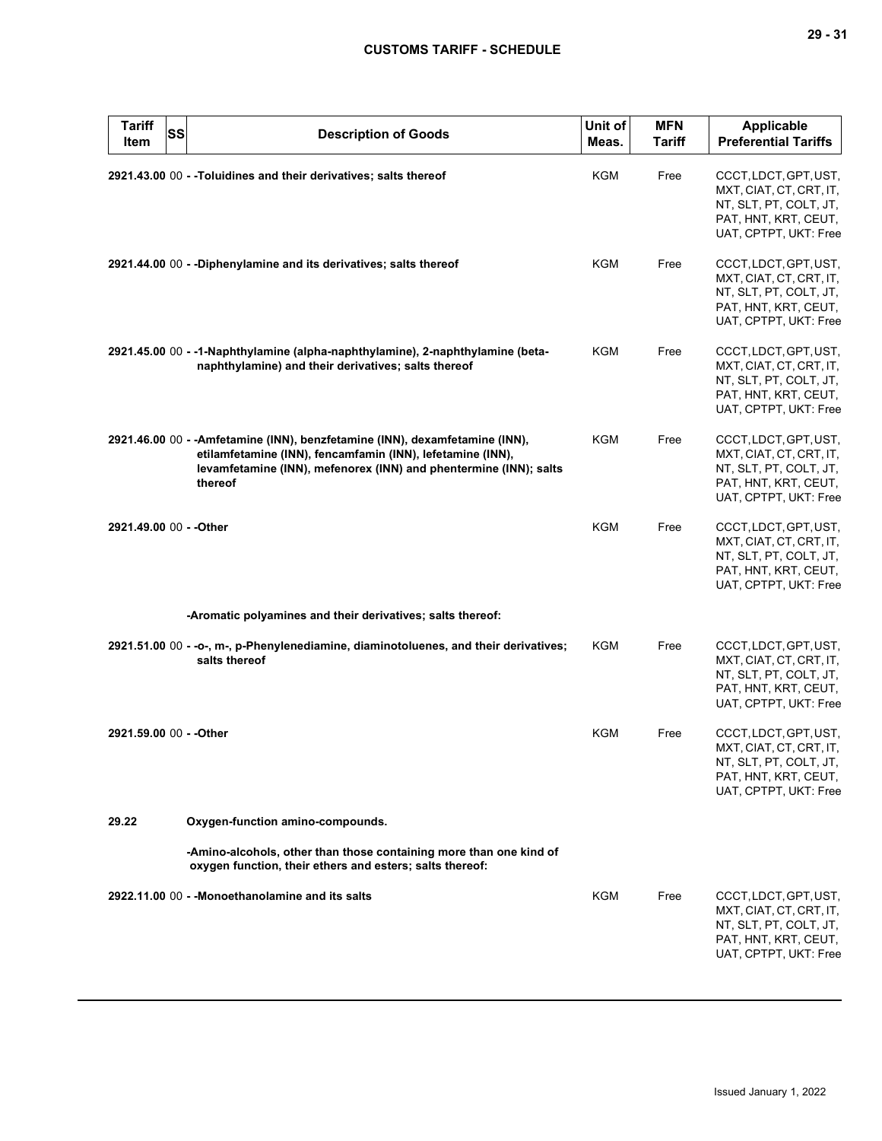| <b>Tariff</b><br>Item   | SS | <b>Description of Goods</b>                                                                                                                                                                                                | Unit of<br>Meas. | <b>MFN</b><br><b>Tariff</b> | <b>Applicable</b><br><b>Preferential Tariffs</b>                                                                            |
|-------------------------|----|----------------------------------------------------------------------------------------------------------------------------------------------------------------------------------------------------------------------------|------------------|-----------------------------|-----------------------------------------------------------------------------------------------------------------------------|
|                         |    | 2921.43.00 00 - - Toluidines and their derivatives; salts thereof                                                                                                                                                          | KGM              | Free                        | CCCT, LDCT, GPT, UST,<br>MXT, CIAT, CT, CRT, IT,<br>NT, SLT, PT, COLT, JT,<br>PAT, HNT, KRT, CEUT,<br>UAT, CPTPT, UKT: Free |
|                         |    | 2921.44.00 00 - -Diphenylamine and its derivatives; salts thereof                                                                                                                                                          | KGM              | Free                        | CCCT, LDCT, GPT, UST,<br>MXT, CIAT, CT, CRT, IT,<br>NT, SLT, PT, COLT, JT,<br>PAT, HNT, KRT, CEUT,<br>UAT, CPTPT, UKT: Free |
|                         |    | 2921.45.00 00 - -1-Naphthylamine (alpha-naphthylamine), 2-naphthylamine (beta-<br>naphthylamine) and their derivatives; salts thereof                                                                                      | KGM              | Free                        | CCCT, LDCT, GPT, UST,<br>MXT, CIAT, CT, CRT, IT,<br>NT, SLT, PT, COLT, JT,<br>PAT, HNT, KRT, CEUT,<br>UAT, CPTPT, UKT: Free |
|                         |    | 2921.46.00 00 - - Amfetamine (INN), benzfetamine (INN), dexamfetamine (INN),<br>etilamfetamine (INN), fencamfamin (INN), lefetamine (INN),<br>levamfetamine (INN), mefenorex (INN) and phentermine (INN); salts<br>thereof | <b>KGM</b>       | Free                        | CCCT, LDCT, GPT, UST,<br>MXT, CIAT, CT, CRT, IT,<br>NT, SLT, PT, COLT, JT,<br>PAT, HNT, KRT, CEUT,<br>UAT, CPTPT, UKT: Free |
| 2921.49.00 00 - - Other |    |                                                                                                                                                                                                                            | <b>KGM</b>       | Free                        | CCCT, LDCT, GPT, UST,<br>MXT, CIAT, CT, CRT, IT,<br>NT, SLT, PT, COLT, JT,<br>PAT, HNT, KRT, CEUT,<br>UAT, CPTPT, UKT: Free |
|                         |    | -Aromatic polyamines and their derivatives; salts thereof:                                                                                                                                                                 |                  |                             |                                                                                                                             |
|                         |    | 2921.51.00 00 - -o-, m-, p-Phenylenediamine, diaminotoluenes, and their derivatives;<br>salts thereof                                                                                                                      | KGM              | Free                        | CCCT, LDCT, GPT, UST,<br>MXT, CIAT, CT, CRT, IT,<br>NT, SLT, PT, COLT, JT,<br>PAT, HNT, KRT, CEUT,<br>UAT, CPTPT, UKT: Free |
| 2921.59.00 00 - - Other |    |                                                                                                                                                                                                                            | KGM              | Free                        | CCCT, LDCT, GPT, UST,<br>MXT, CIAT, CT, CRT, IT,<br>NT, SLT, PT, COLT, JT,<br>PAT, HNT, KRT, CEUT,<br>UAT, CPTPT, UKT: Free |
| 29.22                   |    | Oxygen-function amino-compounds.                                                                                                                                                                                           |                  |                             |                                                                                                                             |
|                         |    | -Amino-alcohols, other than those containing more than one kind of<br>oxygen function, their ethers and esters; salts thereof:                                                                                             |                  |                             |                                                                                                                             |
|                         |    | 2922.11.00 00 - - Monoethanolamine and its salts                                                                                                                                                                           | KGM              | Free                        | CCCT, LDCT, GPT, UST,<br>MXT, CIAT, CT, CRT, IT,<br>NT, SLT, PT, COLT, JT,<br>PAT, HNT, KRT, CEUT,<br>UAT, CPTPT, UKT: Free |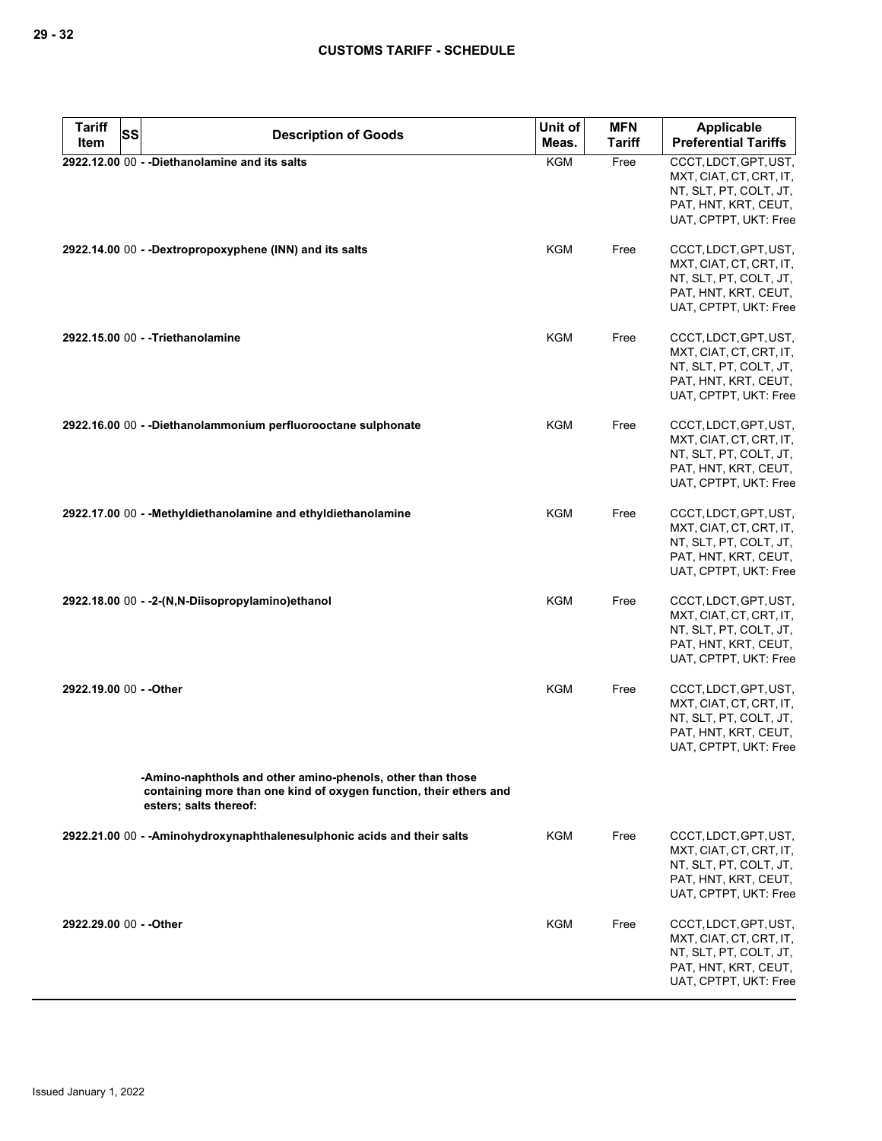| <b>Tariff</b>           | SS | <b>Description of Goods</b>                                                                                                                                | Unit of    | <b>MFN</b>    | <b>Applicable</b>                                                                                                           |
|-------------------------|----|------------------------------------------------------------------------------------------------------------------------------------------------------------|------------|---------------|-----------------------------------------------------------------------------------------------------------------------------|
| Item                    |    |                                                                                                                                                            | Meas.      | <b>Tariff</b> | <b>Preferential Tariffs</b>                                                                                                 |
|                         |    | 2922.12.00 00 - - Diethanolamine and its salts                                                                                                             | KGM        | Free          | CCCT, LDCT, GPT, UST,<br>MXT, CIAT, CT, CRT, IT,<br>NT, SLT, PT, COLT, JT,<br>PAT, HNT, KRT, CEUT,<br>UAT, CPTPT, UKT: Free |
|                         |    | 2922.14.00 00 - -Dextropropoxyphene (INN) and its salts                                                                                                    | KGM        | Free          | CCCT, LDCT, GPT, UST,<br>MXT, CIAT, CT, CRT, IT,<br>NT, SLT, PT, COLT, JT,<br>PAT, HNT, KRT, CEUT,<br>UAT, CPTPT, UKT: Free |
|                         |    | 2922.15.00 00 - -Triethanolamine                                                                                                                           | <b>KGM</b> | Free          | CCCT, LDCT, GPT, UST,<br>MXT, CIAT, CT, CRT, IT,<br>NT, SLT, PT, COLT, JT,<br>PAT, HNT, KRT, CEUT,<br>UAT, CPTPT, UKT: Free |
|                         |    | 2922.16.00 00 - - Diethanolammonium perfluorooctane sulphonate                                                                                             | <b>KGM</b> | Free          | CCCT, LDCT, GPT, UST,<br>MXT, CIAT, CT, CRT, IT,<br>NT, SLT, PT, COLT, JT,<br>PAT, HNT, KRT, CEUT,<br>UAT, CPTPT, UKT: Free |
|                         |    | 2922.17.00 00 - - Methyldiethanolamine and ethyldiethanolamine                                                                                             | KGM        | Free          | CCCT, LDCT, GPT, UST,<br>MXT, CIAT, CT, CRT, IT,<br>NT, SLT, PT, COLT, JT,<br>PAT, HNT, KRT, CEUT,<br>UAT, CPTPT, UKT: Free |
|                         |    | 2922.18.00 00 - -2-(N,N-Diisopropylamino)ethanol                                                                                                           | <b>KGM</b> | Free          | CCCT, LDCT, GPT, UST,<br>MXT, CIAT, CT, CRT, IT,<br>NT, SLT, PT, COLT, JT,<br>PAT, HNT, KRT, CEUT,<br>UAT, CPTPT, UKT: Free |
| 2922.19.00 00 - - Other |    |                                                                                                                                                            | <b>KGM</b> | Free          | CCCT, LDCT, GPT, UST,<br>MXT, CIAT, CT, CRT, IT,<br>NT, SLT, PT, COLT, JT,<br>PAT, HNT, KRT, CEUT,<br>UAT, CPTPT, UKT: Free |
|                         |    | -Amino-naphthols and other amino-phenols, other than those<br>containing more than one kind of oxygen function, their ethers and<br>esters; salts thereof: |            |               |                                                                                                                             |
|                         |    | 2922.21.00 00 - - Aminohydroxynaphthalenesulphonic acids and their salts                                                                                   | KGM        | Free          | CCCT, LDCT, GPT, UST,<br>MXT, CIAT, CT, CRT, IT,<br>NT, SLT, PT, COLT, JT,<br>PAT, HNT, KRT, CEUT,<br>UAT, CPTPT, UKT: Free |
| 2922.29.00 00 - - Other |    |                                                                                                                                                            | KGM        | Free          | CCCT, LDCT, GPT, UST,<br>MXT, CIAT, CT, CRT, IT,<br>NT, SLT, PT, COLT, JT,<br>PAT, HNT, KRT, CEUT,<br>UAT, CPTPT, UKT: Free |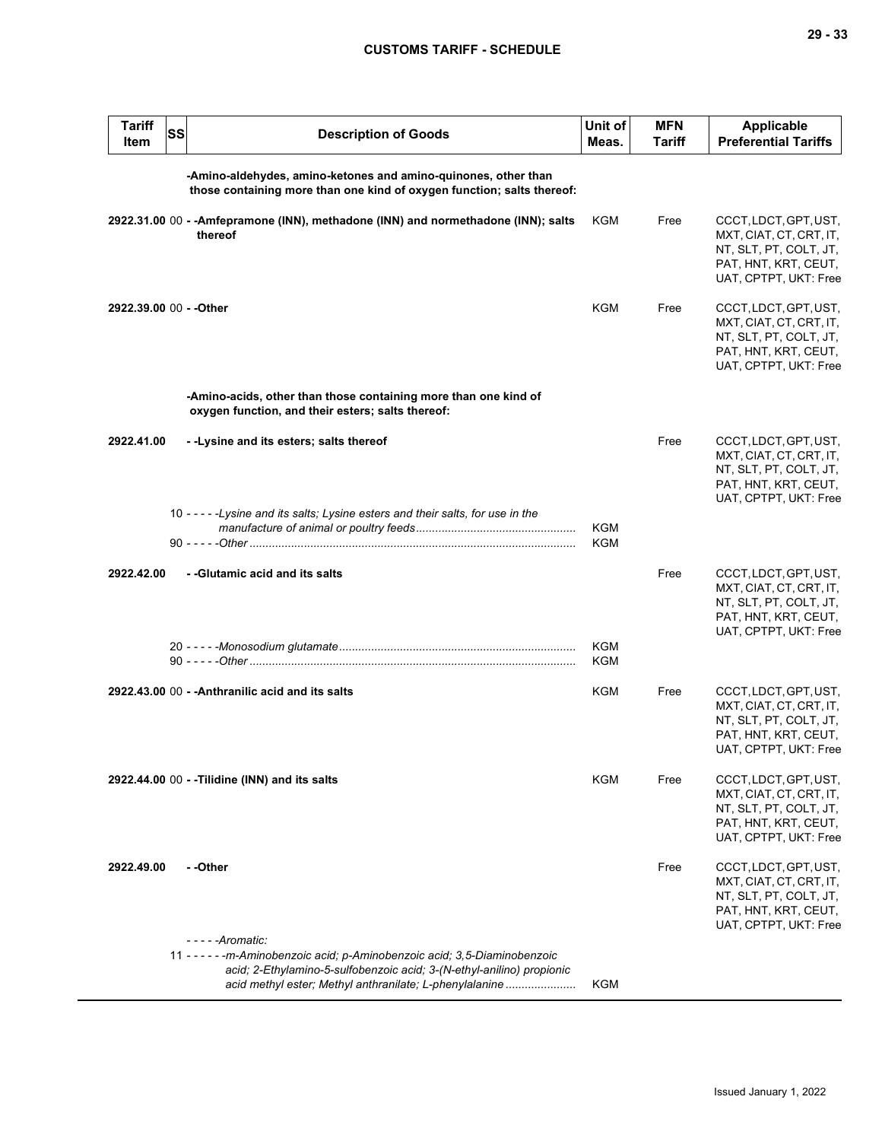| <b>Tariff</b><br>Item   | <b>SS</b> | <b>Description of Goods</b>                                                                                                                                                                                                            | Unit of<br>Meas. | <b>MFN</b><br>Tariff | Applicable<br><b>Preferential Tariffs</b>                                                                                   |
|-------------------------|-----------|----------------------------------------------------------------------------------------------------------------------------------------------------------------------------------------------------------------------------------------|------------------|----------------------|-----------------------------------------------------------------------------------------------------------------------------|
|                         |           | -Amino-aldehydes, amino-ketones and amino-quinones, other than<br>those containing more than one kind of oxygen function; salts thereof:                                                                                               |                  |                      |                                                                                                                             |
|                         |           | 2922.31.00 00 - - Amfepramone (INN), methadone (INN) and normethadone (INN); salts<br>thereof                                                                                                                                          | <b>KGM</b>       | Free                 | CCCT, LDCT, GPT, UST,<br>MXT, CIAT, CT, CRT, IT,<br>NT, SLT, PT, COLT, JT,<br>PAT, HNT, KRT, CEUT,<br>UAT, CPTPT, UKT: Free |
| 2922.39.00 00 - - Other |           |                                                                                                                                                                                                                                        | <b>KGM</b>       | Free                 | CCCT, LDCT, GPT, UST,<br>MXT, CIAT, CT, CRT, IT,<br>NT, SLT, PT, COLT, JT,<br>PAT, HNT, KRT, CEUT,<br>UAT, CPTPT, UKT: Free |
|                         |           | -Amino-acids, other than those containing more than one kind of<br>oxygen function, and their esters; salts thereof:                                                                                                                   |                  |                      |                                                                                                                             |
| 2922.41.00              |           | --Lysine and its esters; salts thereof                                                                                                                                                                                                 |                  | Free                 | CCCT, LDCT, GPT, UST,<br>MXT, CIAT, CT, CRT, IT,<br>NT, SLT, PT, COLT, JT,<br>PAT, HNT, KRT, CEUT,<br>UAT, CPTPT, UKT: Free |
|                         |           | 10 - - - - - Lysine and its salts; Lysine esters and their salts, for use in the                                                                                                                                                       | KGM<br>KGM       |                      |                                                                                                                             |
| 2922.42.00              |           | - - Glutamic acid and its salts                                                                                                                                                                                                        |                  | Free                 | CCCT, LDCT, GPT, UST,<br>MXT, CIAT, CT, CRT, IT,<br>NT, SLT, PT, COLT, JT,<br>PAT, HNT, KRT, CEUT,<br>UAT, CPTPT, UKT: Free |
|                         |           |                                                                                                                                                                                                                                        | KGM<br>KGM       |                      |                                                                                                                             |
|                         |           | 2922.43.00 00 - - Anthranilic acid and its salts                                                                                                                                                                                       | <b>KGM</b>       | Free                 | CCCT, LDCT, GPT, UST,<br>MXT, CIAT, CT, CRT, IT,<br>NT, SLT, PT, COLT, JT,<br>PAT, HNT, KRT, CEUT,<br>UAT, CPTPT, UKT: Free |
|                         |           | 2922.44.00 00 - - Tilidine (INN) and its salts                                                                                                                                                                                         | KGM              | Free                 | CCCT, LDCT, GPT, UST,<br>MXT, CIAT, CT, CRT, IT,<br>NT, SLT, PT, COLT, JT,<br>PAT, HNT, KRT, CEUT,<br>UAT, CPTPT, UKT: Free |
| 2922.49.00              |           | - -Other                                                                                                                                                                                                                               |                  | Free                 | CCCT, LDCT, GPT, UST,<br>MXT, CIAT, CT, CRT, IT,<br>NT, SLT, PT, COLT, JT,<br>PAT, HNT, KRT, CEUT,<br>UAT, CPTPT, UKT: Free |
|                         |           | - - - - - Aromatic:<br>11 - - - - - - m-Aminobenzoic acid; p-Aminobenzoic acid; 3,5-Diaminobenzoic<br>acid; 2-Ethylamino-5-sulfobenzoic acid; 3-(N-ethyl-anilino) propionic<br>acid methyl ester; Methyl anthranilate; L-phenylalanine | <b>KGM</b>       |                      |                                                                                                                             |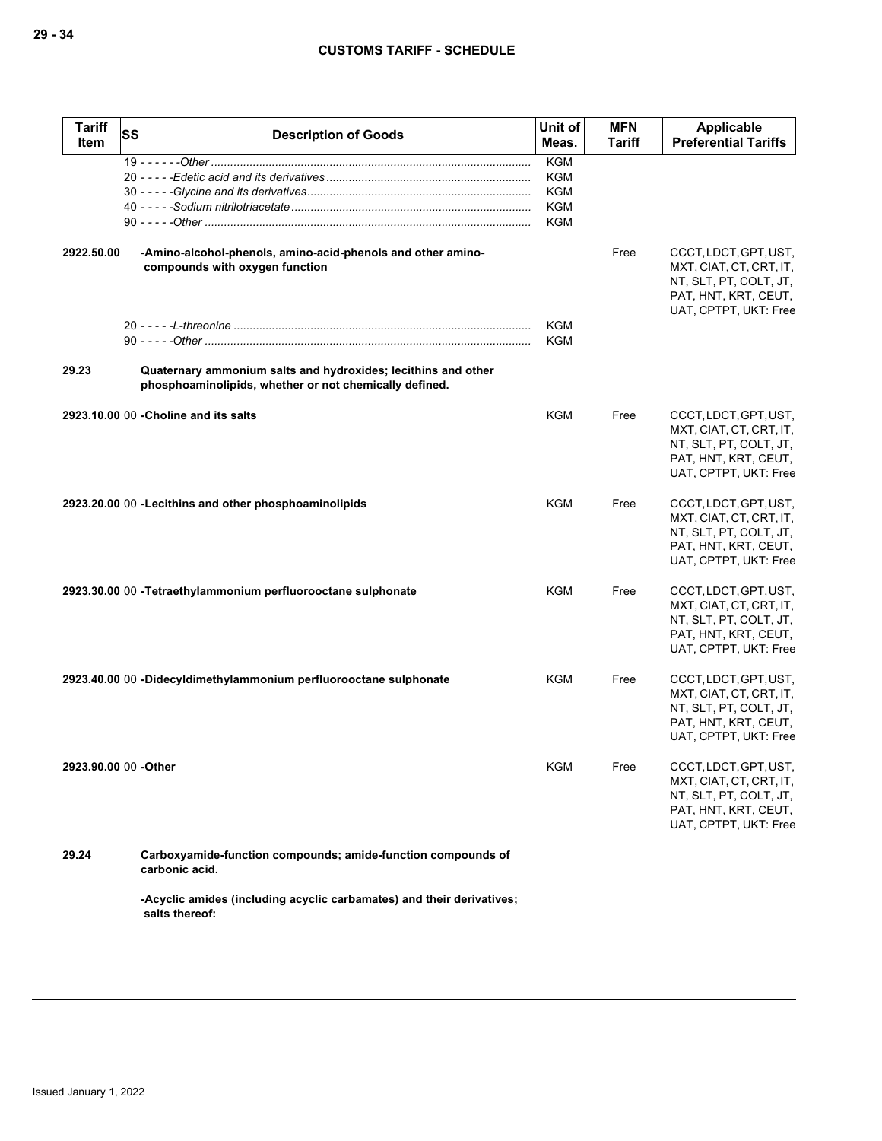| <b>Tariff</b><br>Item | SS | <b>Description of Goods</b>                                                                                             | Unit of<br>Meas.                                     | <b>MFN</b><br>Tariff | <b>Applicable</b><br><b>Preferential Tariffs</b>                                                                            |
|-----------------------|----|-------------------------------------------------------------------------------------------------------------------------|------------------------------------------------------|----------------------|-----------------------------------------------------------------------------------------------------------------------------|
|                       |    |                                                                                                                         | <b>KGM</b><br><b>KGM</b><br>KGM<br><b>KGM</b><br>KGM |                      |                                                                                                                             |
| 2922.50.00            |    | -Amino-alcohol-phenols, amino-acid-phenols and other amino-<br>compounds with oxygen function                           |                                                      | Free                 | CCCT, LDCT, GPT, UST,<br>MXT, CIAT, CT, CRT, IT,<br>NT, SLT, PT, COLT, JT,<br>PAT, HNT, KRT, CEUT,<br>UAT, CPTPT, UKT: Free |
|                       |    |                                                                                                                         | <b>KGM</b><br><b>KGM</b>                             |                      |                                                                                                                             |
| 29.23                 |    | Quaternary ammonium salts and hydroxides; lecithins and other<br>phosphoaminolipids, whether or not chemically defined. |                                                      |                      |                                                                                                                             |
|                       |    | 2923.10.00 00 - Choline and its salts                                                                                   | KGM                                                  | Free                 | CCCT, LDCT, GPT, UST,<br>MXT, CIAT, CT, CRT, IT,<br>NT, SLT, PT, COLT, JT,<br>PAT, HNT, KRT, CEUT,<br>UAT, CPTPT, UKT: Free |
|                       |    | 2923.20.00 00 - Lecithins and other phosphoaminolipids                                                                  | <b>KGM</b>                                           | Free                 | CCCT, LDCT, GPT, UST,<br>MXT, CIAT, CT, CRT, IT,<br>NT, SLT, PT, COLT, JT,<br>PAT, HNT, KRT, CEUT,<br>UAT, CPTPT, UKT: Free |
|                       |    | 2923.30.00 00 - Tetraethylammonium perfluorooctane sulphonate                                                           | <b>KGM</b>                                           | Free                 | CCCT, LDCT, GPT, UST,<br>MXT, CIAT, CT, CRT, IT,<br>NT, SLT, PT, COLT, JT,<br>PAT, HNT, KRT, CEUT,<br>UAT, CPTPT, UKT: Free |
|                       |    | 2923.40.00 00 -Didecyldimethylammonium perfluorooctane sulphonate                                                       | KGM                                                  | Free                 | CCCT, LDCT, GPT, UST,<br>MXT, CIAT, CT, CRT, IT,<br>NT, SLT, PT, COLT, JT,<br>PAT, HNT, KRT, CEUT,<br>UAT, CPTPT, UKT: Free |
| 2923.90.00 00 -Other  |    |                                                                                                                         | <b>KGM</b>                                           | Free                 | CCCT, LDCT, GPT, UST,<br>MXT, CIAT, CT, CRT, IT,<br>NT, SLT, PT, COLT, JT,<br>PAT, HNT, KRT, CEUT,<br>UAT, CPTPT, UKT: Free |
| 29.24                 |    | Carboxyamide-function compounds; amide-function compounds of<br>carbonic acid.                                          |                                                      |                      |                                                                                                                             |
|                       |    | -Acyclic amides (including acyclic carbamates) and their derivatives;<br>salts thereof:                                 |                                                      |                      |                                                                                                                             |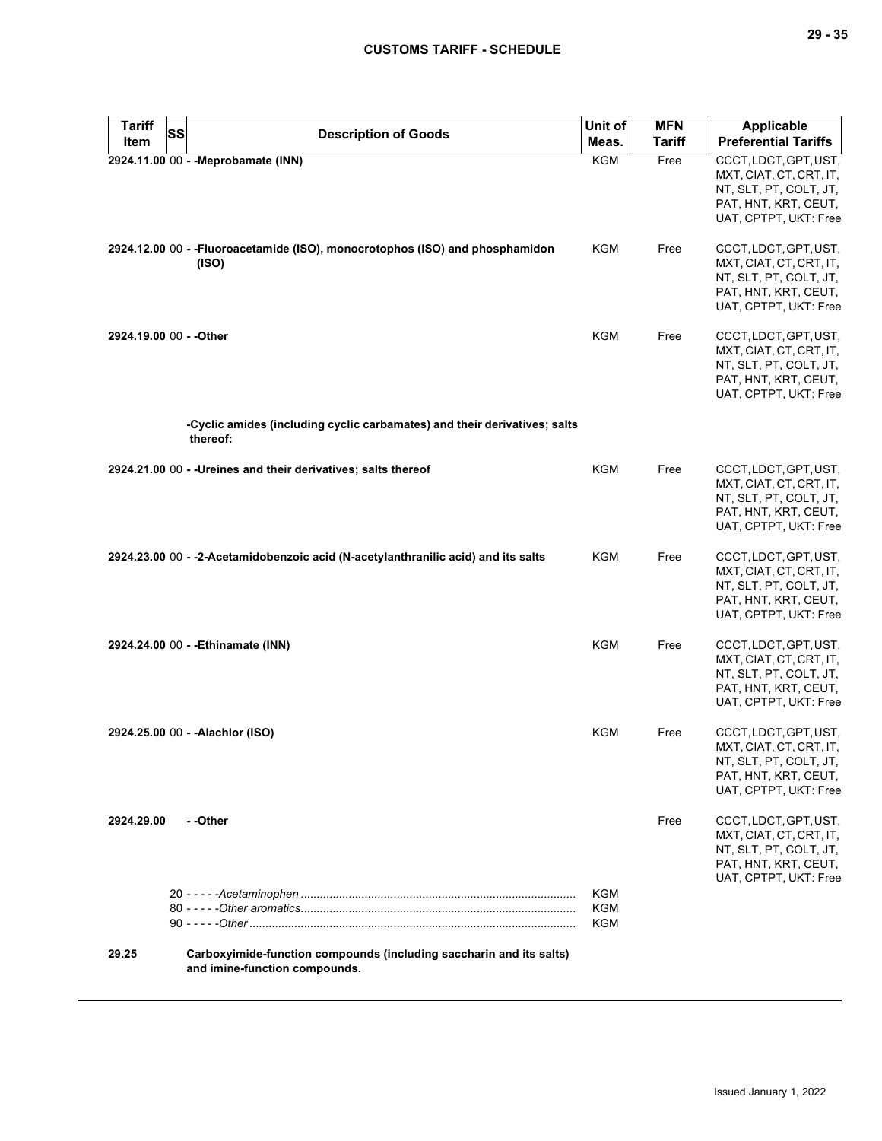| <b>Tariff</b>           | SS |                                                                                                      | Unit of           | <b>MFN</b> | <b>Applicable</b>                                                                                                           |
|-------------------------|----|------------------------------------------------------------------------------------------------------|-------------------|------------|-----------------------------------------------------------------------------------------------------------------------------|
| Item                    |    | <b>Description of Goods</b>                                                                          | Meas.             | Tariff     | <b>Preferential Tariffs</b>                                                                                                 |
|                         |    | 2924.11.00 00 - - Meprobamate (INN)                                                                  | <b>KGM</b>        | Free       | CCCT, LDCT, GPT, UST,<br>MXT, CIAT, CT, CRT, IT,<br>NT, SLT, PT, COLT, JT,<br>PAT, HNT, KRT, CEUT,<br>UAT, CPTPT, UKT: Free |
|                         |    | 2924.12.00 00 - - Fluoroacetamide (ISO), monocrotophos (ISO) and phosphamidon<br>(ISO)               | KGM               | Free       | CCCT, LDCT, GPT, UST,<br>MXT, CIAT, CT, CRT, IT,<br>NT, SLT, PT, COLT, JT,<br>PAT, HNT, KRT, CEUT,<br>UAT, CPTPT, UKT: Free |
| 2924.19.00 00 - - Other |    |                                                                                                      | <b>KGM</b>        | Free       | CCCT, LDCT, GPT, UST,<br>MXT, CIAT, CT, CRT, IT,<br>NT, SLT, PT, COLT, JT,<br>PAT, HNT, KRT, CEUT,<br>UAT, CPTPT, UKT: Free |
|                         |    | -Cyclic amides (including cyclic carbamates) and their derivatives; salts<br>thereof:                |                   |            |                                                                                                                             |
|                         |    | 2924.21.00 00 - - Ureines and their derivatives; salts thereof                                       | KGM               | Free       | CCCT, LDCT, GPT, UST,<br>MXT, CIAT, CT, CRT, IT,<br>NT, SLT, PT, COLT, JT,<br>PAT, HNT, KRT, CEUT,<br>UAT, CPTPT, UKT: Free |
|                         |    | 2924.23.00 00 - -2-Acetamidobenzoic acid (N-acetylanthranilic acid) and its salts                    | KGM               | Free       | CCCT, LDCT, GPT, UST,<br>MXT, CIAT, CT, CRT, IT,<br>NT, SLT, PT, COLT, JT,<br>PAT, HNT, KRT, CEUT,<br>UAT, CPTPT, UKT: Free |
|                         |    | 2924.24.00 00 - - Ethinamate (INN)                                                                   | KGM               | Free       | CCCT, LDCT, GPT, UST,<br>MXT, CIAT, CT, CRT, IT,<br>NT, SLT, PT, COLT, JT,<br>PAT, HNT, KRT, CEUT,<br>UAT, CPTPT, UKT: Free |
|                         |    | 2924.25.00 00 - - Alachlor (ISO)                                                                     | KGM               | Free       | CCCT, LDCT, GPT, UST,<br>MXT, CIAT, CT, CRT, IT,<br>NT, SLT, PT, COLT, JT,<br>PAT, HNT, KRT, CEUT,<br>UAT, CPTPT, UKT: Free |
| 2924.29.00              |    | - -Other                                                                                             |                   | Free       | CCCT, LDCT, GPT, UST,<br>MXT, CIAT, CT, CRT, IT,<br>NT, SLT, PT, COLT, JT,<br>PAT, HNT, KRT, CEUT,<br>UAT, CPTPT, UKT: Free |
|                         |    |                                                                                                      | KGM<br>KGM<br>KGM |            |                                                                                                                             |
| 29.25                   |    | Carboxyimide-function compounds (including saccharin and its salts)<br>and imine-function compounds. |                   |            |                                                                                                                             |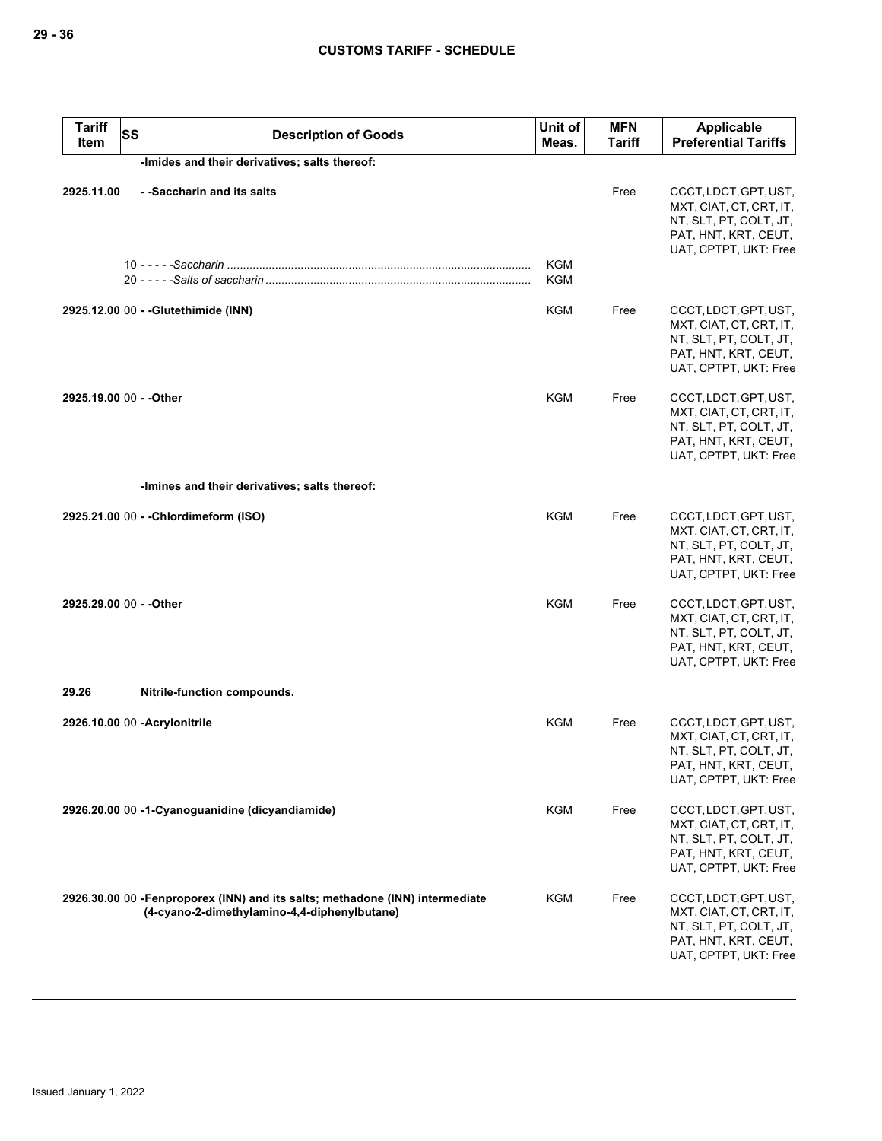| <b>Tariff</b><br>Item   | <b>SS</b><br><b>Description of Goods</b>                                                                                      | Unit of<br>Meas. | <b>MFN</b><br><b>Tariff</b> | <b>Applicable</b><br><b>Preferential Tariffs</b>                                                                            |
|-------------------------|-------------------------------------------------------------------------------------------------------------------------------|------------------|-----------------------------|-----------------------------------------------------------------------------------------------------------------------------|
|                         | -Imides and their derivatives; salts thereof:                                                                                 |                  |                             |                                                                                                                             |
| 2925.11.00              | - -Saccharin and its salts                                                                                                    | KGM<br>KGM       | Free                        | CCCT, LDCT, GPT, UST,<br>MXT, CIAT, CT, CRT, IT,<br>NT, SLT, PT, COLT, JT,<br>PAT, HNT, KRT, CEUT,<br>UAT, CPTPT, UKT: Free |
|                         | 2925.12.00 00 - - Glutethimide (INN)                                                                                          | KGM              | Free                        | CCCT, LDCT, GPT, UST,<br>MXT, CIAT, CT, CRT, IT,<br>NT, SLT, PT, COLT, JT,<br>PAT, HNT, KRT, CEUT,<br>UAT, CPTPT, UKT: Free |
| 2925.19.00 00 - - Other |                                                                                                                               | KGM              | Free                        | CCCT, LDCT, GPT, UST,<br>MXT, CIAT, CT, CRT, IT,<br>NT, SLT, PT, COLT, JT,<br>PAT, HNT, KRT, CEUT,<br>UAT, CPTPT, UKT: Free |
|                         | -Imines and their derivatives; salts thereof:                                                                                 |                  |                             |                                                                                                                             |
|                         | 2925.21.00 00 - - Chlordimeform (ISO)                                                                                         | <b>KGM</b>       | Free                        | CCCT, LDCT, GPT, UST,<br>MXT, CIAT, CT, CRT, IT,<br>NT, SLT, PT, COLT, JT,<br>PAT, HNT, KRT, CEUT,<br>UAT, CPTPT, UKT: Free |
| 2925.29.00 00 - - Other |                                                                                                                               | KGM              | Free                        | CCCT, LDCT, GPT, UST,<br>MXT, CIAT, CT, CRT, IT,<br>NT, SLT, PT, COLT, JT,<br>PAT, HNT, KRT, CEUT,<br>UAT, CPTPT, UKT: Free |
| 29.26                   | Nitrile-function compounds.                                                                                                   |                  |                             |                                                                                                                             |
|                         | 2926.10.00 00 - Acrylonitrile                                                                                                 | KGM              | Free                        | CCCT, LDCT, GPT, UST,<br>MXT, CIAT, CT, CRT, IT,<br>NT, SLT, PT, COLT, JT,<br>PAT, HNT, KRT, CEUT,<br>UAT, CPTPT, UKT: Free |
|                         | 2926.20.00 00 -1-Cyanoguanidine (dicyandiamide)                                                                               | KGM              | Free                        | CCCT, LDCT, GPT, UST,<br>MXT, CIAT, CT, CRT, IT,<br>NT, SLT, PT, COLT, JT,<br>PAT, HNT, KRT, CEUT,<br>UAT, CPTPT, UKT: Free |
|                         | 2926.30.00 00 - Fenproporex (INN) and its salts; methadone (INN) intermediate<br>(4-cyano-2-dimethylamino-4,4-diphenylbutane) | KGM              | Free                        | CCCT, LDCT, GPT, UST,<br>MXT, CIAT, CT, CRT, IT,<br>NT, SLT, PT, COLT, JT,<br>PAT, HNT, KRT, CEUT,<br>UAT, CPTPT, UKT: Free |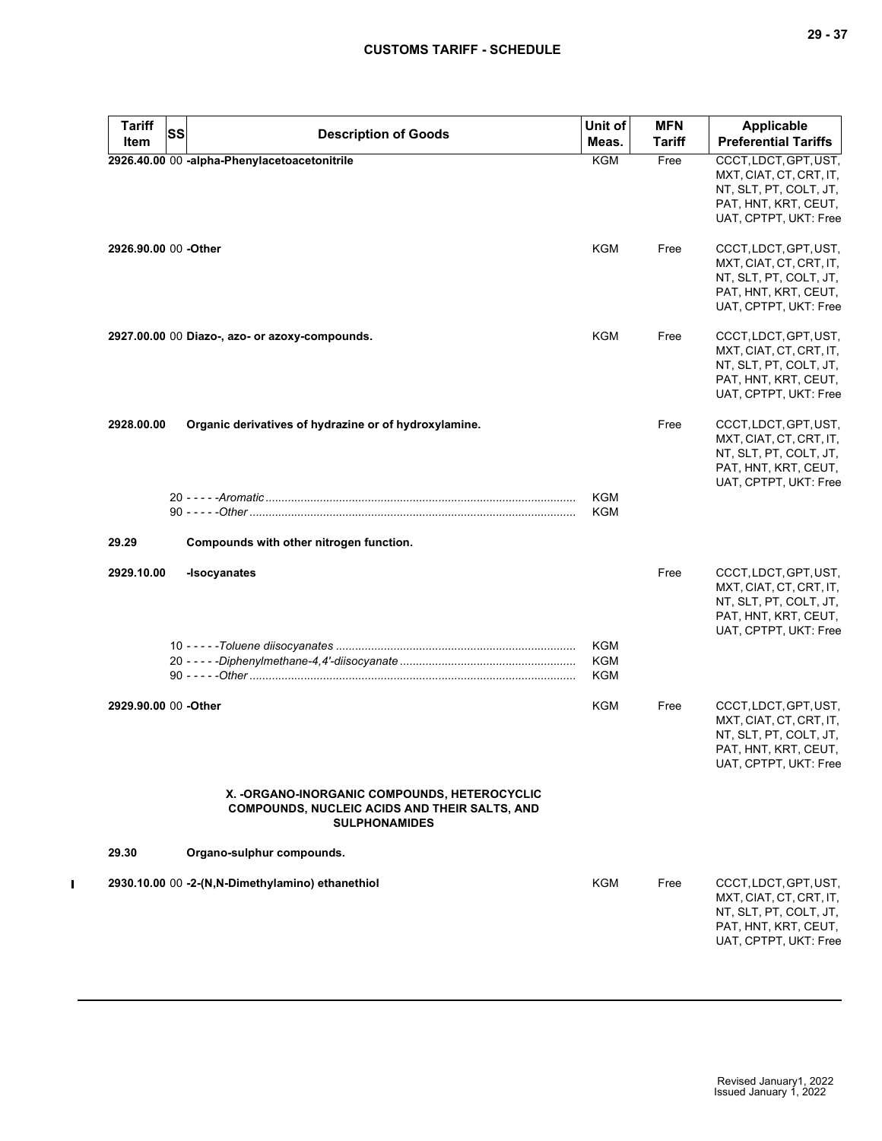| <b>Tariff</b><br>Item | SS<br><b>Description of Goods</b>                                                                                             | Unit of<br>Meas.                | <b>MFN</b><br>Tariff | <b>Applicable</b><br><b>Preferential Tariffs</b>                                                                            |
|-----------------------|-------------------------------------------------------------------------------------------------------------------------------|---------------------------------|----------------------|-----------------------------------------------------------------------------------------------------------------------------|
|                       | 2926.40.00 00 -alpha-Phenylacetoacetonitrile                                                                                  | <b>KGM</b>                      | Free                 | CCCT, LDCT, GPT, UST,<br>MXT, CIAT, CT, CRT, IT,<br>NT, SLT, PT, COLT, JT,<br>PAT, HNT, KRT, CEUT,<br>UAT, CPTPT, UKT: Free |
| 2926.90.00 00 -Other  |                                                                                                                               | KGM                             | Free                 | CCCT, LDCT, GPT, UST,<br>MXT, CIAT, CT, CRT, IT,<br>NT, SLT, PT, COLT, JT,<br>PAT, HNT, KRT, CEUT,<br>UAT, CPTPT, UKT: Free |
|                       | 2927.00.00 00 Diazo-, azo- or azoxy-compounds.                                                                                | KGM                             | Free                 | CCCT, LDCT, GPT, UST,<br>MXT, CIAT, CT, CRT, IT,<br>NT, SLT, PT, COLT, JT,<br>PAT, HNT, KRT, CEUT,<br>UAT, CPTPT, UKT: Free |
| 2928.00.00            | Organic derivatives of hydrazine or of hydroxylamine.                                                                         |                                 | Free                 | CCCT, LDCT, GPT, UST,<br>MXT, CIAT, CT, CRT, IT,<br>NT, SLT, PT, COLT, JT,<br>PAT, HNT, KRT, CEUT,<br>UAT, CPTPT, UKT: Free |
|                       |                                                                                                                               | KGM<br><b>KGM</b>               |                      |                                                                                                                             |
| 29.29                 | Compounds with other nitrogen function.                                                                                       |                                 |                      |                                                                                                                             |
| 2929.10.00            | -Isocyanates                                                                                                                  |                                 | Free                 | CCCT, LDCT, GPT, UST,<br>MXT, CIAT, CT, CRT, IT,<br>NT, SLT, PT, COLT, JT,<br>PAT, HNT, KRT, CEUT,<br>UAT, CPTPT, UKT: Free |
|                       |                                                                                                                               | <b>KGM</b><br><b>KGM</b><br>KGM |                      |                                                                                                                             |
| 2929.90.00 00 -Other  |                                                                                                                               | KGM                             | Free                 | CCCT, LDCT, GPT, UST,<br>MXT, CIAT, CT, CRT, IT,<br>NT, SLT, PT, COLT, JT,<br>PAT, HNT, KRT, CEUT,<br>UAT, CPTPT, UKT: Free |
|                       | X. - ORGANO-INORGANIC COMPOUNDS, HETEROCYCLIC<br><b>COMPOUNDS, NUCLEIC ACIDS AND THEIR SALTS, AND</b><br><b>SULPHONAMIDES</b> |                                 |                      |                                                                                                                             |
| 29.30                 | Organo-sulphur compounds.                                                                                                     |                                 |                      |                                                                                                                             |
|                       | 2930.10.00 00 -2-(N,N-Dimethylamino) ethanethiol                                                                              | KGM                             | Free                 | CCCT, LDCT, GPT, UST,<br>MXT, CIAT, CT, CRT, IT,<br>NT, SLT, PT, COLT, JT,<br>PAT, HNT, KRT, CEUT,<br>UAT, CPTPT, UKT: Free |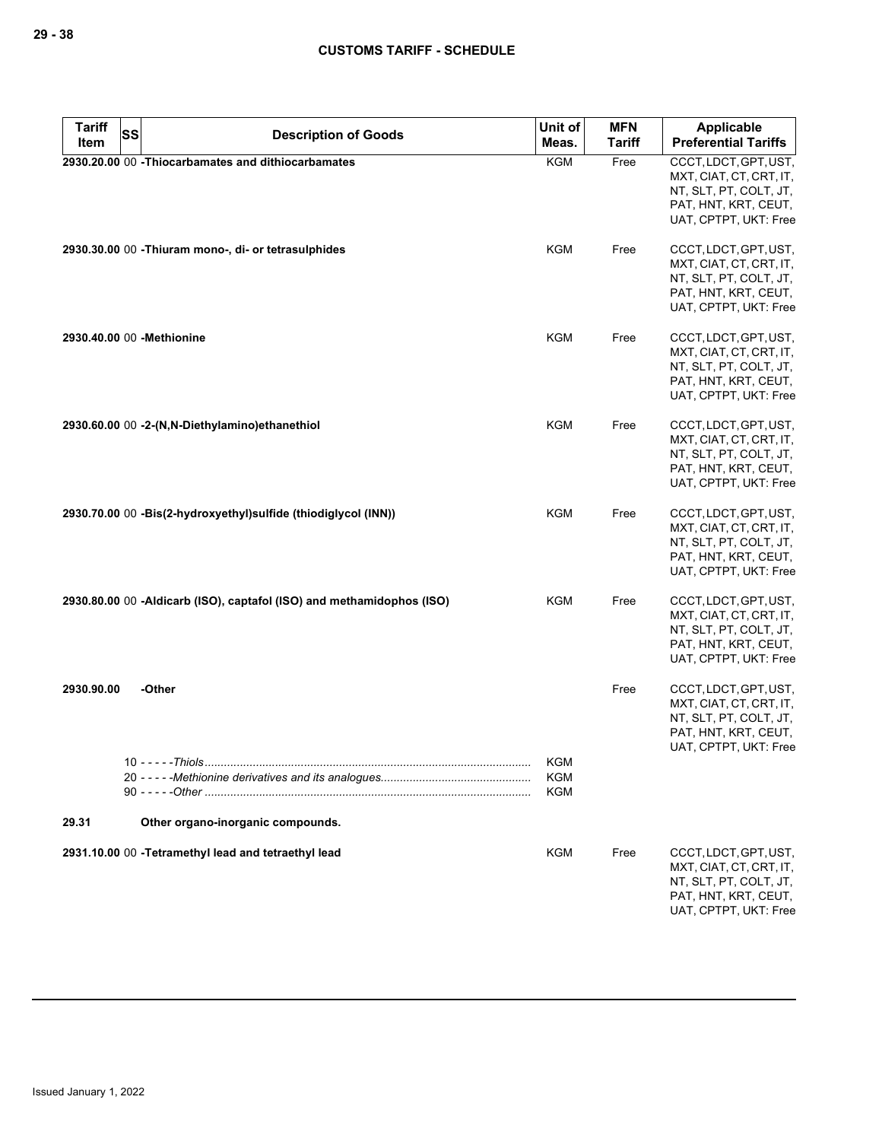| <b>Tariff</b> | <b>SS</b> |                                                                       | Unit of                  | <b>MFN</b>    | Applicable                                                                                                                  |
|---------------|-----------|-----------------------------------------------------------------------|--------------------------|---------------|-----------------------------------------------------------------------------------------------------------------------------|
| Item          |           | <b>Description of Goods</b>                                           | Meas.                    | <b>Tariff</b> | <b>Preferential Tariffs</b>                                                                                                 |
|               |           | 2930.20.00 00 - Thiocarbamates and dithiocarbamates                   | <b>KGM</b>               | Free          | CCCT, LDCT, GPT, UST,<br>MXT, CIAT, CT, CRT, IT,<br>NT, SLT, PT, COLT, JT,<br>PAT, HNT, KRT, CEUT,<br>UAT, CPTPT, UKT: Free |
|               |           | 2930.30.00 00 - Thiuram mono-, di- or tetrasulphides                  | KGM                      | Free          | CCCT, LDCT, GPT, UST,<br>MXT, CIAT, CT, CRT, IT,<br>NT, SLT, PT, COLT, JT,<br>PAT, HNT, KRT, CEUT,<br>UAT, CPTPT, UKT: Free |
|               |           | 2930.40.00 00 - Methionine                                            | KGM                      | Free          | CCCT, LDCT, GPT, UST,<br>MXT, CIAT, CT, CRT, IT,<br>NT, SLT, PT, COLT, JT,<br>PAT, HNT, KRT, CEUT,<br>UAT, CPTPT, UKT: Free |
|               |           | 2930.60.00 00 -2-(N,N-Diethylamino)ethanethiol                        | KGM                      | Free          | CCCT, LDCT, GPT, UST,<br>MXT, CIAT, CT, CRT, IT,<br>NT, SLT, PT, COLT, JT,<br>PAT, HNT, KRT, CEUT,<br>UAT, CPTPT, UKT: Free |
|               |           | 2930.70.00 00 -Bis(2-hydroxyethyl) sulfide (thiodiglycol (INN))       | KGM                      | Free          | CCCT, LDCT, GPT, UST,<br>MXT, CIAT, CT, CRT, IT,<br>NT, SLT, PT, COLT, JT,<br>PAT, HNT, KRT, CEUT,<br>UAT, CPTPT, UKT: Free |
|               |           | 2930.80.00 00 -Aldicarb (ISO), captafol (ISO) and methamidophos (ISO) | KGM                      | Free          | CCCT, LDCT, GPT, UST,<br>MXT, CIAT, CT, CRT, IT,<br>NT, SLT, PT, COLT, JT,<br>PAT, HNT, KRT, CEUT,<br>UAT, CPTPT, UKT: Free |
| 2930.90.00    |           | -Other                                                                |                          | Free          | CCCT, LDCT, GPT, UST,<br>MXT, CIAT, CT, CRT, IT,<br>NT, SLT, PT, COLT, JT,<br>PAT, HNT, KRT, CEUT,<br>UAT, CPTPT, UKT: Free |
|               |           | $10 - - - -$ Thiols                                                   | <b>KGM</b><br>KGM<br>KGM |               |                                                                                                                             |
| 29.31         |           | Other organo-inorganic compounds.                                     |                          |               |                                                                                                                             |
|               |           | 2931.10.00 00 - Tetramethyl lead and tetraethyl lead                  | <b>KGM</b>               | Free          | CCCT, LDCT, GPT, UST,<br>MXT, CIAT, CT, CRT, IT,<br>NT, SLT, PT, COLT, JT,<br>PAT, HNT, KRT, CEUT,<br>UAT, CPTPT, UKT: Free |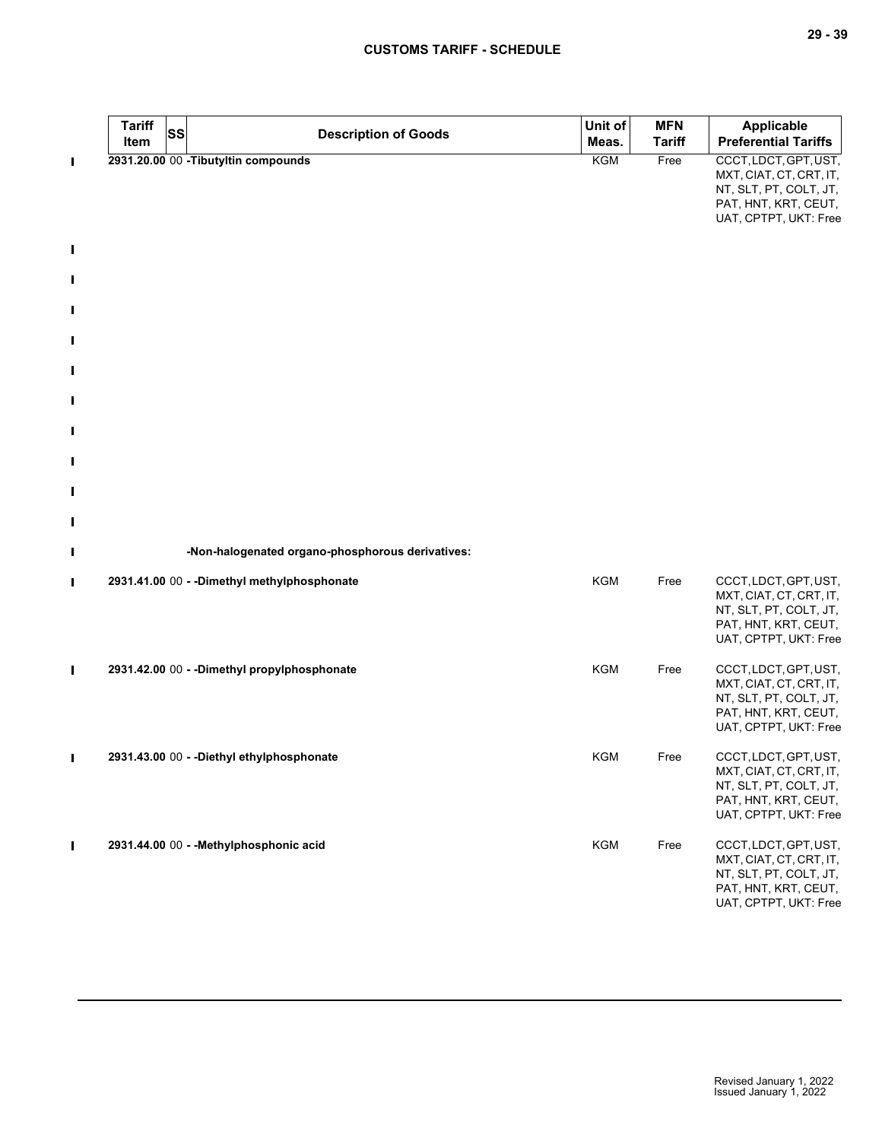|                     | <b>Tariff</b><br>Item | SS | <b>Description of Goods</b>                      | Unit of<br>Meas. | <b>MFN</b><br><b>Tariff</b> | <b>Applicable</b><br><b>Preferential Tariffs</b>                                                                            |
|---------------------|-----------------------|----|--------------------------------------------------|------------------|-----------------------------|-----------------------------------------------------------------------------------------------------------------------------|
| П                   |                       |    | 2931.20.00 00 - Tibutyltin compounds             | <b>KGM</b>       | Free                        | CCCT, LDCT, GPT, UST,<br>MXT, CIAT, CT, CRT, IT,<br>NT, SLT, PT, COLT, JT,<br>PAT, HNT, KRT, CEUT,<br>UAT, CPTPT, UKT: Free |
| $\blacksquare$      |                       |    |                                                  |                  |                             |                                                                                                                             |
| Ш                   |                       |    |                                                  |                  |                             |                                                                                                                             |
|                     |                       |    |                                                  |                  |                             |                                                                                                                             |
| П                   |                       |    |                                                  |                  |                             |                                                                                                                             |
| $\blacksquare$      |                       |    |                                                  |                  |                             |                                                                                                                             |
| П                   |                       |    |                                                  |                  |                             |                                                                                                                             |
| $\blacksquare$      |                       |    |                                                  |                  |                             |                                                                                                                             |
| П                   |                       |    |                                                  |                  |                             |                                                                                                                             |
| П                   |                       |    |                                                  |                  |                             |                                                                                                                             |
| $\blacksquare$<br>Ш |                       |    | -Non-halogenated organo-phosphorous derivatives: |                  |                             |                                                                                                                             |
|                     |                       |    |                                                  |                  |                             |                                                                                                                             |
| П                   |                       |    | 2931.41.00 00 - - Dimethyl methylphosphonate     | KGM              | Free                        | CCCT, LDCT, GPT, UST,<br>MXT, CIAT, CT, CRT, IT,<br>NT, SLT, PT, COLT, JT,<br>PAT, HNT, KRT, CEUT,<br>UAT, CPTPT, UKT: Free |
| П                   |                       |    | 2931.42.00 00 - - Dimethyl propylphosphonate     | <b>KGM</b>       | Free                        | CCCT, LDCT, GPT, UST,<br>MXT, CIAT, CT, CRT, IT,<br>NT, SLT, PT, COLT, JT,<br>PAT, HNT, KRT, CEUT,<br>UAT, CPTPT, UKT: Free |
| $\blacksquare$      |                       |    | 2931.43.00 00 - - Diethyl ethylphosphonate       | <b>KGM</b>       | Free                        | CCCT, LDCT, GPT, UST,<br>MXT, CIAT, CT, CRT, IT,<br>NT, SLT, PT, COLT, JT,<br>PAT, HNT, KRT, CEUT,<br>UAT, CPTPT, UKT: Free |
| $\blacksquare$      |                       |    | 2931.44.00 00 - - Methylphosphonic acid          | KGM              | Free                        | CCCT, LDCT, GPT, UST,<br>MXT, CIAT, CT, CRT, IT,<br>NT, SLT, PT, COLT, JT,<br>PAT, HNT, KRT, CEUT,<br>UAT, CPTPT, UKT: Free |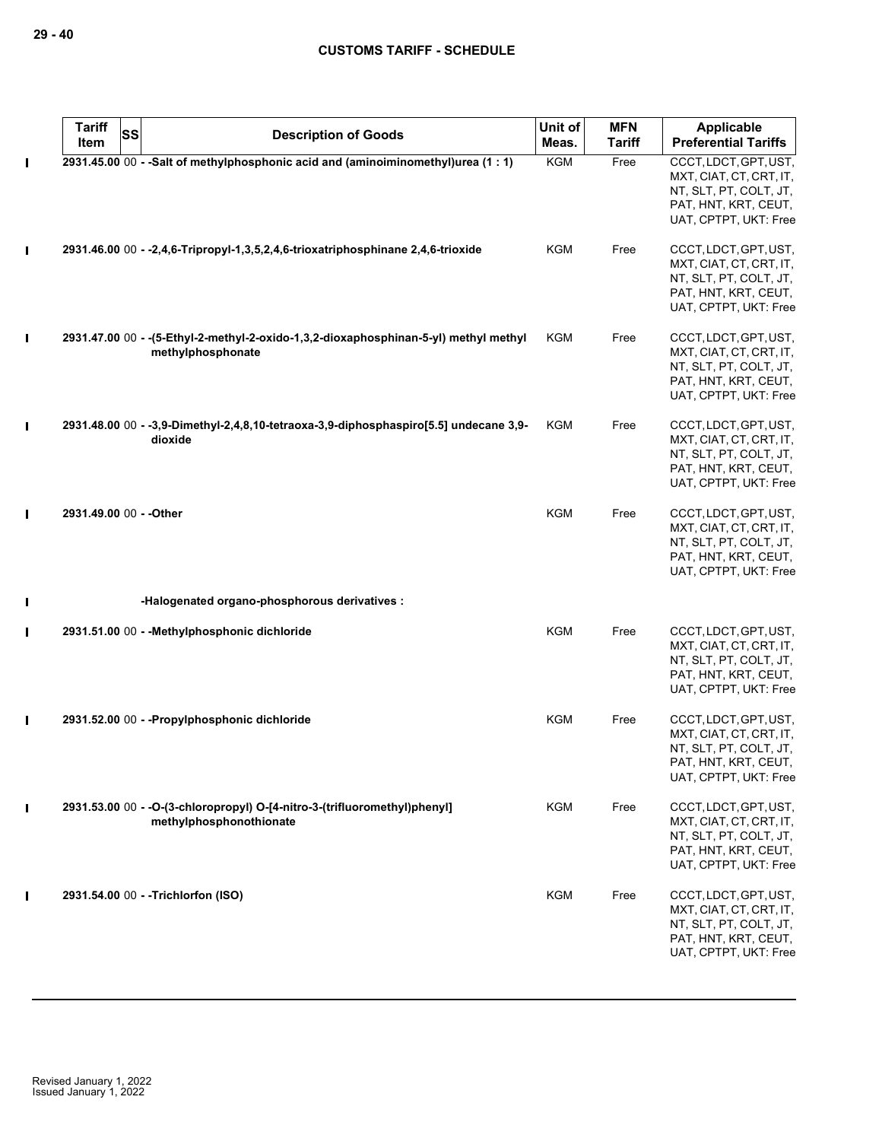|   | <b>Tariff</b><br>Item   | <b>SS</b> | <b>Description of Goods</b>                                                                                | Unit of<br>Meas. | <b>MFN</b><br><b>Tariff</b> | Applicable<br><b>Preferential Tariffs</b>                                                                                   |
|---|-------------------------|-----------|------------------------------------------------------------------------------------------------------------|------------------|-----------------------------|-----------------------------------------------------------------------------------------------------------------------------|
| Ш |                         |           | 2931.45.00 00 - - Salt of methylphosphonic acid and (aminoiminomethyl)urea (1 : 1)                         | <b>KGM</b>       | Free                        | CCCT, LDCT, GPT, UST,<br>MXT, CIAT, CT, CRT, IT,<br>NT, SLT, PT, COLT, JT,<br>PAT, HNT, KRT, CEUT,<br>UAT, CPTPT, UKT: Free |
|   |                         |           | 2931.46.00 00 - -2,4,6-Tripropyl-1,3,5,2,4,6-trioxatriphosphinane 2,4,6-trioxide                           | KGM              | Free                        | CCCT, LDCT, GPT, UST,<br>MXT, CIAT, CT, CRT, IT,<br>NT, SLT, PT, COLT, JT,<br>PAT, HNT, KRT, CEUT,<br>UAT, CPTPT, UKT: Free |
| Ш |                         |           | 2931.47.00 00 - - (5-Ethyl-2-methyl-2-oxido-1,3,2-dioxaphosphinan-5-yl) methyl methyl<br>methylphosphonate | KGM              | Free                        | CCCT, LDCT, GPT, UST,<br>MXT, CIAT, CT, CRT, IT,<br>NT, SLT, PT, COLT, JT,<br>PAT, HNT, KRT, CEUT,<br>UAT, CPTPT, UKT: Free |
| Ш |                         |           | 2931.48.00 00 - -3,9-Dimethyl-2,4,8,10-tetraoxa-3,9-diphosphaspiro[5.5] undecane 3,9-<br>dioxide           | <b>KGM</b>       | Free                        | CCCT, LDCT, GPT, UST,<br>MXT, CIAT, CT, CRT, IT,<br>NT, SLT, PT, COLT, JT,<br>PAT, HNT, KRT, CEUT,<br>UAT, CPTPT, UKT: Free |
|   | 2931.49.00 00 - - Other |           |                                                                                                            | <b>KGM</b>       | Free                        | CCCT, LDCT, GPT, UST,<br>MXT, CIAT, CT, CRT, IT,<br>NT, SLT, PT, COLT, JT,<br>PAT, HNT, KRT, CEUT,<br>UAT, CPTPT, UKT: Free |
| Ш |                         |           | -Halogenated organo-phosphorous derivatives :                                                              |                  |                             |                                                                                                                             |
| Ι |                         |           | 2931.51.00 00 - - Methylphosphonic dichloride                                                              | <b>KGM</b>       | Free                        | CCCT, LDCT, GPT, UST,<br>MXT, CIAT, CT, CRT, IT,<br>NT, SLT, PT, COLT, JT,<br>PAT, HNT, KRT, CEUT,<br>UAT, CPTPT, UKT: Free |
| Ш |                         |           | 2931.52.00 00 - - Propylphosphonic dichloride                                                              | <b>KGM</b>       | Free                        | CCCT, LDCT, GPT, UST,<br>MXT, CIAT, CT, CRT, IT,<br>NT, SLT, PT, COLT, JT,<br>PAI, HNI, KRI, CEUI,<br>UAT, CPTPT, UKT: Free |
|   |                         |           | 2931.53.00 00 - - O-(3-chloropropyl) O-[4-nitro-3-(trifluoromethyl)phenyl]<br>methylphosphonothionate      | <b>KGM</b>       | Free                        | CCCT, LDCT, GPT, UST,<br>MXT, CIAT, CT, CRT, IT,<br>NT, SLT, PT, COLT, JT,<br>PAT, HNT, KRT, CEUT,<br>UAT, CPTPT, UKT: Free |
|   |                         |           | 2931.54.00 00 - -Trichlorfon (ISO)                                                                         | KGM              | Free                        | CCCT, LDCT, GPT, UST,<br>MXT, CIAT, CT, CRT, IT,<br>NT, SLT, PT, COLT, JT,<br>PAT, HNT, KRT, CEUT,<br>UAT, CPTPT, UKT: Free |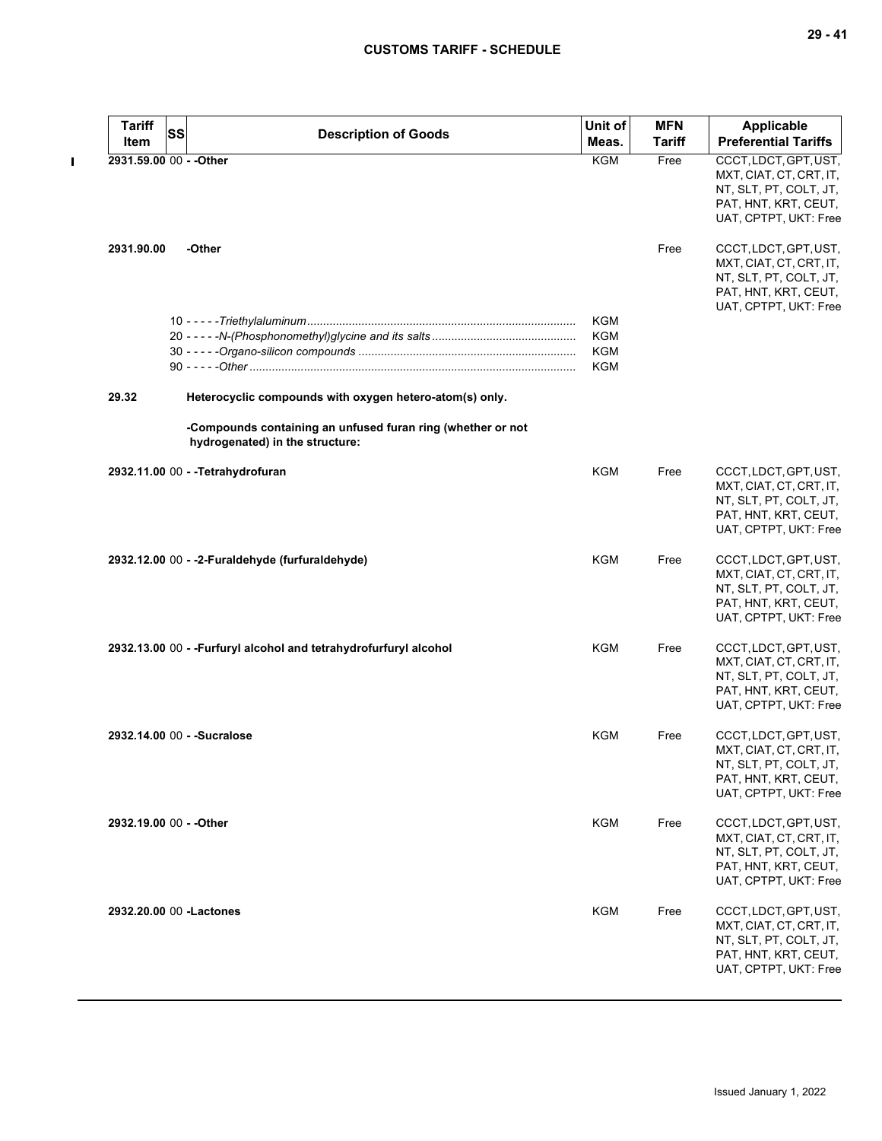| <b>Tariff</b>           | SS                          |                                                                                                | Unit of    | <b>MFN</b>    | Applicable                  |
|-------------------------|-----------------------------|------------------------------------------------------------------------------------------------|------------|---------------|-----------------------------|
| Item                    |                             | <b>Description of Goods</b>                                                                    | Meas.      | <b>Tariff</b> | <b>Preferential Tariffs</b> |
| 2931.59.00 00 - - Other |                             |                                                                                                | <b>KGM</b> | Free          | CCCT, LDCT, GPT, UST,       |
|                         |                             |                                                                                                |            |               | MXT, CIAT, CT, CRT, IT,     |
|                         |                             |                                                                                                |            |               | NT, SLT, PT, COLT, JT,      |
|                         |                             |                                                                                                |            |               | PAT, HNT, KRT, CEUT,        |
|                         |                             |                                                                                                |            |               | UAT, CPTPT, UKT: Free       |
| 2931.90.00              | -Other                      |                                                                                                |            | Free          | CCCT,LDCT,GPT,UST,          |
|                         |                             |                                                                                                |            |               | MXT, CIAT, CT, CRT, IT,     |
|                         |                             |                                                                                                |            |               | NT, SLT, PT, COLT, JT,      |
|                         |                             |                                                                                                |            |               | PAT, HNT, KRT, CEUT,        |
|                         |                             |                                                                                                | <b>KGM</b> |               | UAT, CPTPT, UKT: Free       |
|                         |                             |                                                                                                | <b>KGM</b> |               |                             |
|                         |                             |                                                                                                | <b>KGM</b> |               |                             |
|                         |                             |                                                                                                | <b>KGM</b> |               |                             |
|                         |                             |                                                                                                |            |               |                             |
| 29.32                   |                             | Heterocyclic compounds with oxygen hetero-atom(s) only.                                        |            |               |                             |
|                         |                             | -Compounds containing an unfused furan ring (whether or not<br>hydrogenated) in the structure: |            |               |                             |
|                         |                             |                                                                                                |            |               |                             |
|                         |                             | 2932.11.00 00 - - Tetrahydrofuran                                                              | KGM        | Free          | CCCT, LDCT, GPT, UST,       |
|                         |                             |                                                                                                |            |               | MXT, CIAT, CT, CRT, IT,     |
|                         |                             |                                                                                                |            |               | NT, SLT, PT, COLT, JT,      |
|                         |                             |                                                                                                |            |               | PAT, HNT, KRT, CEUT,        |
|                         |                             |                                                                                                |            |               | UAT, CPTPT, UKT: Free       |
|                         |                             | 2932.12.00 00 - -2-Furaldehyde (furfuraldehyde)                                                | KGM        | Free          | CCCT, LDCT, GPT, UST,       |
|                         |                             |                                                                                                |            |               | MXT, CIAT, CT, CRT, IT,     |
|                         |                             |                                                                                                |            |               | NT, SLT, PT, COLT, JT,      |
|                         |                             |                                                                                                |            |               | PAT, HNT, KRT, CEUT,        |
|                         |                             |                                                                                                |            |               | UAT, CPTPT, UKT: Free       |
|                         |                             | 2932.13.00 00 - - Furfuryl alcohol and tetrahydrofurfuryl alcohol                              | <b>KGM</b> | Free          | CCCT, LDCT, GPT, UST,       |
|                         |                             |                                                                                                |            |               | MXT, CIAT, CT, CRT, IT,     |
|                         |                             |                                                                                                |            |               | NT, SLT, PT, COLT, JT,      |
|                         |                             |                                                                                                |            |               | PAT, HNT, KRT, CEUT,        |
|                         |                             |                                                                                                |            |               | UAT, CPTPT, UKT: Free       |
|                         | 2932.14.00 00 - - Sucralose |                                                                                                | <b>KGM</b> | Free          | CCCT, LDCT, GPT, UST,       |
|                         |                             |                                                                                                |            |               | MXT, CIAT, CT, CRT, IT,     |
|                         |                             |                                                                                                |            |               | NT, SLT, PT, COLT, JT,      |
|                         |                             |                                                                                                |            |               | PAT, HNT, KRT, CEUT,        |
|                         |                             |                                                                                                |            |               |                             |
|                         |                             |                                                                                                |            |               | UAT, CPTPT, UKT: Free       |
|                         | 2932.19.00 00 - - Other     |                                                                                                | KGM        | Free          | CCCT, LDCT, GPT, UST,       |
|                         |                             |                                                                                                |            |               | MXT, CIAT, CT, CRT, IT,     |
|                         |                             |                                                                                                |            |               | NT, SLT, PT, COLT, JT,      |
|                         |                             |                                                                                                |            |               | PAT, HNT, KRT, CEUT,        |
|                         |                             |                                                                                                |            |               | UAT, CPTPT, UKT: Free       |
|                         | 2932.20.00 00 - Lactones    |                                                                                                | KGM        | Free          | CCCT, LDCT, GPT, UST,       |
|                         |                             |                                                                                                |            |               | MXT, CIAT, CT, CRT, IT,     |
|                         |                             |                                                                                                |            |               | NT, SLT, PT, COLT, JT,      |
|                         |                             |                                                                                                |            |               | PAT, HNT, KRT, CEUT,        |
|                         |                             |                                                                                                |            |               | UAT, CPTPT, UKT: Free       |
|                         |                             |                                                                                                |            |               |                             |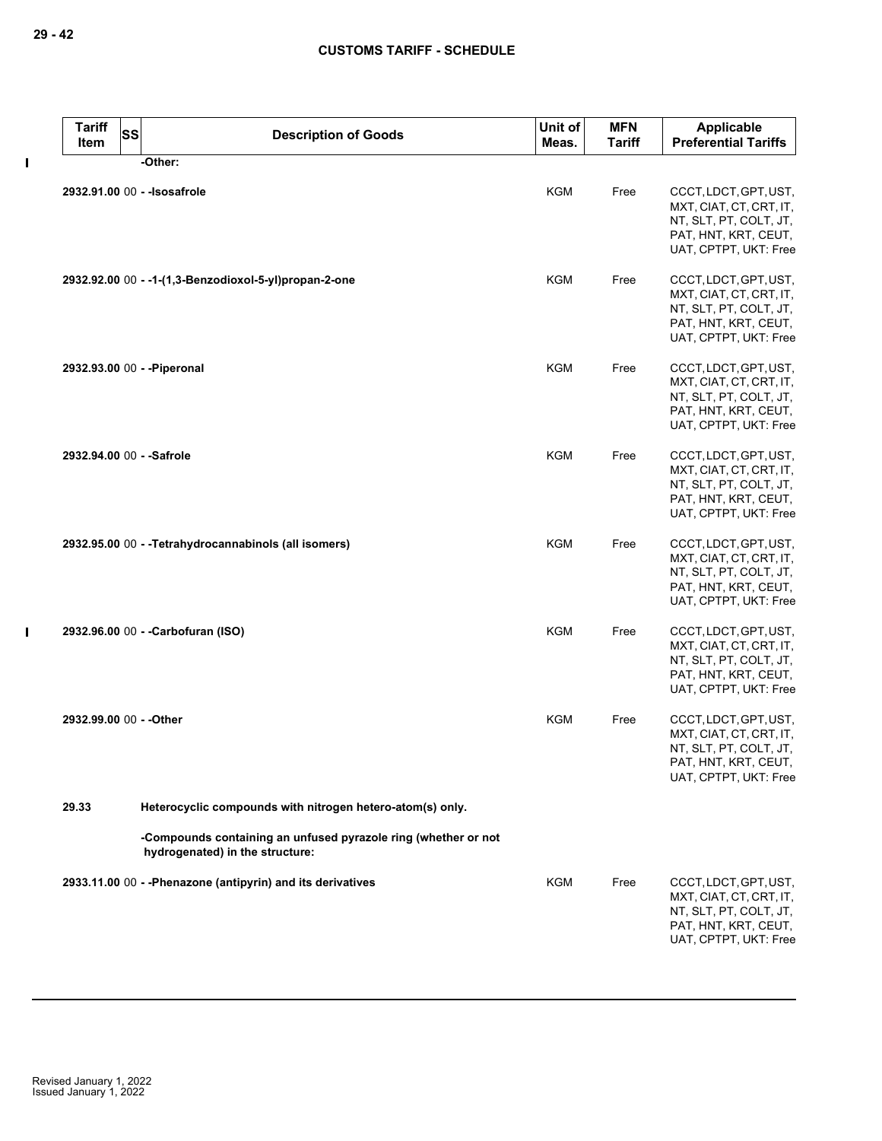$\pmb{\mathsf{I}}$ 

 $\mathbf I$ 

| <b>Tariff</b><br>Item   | <b>SS</b><br><b>Description of Goods</b>                                                          | Unit of<br>Meas. | <b>MFN</b><br><b>Tariff</b> | Applicable<br><b>Preferential Tariffs</b>                                                                                   |
|-------------------------|---------------------------------------------------------------------------------------------------|------------------|-----------------------------|-----------------------------------------------------------------------------------------------------------------------------|
|                         | -Other:                                                                                           |                  |                             |                                                                                                                             |
|                         | 2932.91.00 00 - - Isosafrole                                                                      | <b>KGM</b>       | Free                        | CCCT, LDCT, GPT, UST,<br>MXT, CIAT, CT, CRT, IT,<br>NT, SLT, PT, COLT, JT,<br>PAT, HNT, KRT, CEUT,<br>UAT, CPTPT, UKT: Free |
|                         | 2932.92.00 00 - -1-(1,3-Benzodioxol-5-yl)propan-2-one                                             | <b>KGM</b>       | Free                        | CCCT, LDCT, GPT, UST,<br>MXT, CIAT, CT, CRT, IT,<br>NT, SLT, PT, COLT, JT,<br>PAT, HNT, KRT, CEUT,<br>UAT, CPTPT, UKT: Free |
|                         | 2932.93.00 00 - - Piperonal                                                                       | <b>KGM</b>       | Free                        | CCCT, LDCT, GPT, UST,<br>MXT, CIAT, CT, CRT, IT,<br>NT, SLT, PT, COLT, JT,<br>PAT, HNT, KRT, CEUT,<br>UAT, CPTPT, UKT: Free |
|                         | 2932.94.00 00 - - Safrole                                                                         | <b>KGM</b>       | Free                        | CCCT, LDCT, GPT, UST,<br>MXT, CIAT, CT, CRT, IT,<br>NT, SLT, PT, COLT, JT,<br>PAT, HNT, KRT, CEUT,<br>UAT, CPTPT, UKT: Free |
|                         | 2932.95.00 00 - - Tetrahydrocannabinols (all isomers)                                             | <b>KGM</b>       | Free                        | CCCT, LDCT, GPT, UST,<br>MXT, CIAT, CT, CRT, IT,<br>NT, SLT, PT, COLT, JT,<br>PAT, HNT, KRT, CEUT,<br>UAT, CPTPT, UKT: Free |
|                         | 2932.96.00 00 - - Carbofuran (ISO)                                                                | <b>KGM</b>       | Free                        | CCCT, LDCT, GPT, UST,<br>MXT, CIAT, CT, CRT, IT,<br>NT, SLT, PT, COLT, JT,<br>PAT, HNT, KRT, CEUT,<br>UAT, CPTPT, UKT: Free |
| 2932.99.00 00 - - Other |                                                                                                   | <b>KGM</b>       | Free                        | CCCT, LDCT, GPT, UST,<br>MXT, CIAT, CT, CRT, IT,<br>NT, SLT, PT, COLT, JT,<br>PAT, HNT, KRT, CEUT,<br>UAT, CPTPT, UKT: Free |
| 29.33                   | Heterocyclic compounds with nitrogen hetero-atom(s) only.                                         |                  |                             |                                                                                                                             |
|                         | -Compounds containing an unfused pyrazole ring (whether or not<br>hydrogenated) in the structure: |                  |                             |                                                                                                                             |
|                         | 2933.11.00 00 - - Phenazone (antipyrin) and its derivatives                                       | <b>KGM</b>       | Free                        | CCCT, LDCT, GPT, UST,<br>MXT, CIAT, CT, CRT, IT,<br>NT, SLT, PT, COLT, JT,<br>PAT, HNT, KRT, CEUT,<br>UAT, CPTPT, UKT: Free |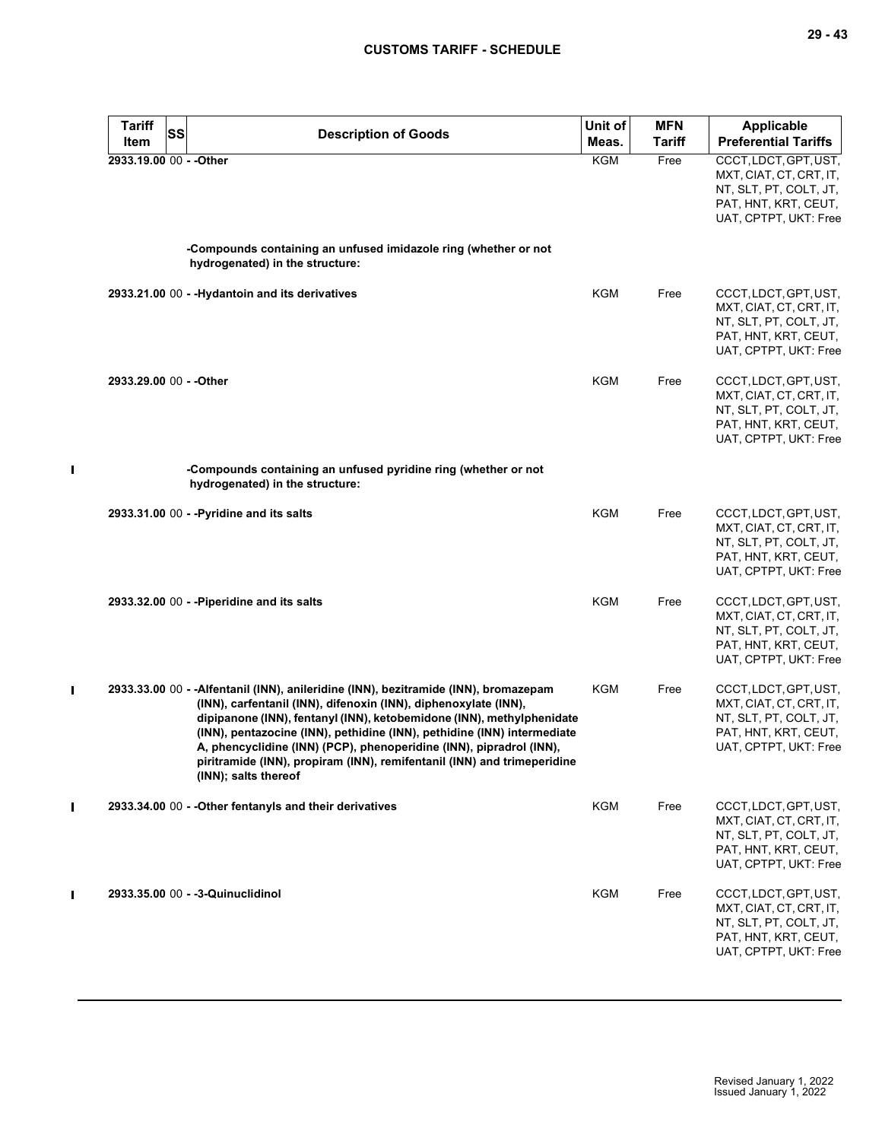| Tariff<br>Item          | <b>SS</b> | <b>Description of Goods</b>                                                                                                                                                                                                                                                                                                                                                                                                                                                           | Unit of<br>Meas. | <b>MFN</b><br>Tariff | Applicable<br><b>Preferential Tariffs</b>                                                                                   |
|-------------------------|-----------|---------------------------------------------------------------------------------------------------------------------------------------------------------------------------------------------------------------------------------------------------------------------------------------------------------------------------------------------------------------------------------------------------------------------------------------------------------------------------------------|------------------|----------------------|-----------------------------------------------------------------------------------------------------------------------------|
| 2933.19.00 00 - - Other |           |                                                                                                                                                                                                                                                                                                                                                                                                                                                                                       | <b>KGM</b>       | Free                 | CCCT, LDCT, GPT, UST,<br>MXT, CIAT, CT, CRT, IT,<br>NT, SLT, PT, COLT, JT,<br>PAT, HNT, KRT, CEUT,<br>UAT, CPTPT, UKT: Free |
|                         |           | -Compounds containing an unfused imidazole ring (whether or not<br>hydrogenated) in the structure:                                                                                                                                                                                                                                                                                                                                                                                    |                  |                      |                                                                                                                             |
|                         |           | 2933.21.00 00 - - Hydantoin and its derivatives                                                                                                                                                                                                                                                                                                                                                                                                                                       | <b>KGM</b>       | Free                 | CCCT, LDCT, GPT, UST,<br>MXT, CIAT, CT, CRT, IT,<br>NT, SLT, PT, COLT, JT,<br>PAT, HNT, KRT, CEUT,<br>UAT, CPTPT, UKT: Free |
| 2933.29.00 00 - - Other |           |                                                                                                                                                                                                                                                                                                                                                                                                                                                                                       | <b>KGM</b>       | Free                 | CCCT, LDCT, GPT, UST,<br>MXT, CIAT, CT, CRT, IT,<br>NT, SLT, PT, COLT, JT,<br>PAT, HNT, KRT, CEUT,<br>UAT, CPTPT, UKT: Free |
|                         |           | -Compounds containing an unfused pyridine ring (whether or not<br>hydrogenated) in the structure:                                                                                                                                                                                                                                                                                                                                                                                     |                  |                      |                                                                                                                             |
|                         |           | 2933.31.00 00 - - Pyridine and its salts                                                                                                                                                                                                                                                                                                                                                                                                                                              | <b>KGM</b>       | Free                 | CCCT, LDCT, GPT, UST,<br>MXT, CIAT, CT, CRT, IT,<br>NT, SLT, PT, COLT, JT,<br>PAT, HNT, KRT, CEUT,<br>UAT, CPTPT, UKT: Free |
|                         |           | 2933.32.00 00 - - Piperidine and its salts                                                                                                                                                                                                                                                                                                                                                                                                                                            | <b>KGM</b>       | Free                 | CCCT, LDCT, GPT, UST,<br>MXT, CIAT, CT, CRT, IT,<br>NT, SLT, PT, COLT, JT,<br>PAT, HNT, KRT, CEUT,<br>UAT, CPTPT, UKT: Free |
|                         |           | 2933.33.00 00 - - Alfentanil (INN), anileridine (INN), bezitramide (INN), bromazepam<br>(INN), carfentanil (INN), difenoxin (INN), diphenoxylate (INN),<br>dipipanone (INN), fentanyl (INN), ketobemidone (INN), methylphenidate<br>(INN), pentazocine (INN), pethidine (INN), pethidine (INN) intermediate<br>A, phencyclidine (INN) (PCP), phenoperidine (INN), pipradrol (INN),<br>piritramide (INN), propiram (INN), remifentanil (INN) and trimeperidine<br>(INN); salts thereof | KGM              | Free                 | CCCT, LDCT, GPT, UST,<br>MXT, CIAT, CT, CRT, IT,<br>NT, SLT, PT, COLT, JT,<br>PAT, HNT, KRT, CEUT,<br>UAT, CPTPT, UKT: Free |
|                         |           | 2933.34.00 00 - - Other fentanyls and their derivatives                                                                                                                                                                                                                                                                                                                                                                                                                               | KGM              | Free                 | CCCT, LDCT, GPT, UST,<br>MXT, CIAT, CT, CRT, IT,<br>NT, SLT, PT, COLT, JT,<br>PAT, HNT, KRT, CEUT,<br>UAT, CPTPT, UKT: Free |
|                         |           | 2933.35.00 00 - - 3-Quinuclidinol                                                                                                                                                                                                                                                                                                                                                                                                                                                     | <b>KGM</b>       | Free                 | CCCT, LDCT, GPT, UST,<br>MXT, CIAT, CT, CRT, IT,<br>NT, SLT, PT, COLT, JT,<br>PAT, HNT, KRT, CEUT,<br>UAT, CPTPT, UKT: Free |

 $\mathbf{I}$ 

 $\mathbf{I}$ 

 $\mathbf{I}$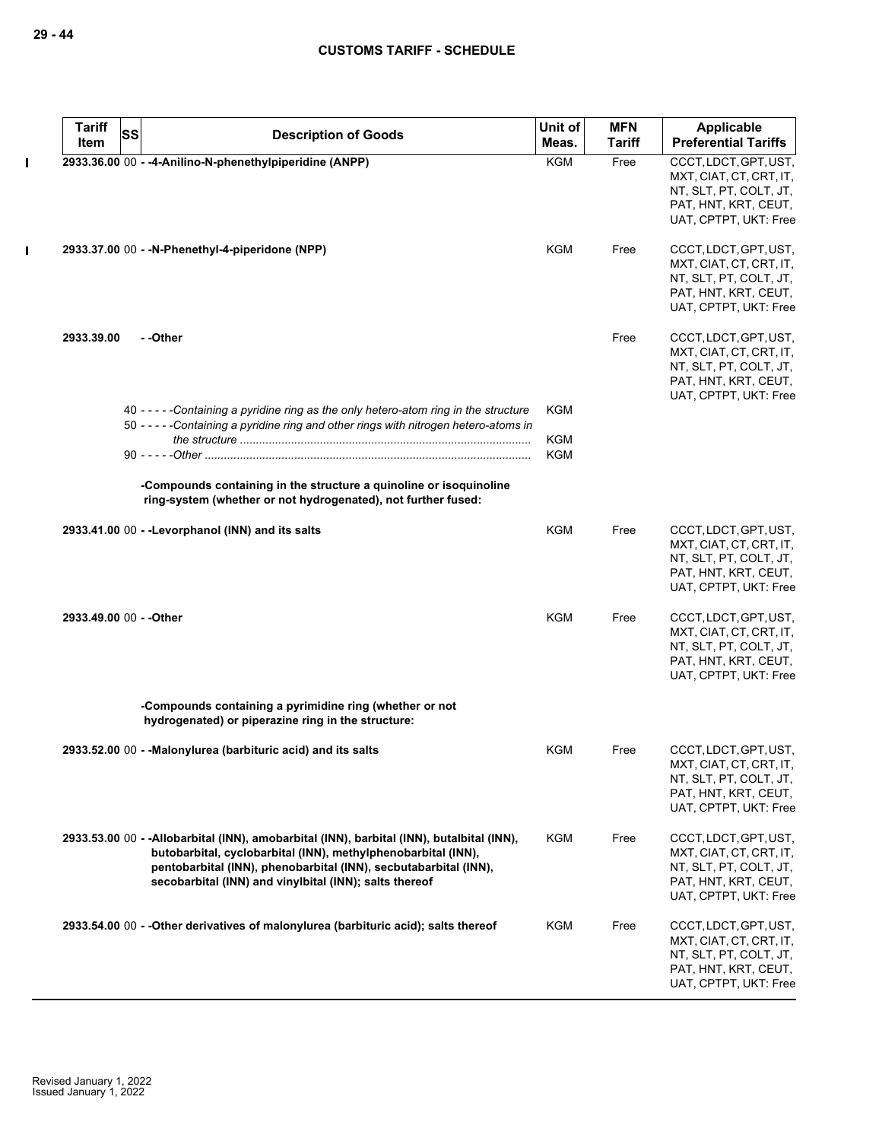|              | <b>Tariff</b><br>Item   | SS | <b>Description of Goods</b>                                                                                                                                                                                                                                                               | Unit of<br>Meas. | <b>MFN</b><br><b>Tariff</b> | Applicable<br><b>Preferential Tariffs</b>                                                                                   |
|--------------|-------------------------|----|-------------------------------------------------------------------------------------------------------------------------------------------------------------------------------------------------------------------------------------------------------------------------------------------|------------------|-----------------------------|-----------------------------------------------------------------------------------------------------------------------------|
| $\mathbf I$  |                         |    | 2933.36.00 00 - -4-Anilino-N-phenethylpiperidine (ANPP)                                                                                                                                                                                                                                   | <b>KGM</b>       | Free                        | CCCT, LDCT, GPT, UST,                                                                                                       |
|              |                         |    |                                                                                                                                                                                                                                                                                           |                  |                             | MXT, CIAT, CT, CRT, IT,<br>NT, SLT, PT, COLT, JT,<br>PAT, HNT, KRT, CEUT,<br>UAT, CPTPT, UKT: Free                          |
| $\mathbf{I}$ |                         |    | 2933.37.00 00 - -N-Phenethyl-4-piperidone (NPP)                                                                                                                                                                                                                                           | KGM              | Free                        | CCCT, LDCT, GPT, UST,<br>MXT, CIAT, CT, CRT, IT,<br>NT, SLT, PT, COLT, JT,<br>PAT, HNT, KRT, CEUT,<br>UAT, CPTPT, UKT: Free |
|              | 2933.39.00              |    | - -Other                                                                                                                                                                                                                                                                                  |                  | Free                        | CCCT, LDCT, GPT, UST,<br>MXT, CIAT, CT, CRT, IT,<br>NT, SLT, PT, COLT, JT,<br>PAT, HNT, KRT, CEUT,<br>UAT, CPTPT, UKT: Free |
|              |                         |    | 40 - - - - - Containing a pyridine ring as the only hetero-atom ring in the structure<br>50 - - - - - Containing a pyridine ring and other rings with nitrogen hetero-atoms in                                                                                                            | KGM              |                             |                                                                                                                             |
|              |                         |    |                                                                                                                                                                                                                                                                                           | KGM<br>KGM       |                             |                                                                                                                             |
|              |                         |    | -Compounds containing in the structure a quinoline or isoquinoline<br>ring-system (whether or not hydrogenated), not further fused:                                                                                                                                                       |                  |                             |                                                                                                                             |
|              |                         |    | 2933.41.00 00 - - Levorphanol (INN) and its salts                                                                                                                                                                                                                                         | <b>KGM</b>       | Free                        | CCCT, LDCT, GPT, UST,<br>MXT, CIAT, CT, CRT, IT,<br>NT, SLT, PT, COLT, JT,<br>PAT, HNT, KRT, CEUT,<br>UAT, CPTPT, UKT: Free |
|              | 2933.49.00 00 - - Other |    |                                                                                                                                                                                                                                                                                           | <b>KGM</b>       | Free                        | CCCT, LDCT, GPT, UST,<br>MXT, CIAT, CT, CRT, IT,<br>NT, SLT, PT, COLT, JT,<br>PAT, HNT, KRT, CEUT,<br>UAT, CPTPT, UKT: Free |
|              |                         |    | -Compounds containing a pyrimidine ring (whether or not<br>hydrogenated) or piperazine ring in the structure:                                                                                                                                                                             |                  |                             |                                                                                                                             |
|              |                         |    | 2933.52.00 00 - - Malonylurea (barbituric acid) and its salts                                                                                                                                                                                                                             | KGM              | Free                        | CCCT, LDCT, GPT, UST,<br>MXT, CIAT, CT, CRT, IT,<br>NT, SLT, PT, COLT, JT,<br>PAT, HNT, KRT, CEUT,<br>UAT, CPTPT, UKT: Free |
|              |                         |    | 2933.53.00 00 - - Allobarbital (INN), amobarbital (INN), barbital (INN), butalbital (INN),<br>butobarbital, cyclobarbital (INN), methylphenobarbital (INN),<br>pentobarbital (INN), phenobarbital (INN), secbutabarbital (INN),<br>secobarbital (INN) and vinylbital (INN); salts thereof | KGM              | Free                        | CCCT, LDCT, GPT, UST,<br>MXT, CIAT, CT, CRT, IT,<br>NT, SLT, PT, COLT, JT,<br>PAT, HNT, KRT, CEUT,<br>UAT, CPTPT, UKT: Free |
|              |                         |    | 2933.54.00 00 - - Other derivatives of malonylurea (barbituric acid); salts thereof                                                                                                                                                                                                       | KGM              | Free                        | CCCT, LDCT, GPT, UST,<br>MXT, CIAT, CT, CRT, IT,<br>NT, SLT, PT, COLT, JT,<br>PAT, HNT, KRT, CEUT,<br>UAT, CPTPT, UKT: Free |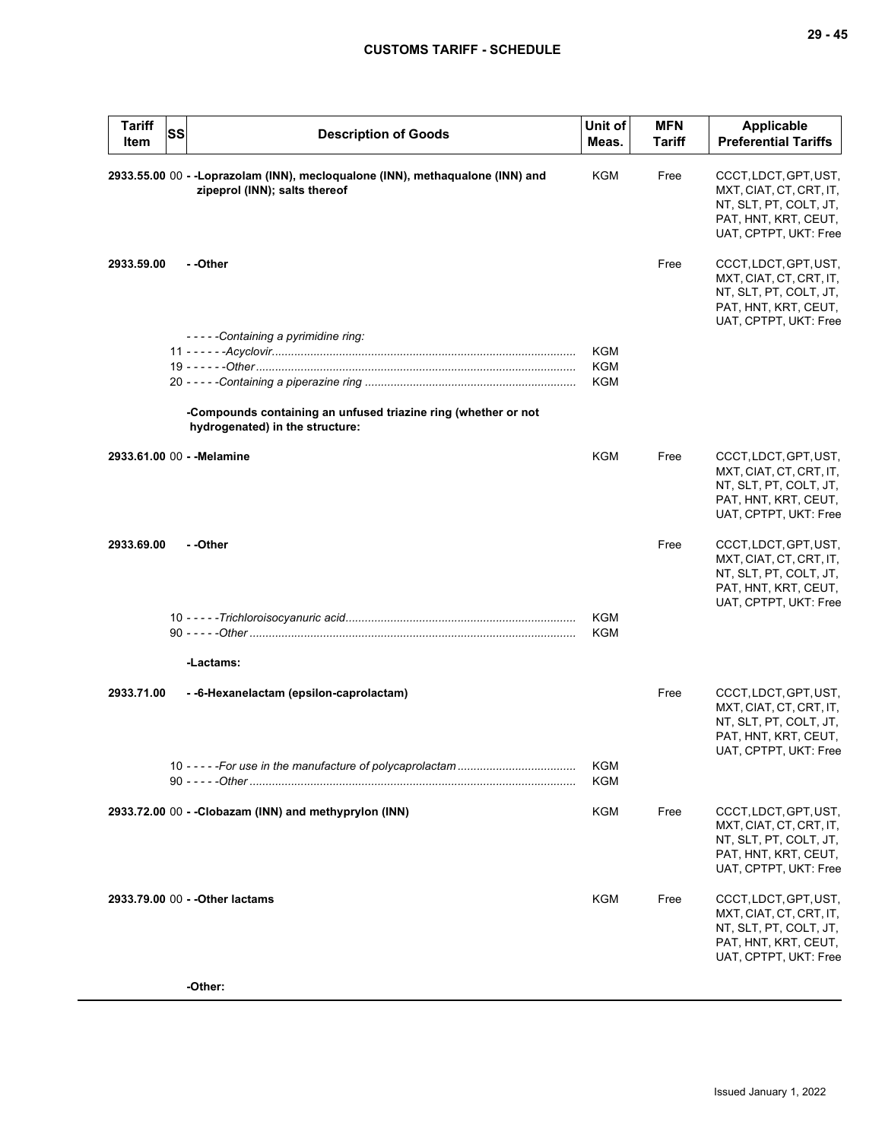| <b>Tariff</b><br>Item | <b>SS</b> | <b>Description of Goods</b>                                                                                    | Unit of<br>Meas.         | <b>MFN</b><br>Tariff | Applicable<br><b>Preferential Tariffs</b>                                                                                   |
|-----------------------|-----------|----------------------------------------------------------------------------------------------------------------|--------------------------|----------------------|-----------------------------------------------------------------------------------------------------------------------------|
|                       |           | 2933.55.00 00 - -Loprazolam (INN), mecloqualone (INN), methaqualone (INN) and<br>zipeprol (INN); salts thereof | KGM                      | Free                 | CCCT, LDCT, GPT, UST,<br>MXT, CIAT, CT, CRT, IT,<br>NT, SLT, PT, COLT, JT,<br>PAT, HNT, KRT, CEUT,<br>UAT, CPTPT, UKT: Free |
| 2933.59.00            |           | - -Other                                                                                                       |                          | Free                 | CCCT, LDCT, GPT, UST,<br>MXT, CIAT, CT, CRT, IT,<br>NT, SLT, PT, COLT, JT,<br>PAT, HNT, KRT, CEUT,<br>UAT, CPTPT, UKT: Free |
|                       |           | -----Containing a pyrimidine ring:                                                                             | <b>KGM</b>               |                      |                                                                                                                             |
|                       |           |                                                                                                                | <b>KGM</b>               |                      |                                                                                                                             |
|                       |           |                                                                                                                | <b>KGM</b>               |                      |                                                                                                                             |
|                       |           | -Compounds containing an unfused triazine ring (whether or not<br>hydrogenated) in the structure:              |                          |                      |                                                                                                                             |
|                       |           | 2933.61.00 00 - - Melamine                                                                                     | KGM                      | Free                 | CCCT, LDCT, GPT, UST,<br>MXT, CIAT, CT, CRT, IT,<br>NT, SLT, PT, COLT, JT,<br>PAT, HNT, KRT, CEUT,<br>UAT, CPTPT, UKT: Free |
| 2933.69.00            |           | - -Other                                                                                                       |                          | Free                 | CCCT, LDCT, GPT, UST,<br>MXT, CIAT, CT, CRT, IT,<br>NT, SLT, PT, COLT, JT,<br>PAT, HNT, KRT, CEUT,<br>UAT, CPTPT, UKT: Free |
|                       |           |                                                                                                                | <b>KGM</b><br><b>KGM</b> |                      |                                                                                                                             |
|                       |           | -Lactams:                                                                                                      |                          |                      |                                                                                                                             |
| 2933.71.00            |           | - -6-Hexanelactam (epsilon-caprolactam)                                                                        |                          | Free                 | CCCT, LDCT, GPT, UST,<br>MXT, CIAT, CT, CRT, IT,<br>NT, SLT, PT, COLT, JT,<br>PAT, HNT, KRT, CEUT,<br>UAT, CPTPT, UKT: Free |
|                       |           |                                                                                                                | KGM<br>KGM               |                      |                                                                                                                             |
|                       |           | 2933.72.00 00 - - Clobazam (INN) and methyprylon (INN)                                                         | <b>KGM</b>               | Free                 | CCCT, LDCT, GPT, UST,<br>MXT, CIAT, CT, CRT, IT,<br>NT, SLT, PT, COLT, JT,<br>PAT, HNT, KRT, CEUT,<br>UAT, CPTPT, UKT: Free |
|                       |           | 2933.79.00 00 - - Other lactams                                                                                | KGM                      | Free                 | CCCT, LDCT, GPT, UST,<br>MXT, CIAT, CT, CRT, IT,<br>NT, SLT, PT, COLT, JT,<br>PAT, HNT, KRT, CEUT,<br>UAT, CPTPT, UKT: Free |
|                       |           | -Other:                                                                                                        |                          |                      |                                                                                                                             |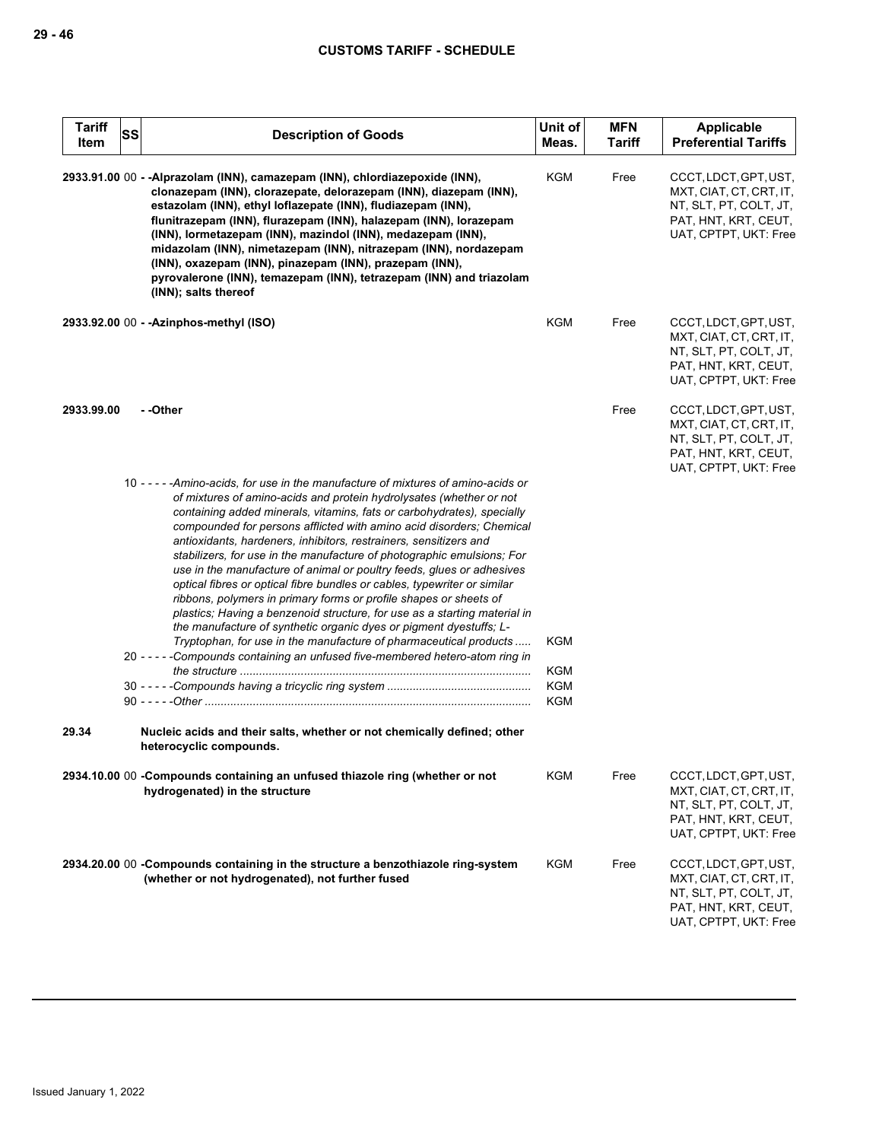| <b>Tariff</b><br>Item | <b>SS</b> | <b>Description of Goods</b>                                                                                                                                                                                                                                                                                                                                                                                                                                                                                                                                                                                                                                                                                                                                                                                                                                                                                                                                                                                                                                                                          | Unit of<br>Meas.                       | <b>MFN</b><br><b>Tariff</b> | Applicable<br><b>Preferential Tariffs</b>                                                                                   |
|-----------------------|-----------|------------------------------------------------------------------------------------------------------------------------------------------------------------------------------------------------------------------------------------------------------------------------------------------------------------------------------------------------------------------------------------------------------------------------------------------------------------------------------------------------------------------------------------------------------------------------------------------------------------------------------------------------------------------------------------------------------------------------------------------------------------------------------------------------------------------------------------------------------------------------------------------------------------------------------------------------------------------------------------------------------------------------------------------------------------------------------------------------------|----------------------------------------|-----------------------------|-----------------------------------------------------------------------------------------------------------------------------|
|                       |           | 2933.91.00 00 - - Alprazolam (INN), camazepam (INN), chlordiazepoxide (INN),<br>clonazepam (INN), clorazepate, delorazepam (INN), diazepam (INN),<br>estazolam (INN), ethyl loflazepate (INN), fludiazepam (INN),<br>flunitrazepam (INN), flurazepam (INN), halazepam (INN), lorazepam<br>(INN), lormetazepam (INN), mazindol (INN), medazepam (INN),<br>midazolam (INN), nimetazepam (INN), nitrazepam (INN), nordazepam<br>(INN), oxazepam (INN), pinazepam (INN), prazepam (INN),<br>pyrovalerone (INN), temazepam (INN), tetrazepam (INN) and triazolam<br>(INN); salts thereof                                                                                                                                                                                                                                                                                                                                                                                                                                                                                                                  | KGM                                    | Free                        | CCCT, LDCT, GPT, UST,<br>MXT, CIAT, CT, CRT, IT,<br>NT, SLT, PT, COLT, JT,<br>PAT, HNT, KRT, CEUT,<br>UAT, CPTPT, UKT: Free |
|                       |           | 2933.92.00 00 - - Azinphos-methyl (ISO)                                                                                                                                                                                                                                                                                                                                                                                                                                                                                                                                                                                                                                                                                                                                                                                                                                                                                                                                                                                                                                                              | KGM                                    | Free                        | CCCT, LDCT, GPT, UST,<br>MXT, CIAT, CT, CRT, IT,<br>NT, SLT, PT, COLT, JT,<br>PAT, HNT, KRT, CEUT,<br>UAT, CPTPT, UKT: Free |
| 2933.99.00            |           | - -Other                                                                                                                                                                                                                                                                                                                                                                                                                                                                                                                                                                                                                                                                                                                                                                                                                                                                                                                                                                                                                                                                                             |                                        | Free                        | CCCT, LDCT, GPT, UST,<br>MXT, CIAT, CT, CRT, IT,<br>NT, SLT, PT, COLT, JT,<br>PAT, HNT, KRT, CEUT,<br>UAT, CPTPT, UKT: Free |
| 29.34                 |           | 10 - - - - - Amino-acids, for use in the manufacture of mixtures of amino-acids or<br>of mixtures of amino-acids and protein hydrolysates (whether or not<br>containing added minerals, vitamins, fats or carbohydrates), specially<br>compounded for persons afflicted with amino acid disorders; Chemical<br>antioxidants, hardeners, inhibitors, restrainers, sensitizers and<br>stabilizers, for use in the manufacture of photographic emulsions; For<br>use in the manufacture of animal or poultry feeds, glues or adhesives<br>optical fibres or optical fibre bundles or cables, typewriter or similar<br>ribbons, polymers in primary forms or profile shapes or sheets of<br>plastics; Having a benzenoid structure, for use as a starting material in<br>the manufacture of synthetic organic dyes or pigment dyestuffs; L-<br>Tryptophan, for use in the manufacture of pharmaceutical products<br>20 - - - - - Compounds containing an unfused five-membered hetero-atom ring in<br>Nucleic acids and their salts, whether or not chemically defined; other<br>heterocyclic compounds. | KGM<br><b>KGM</b><br><b>KGM</b><br>KGM |                             |                                                                                                                             |
|                       |           | 2934.10.00 00 - Compounds containing an unfused thiazole ring (whether or not<br>hydrogenated) in the structure                                                                                                                                                                                                                                                                                                                                                                                                                                                                                                                                                                                                                                                                                                                                                                                                                                                                                                                                                                                      | <b>KGM</b>                             | Free                        | CCCT, LDCT, GPT, UST,<br>MXT, CIAT, CT, CRT, IT,<br>NT, SLT, PT, COLT, JT,<br>PAT, HNT, KRT, CEUT,<br>UAT, CPTPT, UKT: Free |
|                       |           | 2934.20.00 00 - Compounds containing in the structure a benzothiazole ring-system<br>(whether or not hydrogenated), not further fused                                                                                                                                                                                                                                                                                                                                                                                                                                                                                                                                                                                                                                                                                                                                                                                                                                                                                                                                                                | KGM                                    | Free                        | CCCT, LDCT, GPT, UST,<br>MXT, CIAT, CT, CRT, IT,<br>NT, SLT, PT, COLT, JT,<br>PAT, HNT, KRT, CEUT,<br>UAT, CPTPT, UKT: Free |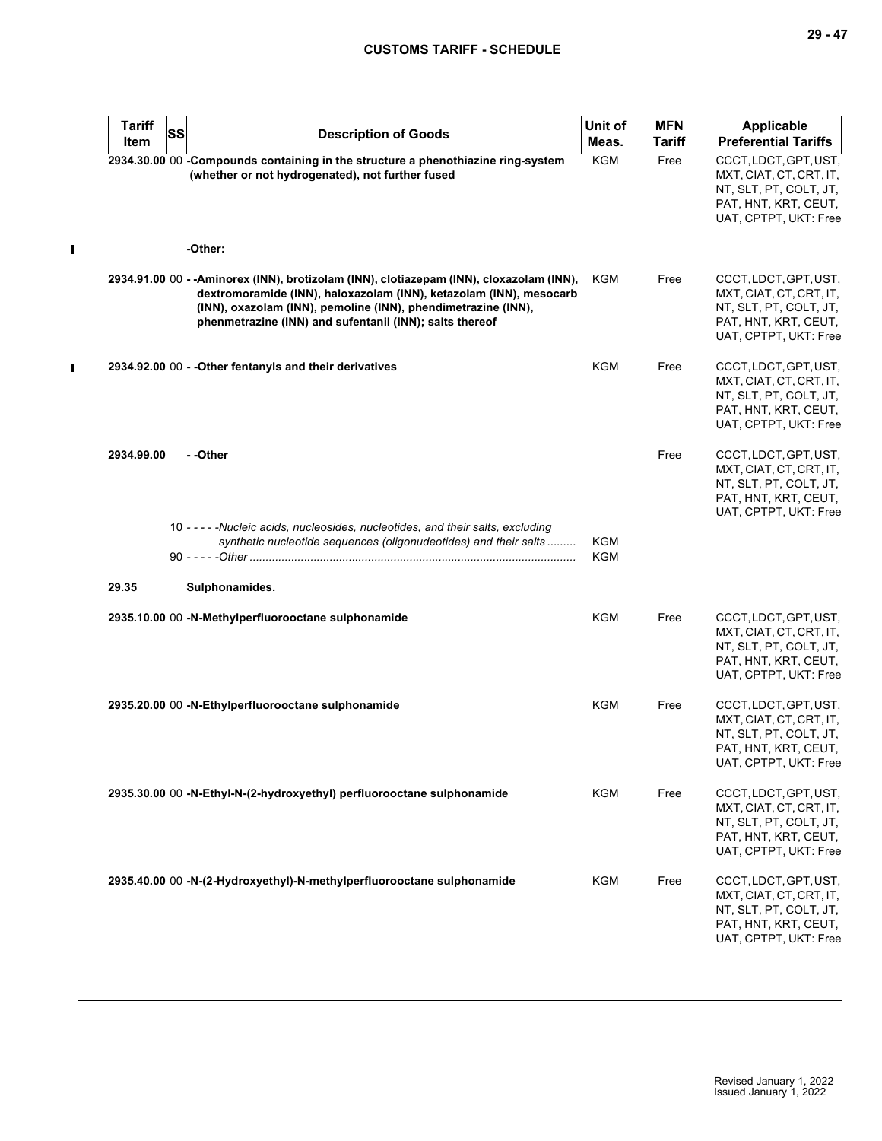$\mathbf{I}$ 

| <b>Tariff</b> | <b>SS</b> |                                                                                                                                                                                                                                                                                            | Unit of    | <b>MFN</b>    | Applicable                                                                                                                  |
|---------------|-----------|--------------------------------------------------------------------------------------------------------------------------------------------------------------------------------------------------------------------------------------------------------------------------------------------|------------|---------------|-----------------------------------------------------------------------------------------------------------------------------|
| Item          |           | <b>Description of Goods</b>                                                                                                                                                                                                                                                                | Meas.      | <b>Tariff</b> | <b>Preferential Tariffs</b>                                                                                                 |
|               |           | 2934.30.00 00 -Compounds containing in the structure a phenothiazine ring-system<br>(whether or not hydrogenated), not further fused                                                                                                                                                       | <b>KGM</b> | Free          | CCCT, LDCT, GPT, UST,<br>MXT, CIAT, CT, CRT, IT,<br>NT, SLT, PT, COLT, JT,<br>PAT, HNT, KRT, CEUT,<br>UAT, CPTPT, UKT: Free |
|               |           | -Other:                                                                                                                                                                                                                                                                                    |            |               |                                                                                                                             |
|               |           | 2934.91.00 00 - - Aminorex (INN), brotizolam (INN), clotiazepam (INN), cloxazolam (INN),<br>dextromoramide (INN), haloxazolam (INN), ketazolam (INN), mesocarb<br>(INN), oxazolam (INN), pemoline (INN), phendimetrazine (INN),<br>phenmetrazine (INN) and sufentanil (INN); salts thereof | KGM        | Free          | CCCT, LDCT, GPT, UST,<br>MXT, CIAT, CT, CRT, IT,<br>NT, SLT, PT, COLT, JT,<br>PAT, HNT, KRT, CEUT,<br>UAT, CPTPT, UKT: Free |
|               |           | 2934.92.00 00 - - Other fentanyls and their derivatives                                                                                                                                                                                                                                    | KGM        | Free          | CCCT, LDCT, GPT, UST,<br>MXT, CIAT, CT, CRT, IT,<br>NT, SLT, PT, COLT, JT,<br>PAT, HNT, KRT, CEUT,<br>UAT, CPTPT, UKT: Free |
| 2934.99.00    |           | --Other                                                                                                                                                                                                                                                                                    |            | Free          | CCCT, LDCT, GPT, UST,<br>MXT, CIAT, CT, CRT, IT,<br>NT, SLT, PT, COLT, JT,<br>PAT, HNT, KRT, CEUT,<br>UAT, CPTPT, UKT: Free |
|               |           | 10 - - - - - Nucleic acids, nucleosides, nucleotides, and their salts, excluding<br>synthetic nucleotide sequences (oligonudeotides) and their salts                                                                                                                                       | KGM<br>KGM |               |                                                                                                                             |
| 29.35         |           | Sulphonamides.                                                                                                                                                                                                                                                                             |            |               |                                                                                                                             |
|               |           | 2935.10.00 00 -N-Methylperfluorooctane sulphonamide                                                                                                                                                                                                                                        | KGM        | Free          | CCCT, LDCT, GPT, UST,<br>MXT, CIAT, CT, CRT, IT,<br>NT, SLT, PT, COLT, JT,<br>PAT, HNT, KRT, CEUT,<br>UAT, CPTPT, UKT: Free |
|               |           | 2935.20.00 00 -N-Ethylperfluorooctane sulphonamide                                                                                                                                                                                                                                         | <b>KGM</b> | Free          | CCCT, LDCT, GPT, UST,<br>MXT, CIAT, CT, CRT, IT,<br>NT, SLT, PT, COLT, JT,<br>PAT, HNT, KRT, CEUT,<br>UAT, CPTPT, UKT: Free |
|               |           | 2935.30.00 00 -N-Ethyl-N-(2-hydroxyethyl) perfluorooctane sulphonamide                                                                                                                                                                                                                     | KGM        | Free          | CCCT, LDCT, GPT, UST,<br>MXT, CIAT, CT, CRT, IT,<br>NT, SLT, PT, COLT, JT,<br>PAT, HNT, KRT, CEUT,<br>UAT, CPTPT, UKT: Free |
|               |           | 2935.40.00 00 -N-(2-Hydroxyethyl)-N-methylperfluorooctane sulphonamide                                                                                                                                                                                                                     | <b>KGM</b> | Free          | CCCT, LDCT, GPT, UST,<br>MXT, CIAT, CT, CRT, IT,<br>NT, SLT, PT, COLT, JT,<br>PAT, HNT, KRT, CEUT,<br>UAT, CPTPT, UKT: Free |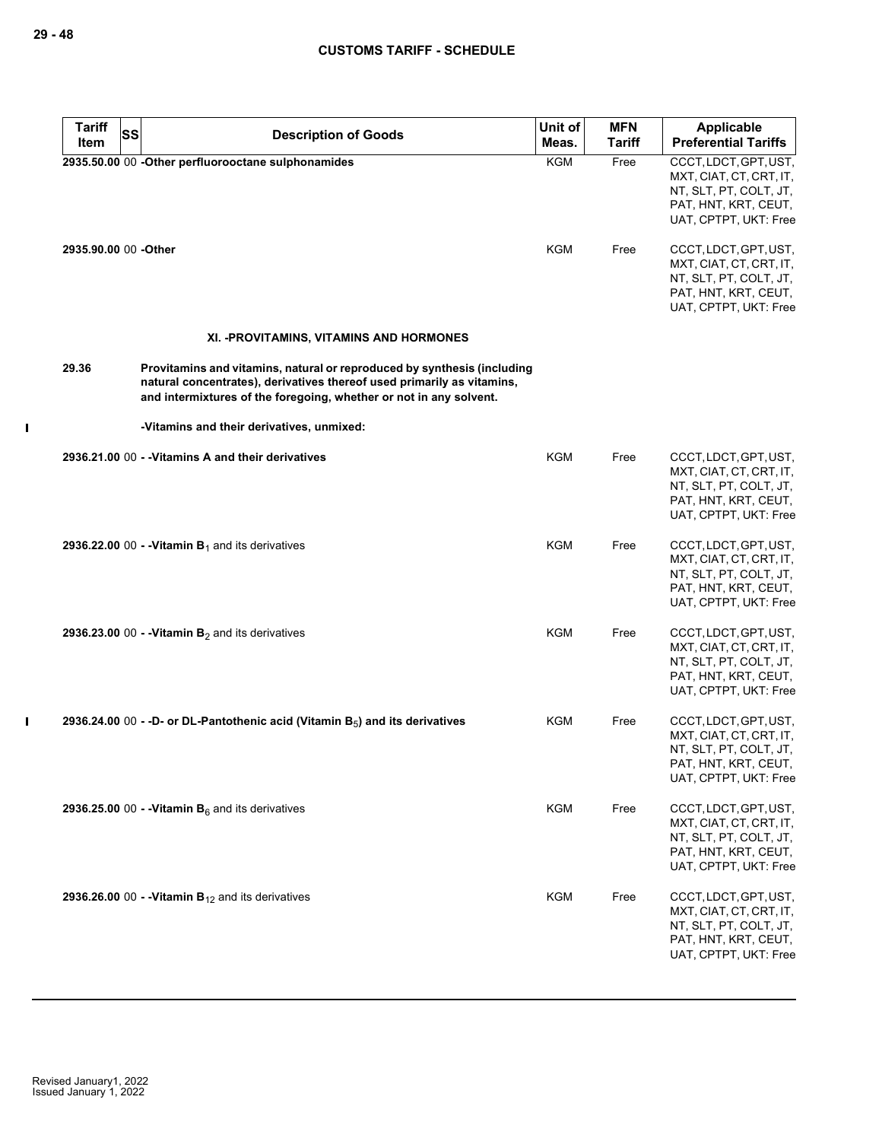$\mathbf I$ 

| <b>Tariff</b><br><b>SS</b> | <b>Description of Goods</b>                                                                                                                                                                                             | Unit of    | <b>MFN</b>    | Applicable                                                                                                                  |
|----------------------------|-------------------------------------------------------------------------------------------------------------------------------------------------------------------------------------------------------------------------|------------|---------------|-----------------------------------------------------------------------------------------------------------------------------|
| Item                       |                                                                                                                                                                                                                         | Meas.      | <b>Tariff</b> | <b>Preferential Tariffs</b>                                                                                                 |
|                            | 2935.50.00 00 -Other perfluorooctane sulphonamides                                                                                                                                                                      | <b>KGM</b> | Free          | CCCT, LDCT, GPT, UST,<br>MXT, CIAT, CT, CRT, IT,<br>NT, SLT, PT, COLT, JT,<br>PAT, HNT, KRT, CEUT,<br>UAT, CPTPT, UKT: Free |
| 2935.90.00 00 -Other       |                                                                                                                                                                                                                         | KGM        | Free          | CCCT, LDCT, GPT, UST,<br>MXT, CIAT, CT, CRT, IT,<br>NT, SLT, PT, COLT, JT,<br>PAT, HNT, KRT, CEUT,<br>UAT, CPTPT, UKT: Free |
|                            | XI. - PROVITAMINS, VITAMINS AND HORMONES                                                                                                                                                                                |            |               |                                                                                                                             |
| 29.36                      | Provitamins and vitamins, natural or reproduced by synthesis (including<br>natural concentrates), derivatives thereof used primarily as vitamins,<br>and intermixtures of the foregoing, whether or not in any solvent. |            |               |                                                                                                                             |
|                            | -Vitamins and their derivatives, unmixed:                                                                                                                                                                               |            |               |                                                                                                                             |
|                            | 2936.21.00 00 - - Vitamins A and their derivatives                                                                                                                                                                      | KGM        | Free          | CCCT, LDCT, GPT, UST,<br>MXT, CIAT, CT, CRT, IT,<br>NT, SLT, PT, COLT, JT,<br>PAT, HNT, KRT, CEUT,<br>UAT, CPTPT, UKT: Free |
|                            | 2936.22.00 00 - - Vitamin $B_1$ and its derivatives                                                                                                                                                                     | KGM        | Free          | CCCT, LDCT, GPT, UST,<br>MXT, CIAT, CT, CRT, IT,<br>NT, SLT, PT, COLT, JT,<br>PAT, HNT, KRT, CEUT,<br>UAT, CPTPT, UKT: Free |
|                            | 2936.23.00 00 - - Vitamin $B_2$ and its derivatives                                                                                                                                                                     | KGM        | Free          | CCCT, LDCT, GPT, UST,<br>MXT, CIAT, CT, CRT, IT,<br>NT, SLT, PT, COLT, JT,<br>PAT, HNT, KRT, CEUT,<br>UAT, CPTPT, UKT: Free |
|                            | 2936.24.00 00 - -D- or DL-Pantothenic acid (Vitamin $B_5$ ) and its derivatives                                                                                                                                         | KGM        | Free          | CCCT, LDCT, GPT, UST,<br>MXT, CIAT, CT, CRT, IT,<br>NT, SLT, PT, COLT, JT,<br>PAT, HNT, KRT, CEUT,<br>UAT, CPTPT, UKT: Free |
|                            | 2936.25.00 00 - - Vitamin $B_6$ and its derivatives                                                                                                                                                                     | <b>KGM</b> | Free          | CCCT, LDCT, GPT, UST,<br>MXT, CIAT, CT, CRT, IT,<br>NT, SLT, PT, COLT, JT,<br>PAT, HNT, KRT, CEUT,<br>UAT, CPTPT, UKT: Free |
|                            | 2936.26.00 00 - - Vitamin $B_{12}$ and its derivatives                                                                                                                                                                  | <b>KGM</b> | Free          | CCCT, LDCT, GPT, UST,<br>MXT, CIAT, CT, CRT, IT,<br>NT, SLT, PT, COLT, JT,<br>PAT, HNT, KRT, CEUT,<br>UAT, CPTPT, UKT: Free |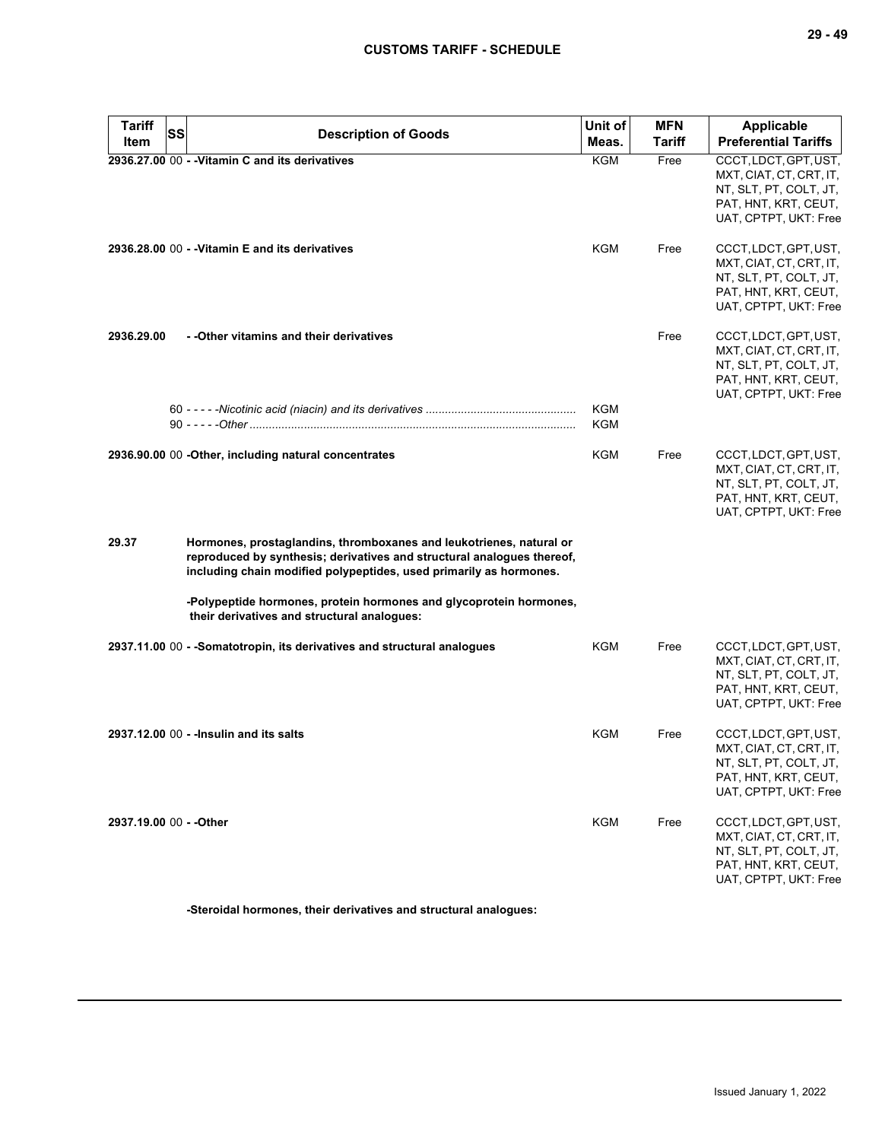| <b>Tariff</b><br>Item   | SS | <b>Description of Goods</b>                                                                                                                                                                                         | Unit of<br>Meas. | <b>MFN</b><br><b>Tariff</b> | <b>Applicable</b><br><b>Preferential Tariffs</b>                                                                            |
|-------------------------|----|---------------------------------------------------------------------------------------------------------------------------------------------------------------------------------------------------------------------|------------------|-----------------------------|-----------------------------------------------------------------------------------------------------------------------------|
|                         |    | 2936.27.00 00 - - Vitamin C and its derivatives                                                                                                                                                                     | KGM              | Free                        | CCCT, LDCT, GPT, UST,<br>MXT, CIAT, CT, CRT, IT,<br>NT, SLT, PT, COLT, JT,<br>PAT, HNT, KRT, CEUT,<br>UAT, CPTPT, UKT: Free |
|                         |    | 2936.28.00 00 - - Vitamin E and its derivatives                                                                                                                                                                     | <b>KGM</b>       | Free                        | CCCT, LDCT, GPT, UST,<br>MXT, CIAT, CT, CRT, IT,<br>NT, SLT, PT, COLT, JT,<br>PAT, HNT, KRT, CEUT,<br>UAT, CPTPT, UKT: Free |
| 2936.29.00              |    | - - Other vitamins and their derivatives                                                                                                                                                                            |                  | Free                        | CCCT, LDCT, GPT, UST,<br>MXT, CIAT, CT, CRT, IT,<br>NT, SLT, PT, COLT, JT,<br>PAT, HNT, KRT, CEUT,<br>UAT, CPTPT, UKT: Free |
|                         |    |                                                                                                                                                                                                                     | KGM<br>KGM       |                             |                                                                                                                             |
|                         |    | 2936.90.00 00 -Other, including natural concentrates                                                                                                                                                                | KGM              | Free                        | CCCT, LDCT, GPT, UST,<br>MXT, CIAT, CT, CRT, IT,<br>NT, SLT, PT, COLT, JT,<br>PAT, HNT, KRT, CEUT,<br>UAT, CPTPT, UKT: Free |
| 29.37                   |    | Hormones, prostaglandins, thromboxanes and leukotrienes, natural or<br>reproduced by synthesis; derivatives and structural analogues thereof,<br>including chain modified polypeptides, used primarily as hormones. |                  |                             |                                                                                                                             |
|                         |    | -Polypeptide hormones, protein hormones and glycoprotein hormones,<br>their derivatives and structural analogues:                                                                                                   |                  |                             |                                                                                                                             |
|                         |    | 2937.11.00 00 - -Somatotropin, its derivatives and structural analogues                                                                                                                                             | KGM              | Free                        | CCCT, LDCT, GPT, UST,<br>MXT, CIAT, CT, CRT, IT,<br>NT, SLT, PT, COLT, JT,<br>PAT, HNT, KRT, CEUT,<br>UAT, CPTPT, UKT: Free |
|                         |    | 2937.12.00 00 - - Insulin and its salts                                                                                                                                                                             | KGM              | Free                        | CCCT, LDCT, GPT, UST,<br>MXT, CIAT, CT, CRT, IT,<br>NT, SLT, PT, COLT, JT,<br>PAT, HNT, KRT, CEUT,<br>UAT, CPTPT, UKT: Free |
| 2937.19.00 00 - - Other |    |                                                                                                                                                                                                                     | <b>KGM</b>       | Free                        | CCCT, LDCT, GPT, UST,<br>MXT, CIAT, CT, CRT, IT,<br>NT, SLT, PT, COLT, JT,<br>PAT, HNT, KRT, CEUT,<br>UAT, CPTPT, UKT: Free |

**-Steroidal hormones, their derivatives and structural analogues:**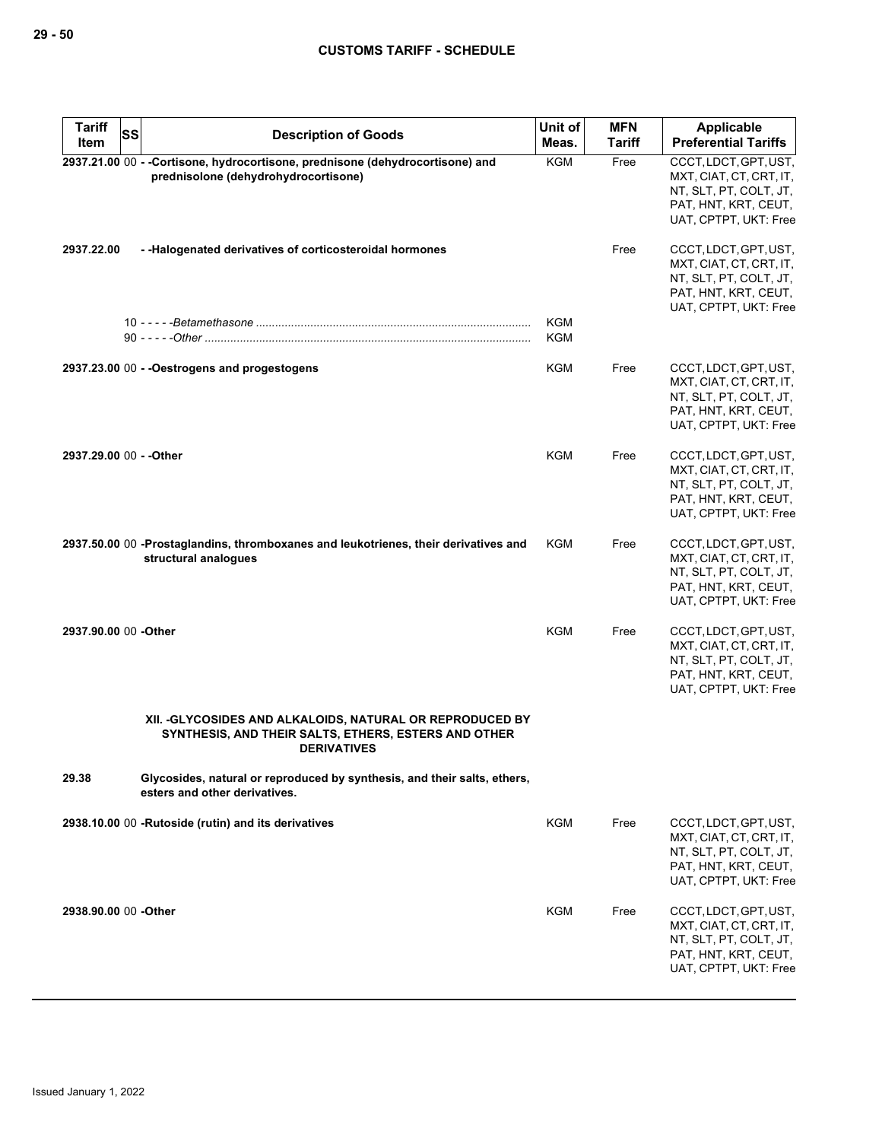| <b>Tariff</b><br>Item   | SS | <b>Description of Goods</b>                                                                                                             | Unit of<br>Meas.         | <b>MFN</b><br>Tariff | Applicable<br><b>Preferential Tariffs</b>                                                                                   |
|-------------------------|----|-----------------------------------------------------------------------------------------------------------------------------------------|--------------------------|----------------------|-----------------------------------------------------------------------------------------------------------------------------|
|                         |    | 2937.21.00 00 - -Cortisone, hydrocortisone, prednisone (dehydrocortisone) and<br>prednisolone (dehydrohydrocortisone)                   | <b>KGM</b>               | Free                 | CCCT, LDCT, GPT, UST,<br>MXT, CIAT, CT, CRT, IT,<br>NT, SLT, PT, COLT, JT,<br>PAT, HNT, KRT, CEUT,<br>UAT, CPTPT, UKT: Free |
| 2937.22.00              |    | - - Halogenated derivatives of corticosteroidal hormones                                                                                |                          | Free                 | CCCT, LDCT, GPT, UST,<br>MXT, CIAT, CT, CRT, IT,<br>NT, SLT, PT, COLT, JT,<br>PAT, HNT, KRT, CEUT,<br>UAT, CPTPT, UKT: Free |
|                         |    |                                                                                                                                         | <b>KGM</b><br><b>KGM</b> |                      |                                                                                                                             |
|                         |    | 2937.23.00 00 - - Oestrogens and progestogens                                                                                           | KGM                      | Free                 | CCCT, LDCT, GPT, UST,<br>MXT, CIAT, CT, CRT, IT,<br>NT, SLT, PT, COLT, JT,<br>PAT, HNT, KRT, CEUT,<br>UAT, CPTPT, UKT: Free |
| 2937.29.00 00 - - Other |    |                                                                                                                                         | KGM                      | Free                 | CCCT, LDCT, GPT, UST,<br>MXT, CIAT, CT, CRT, IT,<br>NT, SLT, PT, COLT, JT,<br>PAT, HNT, KRT, CEUT,<br>UAT, CPTPT, UKT: Free |
|                         |    | 2937.50.00 00 -Prostaglandins, thromboxanes and leukotrienes, their derivatives and<br>structural analogues                             | <b>KGM</b>               | Free                 | CCCT, LDCT, GPT, UST,<br>MXT, CIAT, CT, CRT, IT,<br>NT, SLT, PT, COLT, JT,<br>PAT, HNT, KRT, CEUT,<br>UAT, CPTPT, UKT: Free |
| 2937.90.00 00 - Other   |    |                                                                                                                                         | <b>KGM</b>               | Free                 | CCCT, LDCT, GPT, UST,<br>MXT, CIAT, CT, CRT, IT,<br>NT, SLT, PT, COLT, JT,<br>PAT, HNT, KRT, CEUT,<br>UAT, CPTPT, UKT: Free |
|                         |    | XII. - GLYCOSIDES AND ALKALOIDS, NATURAL OR REPRODUCED BY<br>SYNTHESIS, AND THEIR SALTS, ETHERS, ESTERS AND OTHER<br><b>DERIVATIVES</b> |                          |                      |                                                                                                                             |
| 29.38                   |    | Glycosides, natural or reproduced by synthesis, and their salts, ethers,<br>esters and other derivatives.                               |                          |                      |                                                                                                                             |
|                         |    | 2938.10.00 00 - Rutoside (rutin) and its derivatives                                                                                    | <b>KGM</b>               | Free                 | CCCT, LDCT, GPT, UST,<br>MXT, CIAT, CT, CRT, IT,<br>NT, SLT, PT, COLT, JT,<br>PAT, HNT, KRT, CEUT,<br>UAT, CPTPT, UKT: Free |
| 2938.90.00 00 - Other   |    |                                                                                                                                         | <b>KGM</b>               | Free                 | CCCT, LDCT, GPT, UST,<br>MXT, CIAT, CT, CRT, IT,<br>NT, SLT, PT, COLT, JT,<br>PAT, HNT, KRT, CEUT,<br>UAT, CPTPT, UKT: Free |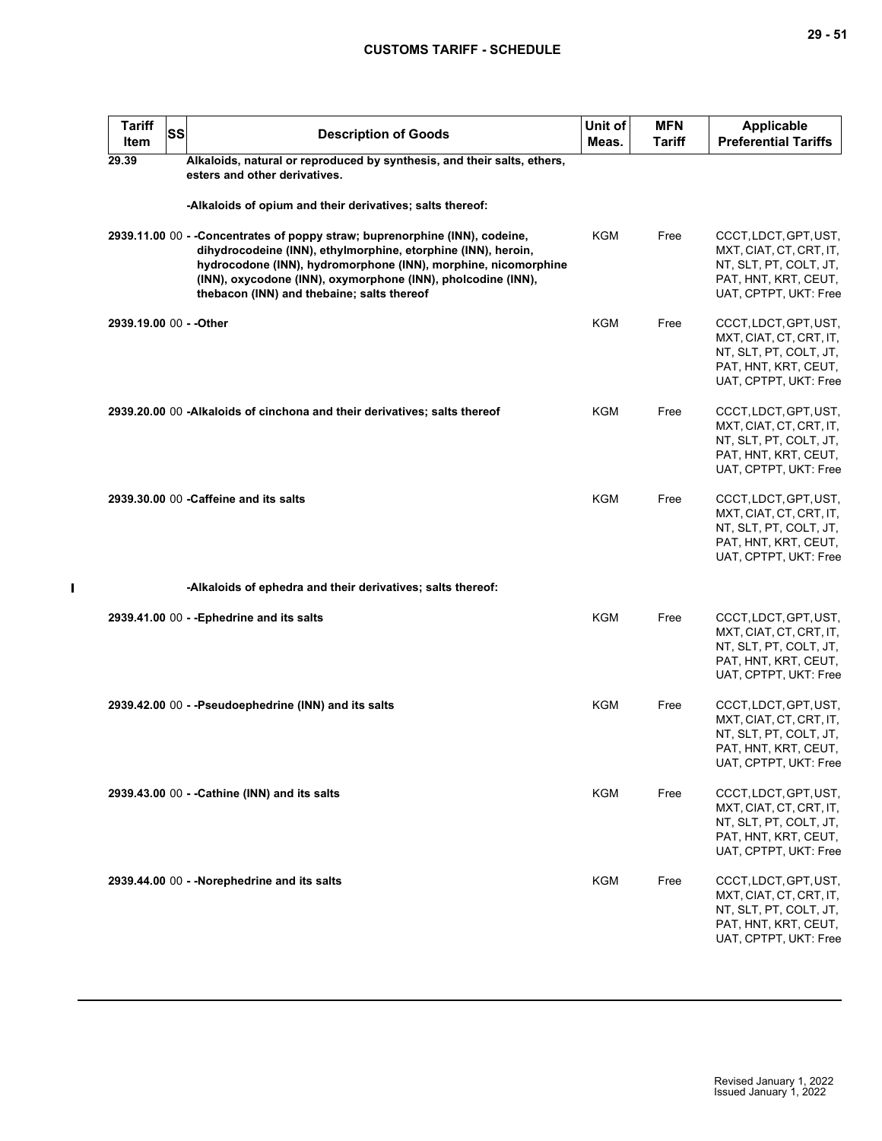| ۰.<br>× | ×<br>۰. |
|---------|---------|
|---------|---------|

| <b>Tariff</b><br>Item   | <b>SS</b> | <b>Description of Goods</b>                                                                                                                                                                                                                                                                                                  | Unit of<br>Meas. | <b>MFN</b><br>Tariff | <b>Applicable</b><br><b>Preferential Tariffs</b>                                                                            |
|-------------------------|-----------|------------------------------------------------------------------------------------------------------------------------------------------------------------------------------------------------------------------------------------------------------------------------------------------------------------------------------|------------------|----------------------|-----------------------------------------------------------------------------------------------------------------------------|
| 29.39                   |           | Alkaloids, natural or reproduced by synthesis, and their salts, ethers,<br>esters and other derivatives.                                                                                                                                                                                                                     |                  |                      |                                                                                                                             |
|                         |           | -Alkaloids of opium and their derivatives; salts thereof:                                                                                                                                                                                                                                                                    |                  |                      |                                                                                                                             |
|                         |           | 2939.11.00 00 - -Concentrates of poppy straw; buprenorphine (INN), codeine,<br>dihydrocodeine (INN), ethylmorphine, etorphine (INN), heroin,<br>hydrocodone (INN), hydromorphone (INN), morphine, nicomorphine<br>(INN), oxycodone (INN), oxymorphone (INN), pholcodine (INN),<br>thebacon (INN) and thebaine; salts thereof | KGM              | Free                 | CCCT, LDCT, GPT, UST,<br>MXT, CIAT, CT, CRT, IT,<br>NT, SLT, PT, COLT, JT,<br>PAT, HNT, KRT, CEUT,<br>UAT, CPTPT, UKT: Free |
| 2939.19.00 00 - - Other |           |                                                                                                                                                                                                                                                                                                                              | KGM              | Free                 | CCCT, LDCT, GPT, UST,<br>MXT, CIAT, CT, CRT, IT,<br>NT, SLT, PT, COLT, JT,<br>PAT, HNT, KRT, CEUT,<br>UAT, CPTPT, UKT: Free |
|                         |           | 2939.20.00 00 -Alkaloids of cinchona and their derivatives; salts thereof                                                                                                                                                                                                                                                    | <b>KGM</b>       | Free                 | CCCT, LDCT, GPT, UST,<br>MXT, CIAT, CT, CRT, IT,<br>NT, SLT, PT, COLT, JT,<br>PAT, HNT, KRT, CEUT,<br>UAT, CPTPT, UKT: Free |
|                         |           | 2939.30.00 00 - Caffeine and its salts                                                                                                                                                                                                                                                                                       | <b>KGM</b>       | Free                 | CCCT, LDCT, GPT, UST,<br>MXT, CIAT, CT, CRT, IT,<br>NT, SLT, PT, COLT, JT,<br>PAT, HNT, KRT, CEUT,<br>UAT, CPTPT, UKT: Free |
|                         |           | -Alkaloids of ephedra and their derivatives; salts thereof:                                                                                                                                                                                                                                                                  |                  |                      |                                                                                                                             |
|                         |           | 2939.41.00 00 - - Ephedrine and its salts                                                                                                                                                                                                                                                                                    | KGM              | Free                 | CCCT, LDCT, GPT, UST,<br>MXT, CIAT, CT, CRT, IT,<br>NT, SLT, PT, COLT, JT,<br>PAT, HNT, KRT, CEUT,<br>UAT, CPTPT, UKT: Free |
|                         |           | 2939.42.00 00 - -Pseudoephedrine (INN) and its salts                                                                                                                                                                                                                                                                         | <b>KGM</b>       | Free                 | CCCT, LDCT, GPT, UST,<br>MXT, CIAT, CT, CRT, IT,<br>NT, SLT, PT, COLT, JT,<br>PAT, HNT, KRT, CEUT,<br>UAT, CPTPT, UKT: Free |
|                         |           | 2939.43.00 00 - - Cathine (INN) and its salts                                                                                                                                                                                                                                                                                | <b>KGM</b>       | Free                 | CCCT, LDCT, GPT, UST,<br>MXT, CIAT, CT, CRT, IT,<br>NT, SLT, PT, COLT, JT,<br>PAT, HNT, KRT, CEUT,<br>UAT, CPTPT, UKT: Free |
|                         |           | 2939.44.00 00 - -Norephedrine and its salts                                                                                                                                                                                                                                                                                  | KGM              | Free                 | CCCT, LDCT, GPT, UST,<br>MXT, CIAT, CT, CRT, IT,<br>NT, SLT, PT, COLT, JT,<br>PAT, HNT, KRT, CEUT,<br>UAT, CPTPT, UKT: Free |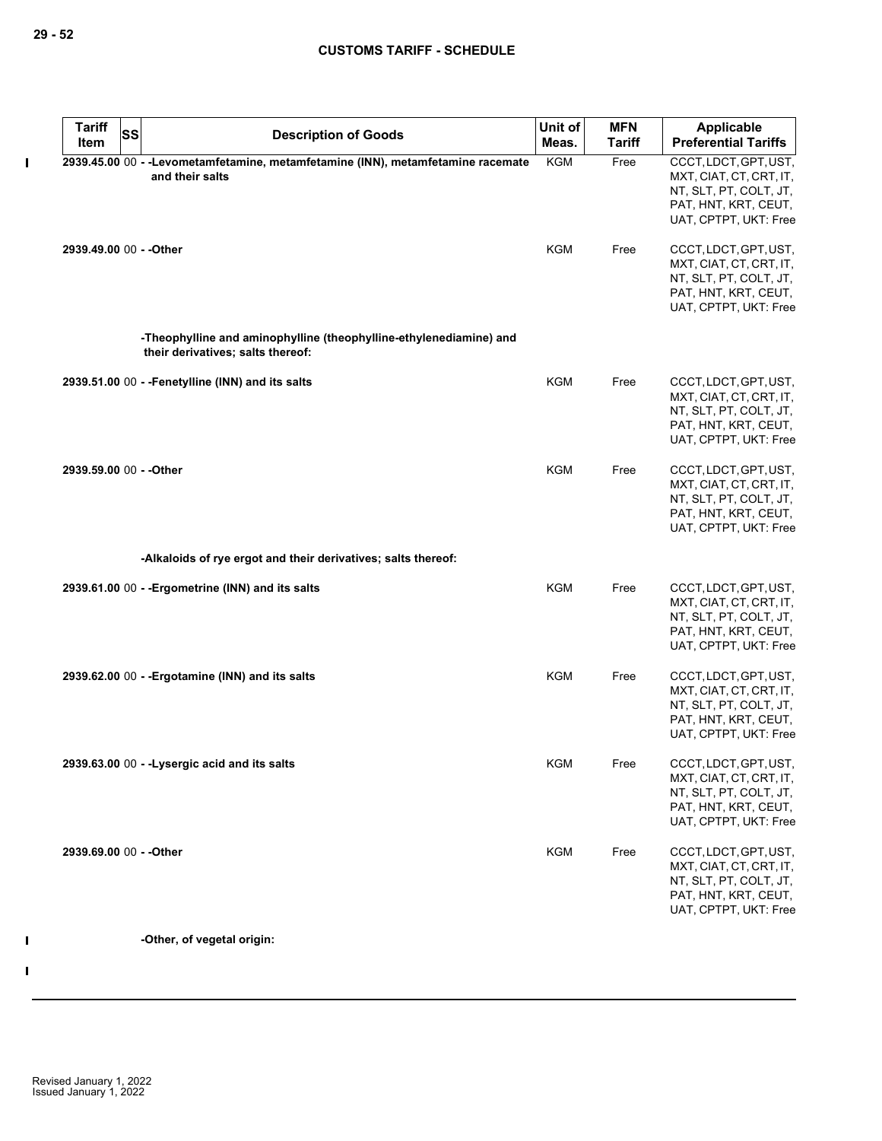| <b>Description of Goods</b><br><b>Tariff</b><br>Meas.<br>Item<br><b>KGM</b><br>2939.45.00 00 - -Levometamfetamine, metamfetamine (INN), metamfetamine racemate<br>Free<br>and their salts<br><b>KGM</b><br>2939.49.00 00 - - Other<br>Free<br>-Theophylline and aminophylline (theophylline-ethylenediamine) and<br>their derivatives; salts thereof:<br><b>KGM</b><br>2939.51.00 00 - - Fenetylline (INN) and its salts<br>Free<br><b>KGM</b><br>2939.59.00 00 - - Other<br>Free<br>-Alkaloids of rye ergot and their derivatives; salts thereof:<br><b>KGM</b><br>2939.61.00 00 - - Ergometrine (INN) and its salts<br>Free<br><b>KGM</b><br>2939.62.00 00 - - Ergotamine (INN) and its salts<br>Free<br><b>KGM</b><br>2939.63.00 00 - - Lysergic acid and its salts<br>Free | <b>Tariff</b> | <b>SS</b> | Unit of | <b>MFN</b> | Applicable                                                                                                                  |
|--------------------------------------------------------------------------------------------------------------------------------------------------------------------------------------------------------------------------------------------------------------------------------------------------------------------------------------------------------------------------------------------------------------------------------------------------------------------------------------------------------------------------------------------------------------------------------------------------------------------------------------------------------------------------------------------------------------------------------------------------------------------------------|---------------|-----------|---------|------------|-----------------------------------------------------------------------------------------------------------------------------|
|                                                                                                                                                                                                                                                                                                                                                                                                                                                                                                                                                                                                                                                                                                                                                                                |               |           |         |            | <b>Preferential Tariffs</b>                                                                                                 |
|                                                                                                                                                                                                                                                                                                                                                                                                                                                                                                                                                                                                                                                                                                                                                                                |               |           |         |            | CCCT, LDCT, GPT, UST,<br>MXT, CIAT, CT, CRT, IT,<br>NT, SLT, PT, COLT, JT,<br>PAT, HNT, KRT, CEUT,<br>UAT, CPTPT, UKT: Free |
|                                                                                                                                                                                                                                                                                                                                                                                                                                                                                                                                                                                                                                                                                                                                                                                |               |           |         |            | CCCT, LDCT, GPT, UST,<br>MXT, CIAT, CT, CRT, IT,<br>NT, SLT, PT, COLT, JT,<br>PAT, HNT, KRT, CEUT,<br>UAT, CPTPT, UKT: Free |
|                                                                                                                                                                                                                                                                                                                                                                                                                                                                                                                                                                                                                                                                                                                                                                                |               |           |         |            |                                                                                                                             |
|                                                                                                                                                                                                                                                                                                                                                                                                                                                                                                                                                                                                                                                                                                                                                                                |               |           |         |            | CCCT, LDCT, GPT, UST,<br>MXT, CIAT, CT, CRT, IT,<br>NT, SLT, PT, COLT, JT,<br>PAT, HNT, KRT, CEUT,<br>UAT, CPTPT, UKT: Free |
|                                                                                                                                                                                                                                                                                                                                                                                                                                                                                                                                                                                                                                                                                                                                                                                |               |           |         |            | CCCT, LDCT, GPT, UST,<br>MXT, CIAT, CT, CRT, IT,<br>NT, SLT, PT, COLT, JT,<br>PAT, HNT, KRT, CEUT,<br>UAT, CPTPT, UKT: Free |
|                                                                                                                                                                                                                                                                                                                                                                                                                                                                                                                                                                                                                                                                                                                                                                                |               |           |         |            |                                                                                                                             |
|                                                                                                                                                                                                                                                                                                                                                                                                                                                                                                                                                                                                                                                                                                                                                                                |               |           |         |            | CCCT, LDCT, GPT, UST,<br>MXT, CIAT, CT, CRT, IT,<br>NT, SLT, PT, COLT, JT,<br>PAT, HNT, KRT, CEUT,<br>UAT, CPTPT, UKT: Free |
|                                                                                                                                                                                                                                                                                                                                                                                                                                                                                                                                                                                                                                                                                                                                                                                |               |           |         |            | CCCT, LDCT, GPT, UST,<br>MXT, CIAT, CT, CRT, IT,<br>NT, SLT, PT, COLT, JT,<br>PAT, HNT, KRT, CEUT,<br>UAT, CPTPT, UKT: Free |
|                                                                                                                                                                                                                                                                                                                                                                                                                                                                                                                                                                                                                                                                                                                                                                                |               |           |         |            | CCCT, LDCT, GPT, UST,<br>MXT, CIAT, CT, CRT, IT,<br>NT, SLT, PT, COLT, JT,<br>PAT, HNT, KRT, CEUT,<br>UAT, CPTPT, UKT: Free |
| <b>KGM</b><br>2939.69.00 00 - - Other<br>Free                                                                                                                                                                                                                                                                                                                                                                                                                                                                                                                                                                                                                                                                                                                                  |               |           |         |            | CCCT, LDCT, GPT, UST,<br>MXT, CIAT, CT, CRT, IT,<br>NT, SLT, PT, COLT, JT,<br>PAT, HNT, KRT, CEUT,<br>UAT, CPTPT, UKT: Free |
| -Other, of vegetal origin:                                                                                                                                                                                                                                                                                                                                                                                                                                                                                                                                                                                                                                                                                                                                                     |               |           |         |            |                                                                                                                             |

 $\pmb{\mathsf{I}}$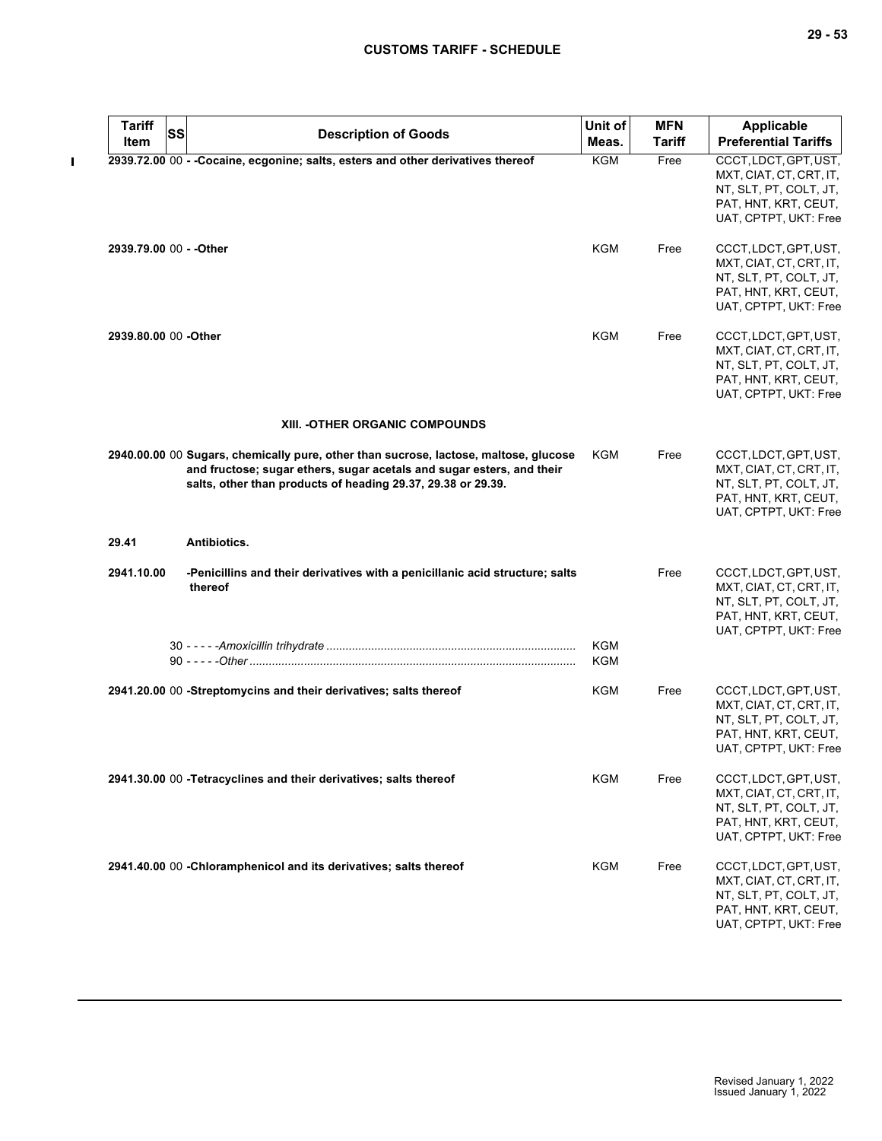| <b>Tariff</b>           | SS | <b>Description of Goods</b>                                                                                                                                                                                                   | Unit of    | <b>MFN</b>    | <b>Applicable</b>                                                                                                           |
|-------------------------|----|-------------------------------------------------------------------------------------------------------------------------------------------------------------------------------------------------------------------------------|------------|---------------|-----------------------------------------------------------------------------------------------------------------------------|
| Item                    |    |                                                                                                                                                                                                                               | Meas.      | <b>Tariff</b> | <b>Preferential Tariffs</b>                                                                                                 |
|                         |    | 2939.72.00 00 - - Cocaine, ecgonine; salts, esters and other derivatives thereof                                                                                                                                              | KGM        | Free          | CCCT, LDCT, GPT, UST,<br>MXT, CIAT, CT, CRT, IT,<br>NT, SLT, PT, COLT, JT,<br>PAT, HNT, KRT, CEUT,<br>UAT, CPTPT, UKT: Free |
| 2939.79.00 00 - - Other |    |                                                                                                                                                                                                                               | KGM        | Free          | CCCT, LDCT, GPT, UST,<br>MXT, CIAT, CT, CRT, IT,<br>NT, SLT, PT, COLT, JT,<br>PAT, HNT, KRT, CEUT,<br>UAT, CPTPT, UKT: Free |
| 2939.80.00 00 - Other   |    |                                                                                                                                                                                                                               | KGM        | Free          | CCCT, LDCT, GPT, UST,<br>MXT, CIAT, CT, CRT, IT,<br>NT, SLT, PT, COLT, JT,<br>PAT, HNT, KRT, CEUT,<br>UAT, CPTPT, UKT: Free |
|                         |    | XIII. - OTHER ORGANIC COMPOUNDS                                                                                                                                                                                               |            |               |                                                                                                                             |
|                         |    | 2940.00.00 00 Sugars, chemically pure, other than sucrose, lactose, maltose, glucose<br>and fructose; sugar ethers, sugar acetals and sugar esters, and their<br>salts, other than products of heading 29.37, 29.38 or 29.39. | KGM        | Free          | CCCT, LDCT, GPT, UST,<br>MXT, CIAT, CT, CRT, IT,<br>NT, SLT, PT, COLT, JT,<br>PAT, HNT, KRT, CEUT,<br>UAT, CPTPT, UKT: Free |
| 29.41                   |    | Antibiotics.                                                                                                                                                                                                                  |            |               |                                                                                                                             |
| 2941.10.00              |    | -Penicillins and their derivatives with a penicillanic acid structure; salts<br>thereof                                                                                                                                       |            | Free          | CCCT, LDCT, GPT, UST,<br>MXT, CIAT, CT, CRT, IT,<br>NT, SLT, PT, COLT, JT,<br>PAT, HNT, KRT, CEUT,<br>UAT, CPTPT, UKT: Free |
|                         |    |                                                                                                                                                                                                                               | KGM<br>KGM |               |                                                                                                                             |
|                         |    | 2941.20.00 00 -Streptomycins and their derivatives; salts thereof                                                                                                                                                             | KGM        | Free          | CCCT, LDCT, GPT, UST,<br>MXT, CIAT, CT, CRT, IT,<br>NT, SLT, PT, COLT, JT,<br>PAT, HNT, KRT, CEUT,<br>UAT, CPTPT, UKT: Free |
|                         |    | 2941.30.00 00 -Tetracyclines and their derivatives; salts thereof                                                                                                                                                             | <b>KGM</b> | Free          | CCCT, LDCT, GPT, UST,<br>MXT, CIAT, CT, CRT, IT,<br>NT, SLT, PT, COLT, JT,<br>PAT, HNT, KRT, CEUT,<br>UAT, CPTPT, UKT: Free |
|                         |    | 2941.40.00 00 -Chloramphenicol and its derivatives; salts thereof                                                                                                                                                             | KGM        | Free          | CCCT, LDCT, GPT, UST,<br>MXT, CIAT, CT, CRT, IT,<br>NT, SLT, PT, COLT, JT,<br>PAT, HNT, KRT, CEUT,<br>UAT, CPTPT, UKT: Free |